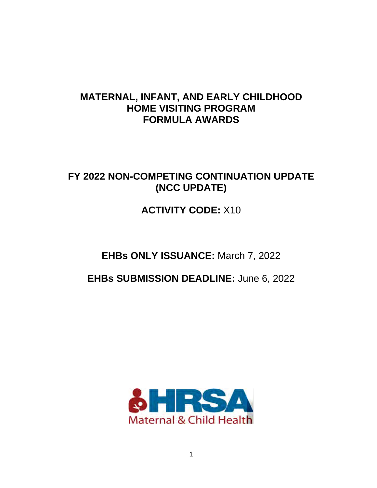# **MATERNAL, INFANT, AND EARLY CHILDHOOD HOME VISITING PROGRAM FORMULA AWARDS**

# **FY 2022 NON-COMPETING CONTINUATION UPDATE (NCC UPDATE)**

# **ACTIVITY CODE:** X10

# **EHBs ONLY ISSUANCE:** March 7, 2022

# **EHBs SUBMISSION DEADLINE:** June 6, 2022

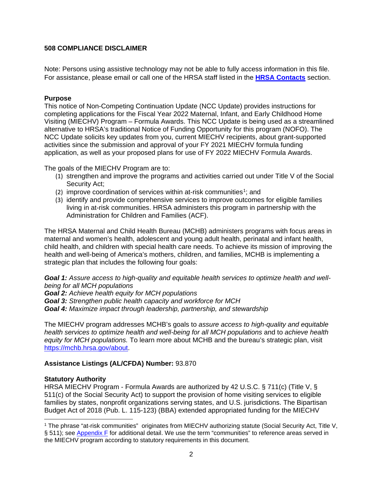# **508 COMPLIANCE DISCLAIMER**

Note: Persons using assistive technology may not be able to fully access information in this file. For assistance, please email or call one of the HRSA staff listed in the **[HRSA Contacts](#page-23-0)** section.

### **Purpose**

This notice of Non-Competing Continuation Update (NCC Update) provides instructions for completing applications for the Fiscal Year 2022 Maternal, Infant, and Early Childhood Home Visiting (MIECHV) Program – Formula Awards. This NCC Update is being used as a streamlined alternative to HRSA's traditional Notice of Funding Opportunity for this program (NOFO). The NCC Update solicits key updates from you, current MIECHV recipients, about grant-supported activities since the submission and approval of your FY 2021 MIECHV formula funding application, as well as your proposed plans for use of FY 2022 MIECHV Formula Awards.

The goals of the MIECHV Program are to:

- (1) strengthen and improve the programs and activities carried out under Title V of the Social Security Act;
- (2) improve coordination of services within at-risk communities<sup>[1](#page-1-0)</sup>: and
- (3) identify and provide comprehensive services to improve outcomes for eligible families living in at-risk communities. HRSA administers this program in partnership with the Administration for Children and Families (ACF).

The HRSA Maternal and Child Health Bureau (MCHB) administers programs with focus areas in maternal and women's health, adolescent and young adult health, perinatal and infant health, child health, and children with special health care needs. To achieve its mission of improving the health and well-being of America's mothers, children, and families, MCHB is implementing a strategic plan that includes the following four goals:

*Goal 1: Assure access to high-quality and equitable health services to optimize health and wellbeing for all MCH populations*

*Goal 2: Achieve health equity for MCH populations*

*Goal 3: Strengthen public health capacity and workforce for MCH*

*Goal 4: Maximize impact through leadership, partnership, and stewardship*

The MIECHV program addresses MCHB's goals to *assure access to high-quality and equitable health services to optimize health and well-being for all MCH populations* and to *achieve health equity for MCH populations.* To learn more about MCHB and the bureau's strategic plan, visit [https://mchb.hrsa.gov/about.](https://mchb.hrsa.gov/about)

# **Assistance Listings (AL/CFDA) Number:** 93.870

#### **Statutory Authority**

HRSA MIECHV Program - Formula Awards are authorized by 42 U.S.C. § 711(c) (Title V, § 511(c) of the Social Security Act) to support the provision of home visiting services to eligible families by states, nonprofit organizations serving states, and U.S. jurisdictions. The Bipartisan Budget Act of 2018 (Pub. L. 115-123) (BBA) extended appropriated funding for the MIECHV

<span id="page-1-0"></span> $\overline{a}$ <sup>1</sup> The phrase "at-risk communities" originates from MIECHV authorizing statute (Social Security Act, Title V, § 511); see [Appendix F](#page-58-0) for additional detail. We use the term "communities" to reference areas served in the MIECHV program according to statutory requirements in this document.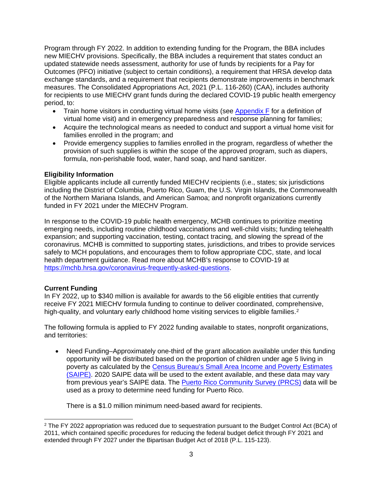Program through FY 2022. In addition to extending funding for the Program, the BBA includes new MIECHV provisions. Specifically, the BBA includes a requirement that states conduct an updated statewide needs assessment, authority for use of funds by recipients for a Pay for Outcomes (PFO) initiative (subject to certain conditions), a requirement that HRSA develop data exchange standards, and a requirement that recipients demonstrate improvements in benchmark measures. The Consolidated Appropriations Act, 2021 (P.L. 116-260) (CAA), includes authority for recipients to use MIECHV grant funds during the declared COVID-19 public health emergency period, to:

- Train home visitors in conducting virtual home visits (see [Appendix F](#page-58-0) for a definition of virtual home visit) and in emergency preparedness and response planning for families;
- Acquire the technological means as needed to conduct and support a virtual home visit for families enrolled in the program; and
- Provide emergency supplies to families enrolled in the program, regardless of whether the provision of such supplies is within the scope of the approved program, such as diapers, formula, non-perishable food, water, hand soap, and hand sanitizer.

### **Eligibility Information**

Eligible applicants include all currently funded MIECHV recipients (i.e., states; six jurisdictions including the District of Columbia, Puerto Rico, Guam, the U.S. Virgin Islands, the Commonwealth of the Northern Mariana Islands, and American Samoa; and nonprofit organizations currently funded in FY 2021 under the MIECHV Program.

In response to the COVID-19 public health emergency, MCHB continues to prioritize meeting emerging needs, including routine childhood vaccinations and well-child visits; funding telehealth expansion; and supporting vaccination, testing, contact tracing, and slowing the spread of the coronavirus. MCHB is committed to supporting states, jurisdictions, and tribes to provide services safely to MCH populations, and encourages them to follow appropriate CDC, state, and local health department guidance. Read more about MCHB's response to COVID-19 at [https://mchb.hrsa.gov/coronavirus-frequently-asked-questions.](https://mchb.hrsa.gov/coronavirus-frequently-asked-questions)

# **Current Funding**

In FY 2022, up to \$340 million is available for awards to the 56 eligible entities that currently receive FY 2021 MIECHV formula funding to continue to deliver coordinated, comprehensive, high-quality, and voluntary early childhood home visiting services to eligible families.<sup>[2](#page-2-0)</sup>

The following formula is applied to FY 2022 funding available to states, nonprofit organizations, and territories:

• Need Funding–Approximately one-third of the grant allocation available under this funding opportunity will be distributed based on the proportion of children under age 5 living in poverty as calculated by the [Census Bureau's Small Area Income and Poverty Estimates](https://www.census.gov/programs-surveys/saipe.html)  [\(SAIPE\).](https://www.census.gov/programs-surveys/saipe.html) 2020 SAIPE data will be used to the extent available, and these data may vary from previous year's SAIPE data. The **Puerto Rico Community Survey (PRCS)** data will be used as a proxy to determine need funding for Puerto Rico.

There is a \$1.0 million minimum need-based award for recipients.

<span id="page-2-0"></span> $\overline{a}$  $2$  The FY 2022 appropriation was reduced due to sequestration pursuant to the Budget Control Act (BCA) of 2011, which contained specific procedures for reducing the federal budget deficit through FY 2021 and extended through FY 2027 under the Bipartisan Budget Act of 2018 (P.L. 115-123).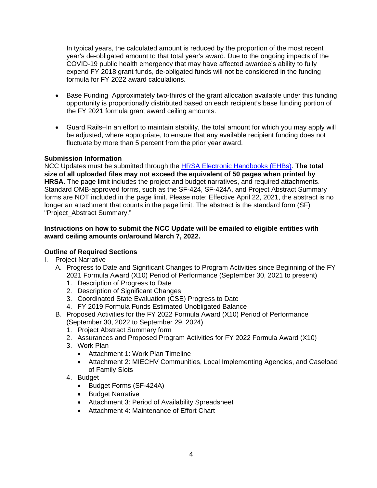In typical years, the calculated amount is reduced by the proportion of the most recent year's de-obligated amount to that total year's award. Due to the ongoing impacts of the COVID-19 public health emergency that may have affected awardee's ability to fully expend FY 2018 grant funds, de-obligated funds will not be considered in the funding formula for FY 2022 award calculations.

- Base Funding–Approximately two-thirds of the grant allocation available under this funding opportunity is proportionally distributed based on each recipient's base funding portion of the FY 2021 formula grant award ceiling amounts.
- Guard Rails–In an effort to maintain stability, the total amount for which you may apply will be adjusted, where appropriate, to ensure that any available recipient funding does not fluctuate by more than 5 percent from the prior year award.

### **Submission Information**

NCC Updates must be submitted through the [HRSA Electronic Handbooks \(EHBs\).](https://grants.hrsa.gov/2010/WebEPSExternal/Interface/Common/AccessControl/Login.aspx) **The total size of all uploaded files may not exceed the equivalent of 50 pages when printed by HRSA**. The page limit includes the project and budget narratives, and required attachments. Standard OMB-approved forms, such as the SF-424, SF-424A, and Project Abstract Summary forms are NOT included in the page limit. Please note: Effective April 22, 2021, the abstract is no longer an attachment that counts in the page limit. The abstract is the standard form (SF) "Project\_Abstract Summary."

### **Instructions on how to submit the NCC Update will be emailed to eligible entities with award ceiling amounts on/around March 7, 2022.**

# **Outline of Required Sections**

- I. Project Narrative
	- A. Progress to Date and Significant Changes to Program Activities since Beginning of the FY 2021 Formula Award (X10) Period of Performance (September 30, 2021 to present)
		- 1. Description of Progress to Date
		- 2. Description of Significant Changes
		- 3. Coordinated State Evaluation (CSE) Progress to Date
		- 4. FY 2019 Formula Funds Estimated Unobligated Balance
	- B. Proposed Activities for the FY 2022 Formula Award (X10) Period of Performance (September 30, 2022 to September 29, 2024)
		- 1. Project Abstract Summary form
		- 2. Assurances and Proposed Program Activities for FY 2022 Formula Award (X10)
		- 3. Work Plan
			- Attachment 1: Work Plan Timeline
			- Attachment 2: MIECHV Communities, Local Implementing Agencies, and Caseload of Family Slots
		- 4. Budget
			- Budget Forms (SF-424A)
			- Budget Narrative
			- Attachment 3: Period of Availability Spreadsheet
			- Attachment 4: Maintenance of Effort Chart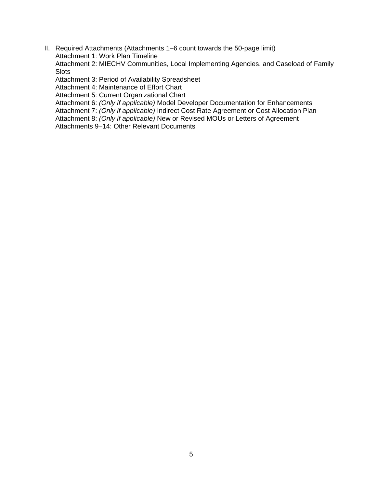II. Required Attachments (Attachments 1–6 count towards the 50-page limit) Attachment 1: Work Plan Timeline Attachment 2: MIECHV Communities, Local Implementing Agencies, and Caseload of Family

**Slots** Attachment 3: Period of Availability Spreadsheet

Attachment 4: Maintenance of Effort Chart

Attachment 5: Current Organizational Chart

Attachment 6: *(Only if applicable)* Model Developer Documentation for Enhancements

Attachment 7: *(Only if applicable)* Indirect Cost Rate Agreement or Cost Allocation Plan

Attachment 8: *(Only if applicable)* New or Revised MOUs or Letters of Agreement

Attachments 9–14: Other Relevant Documents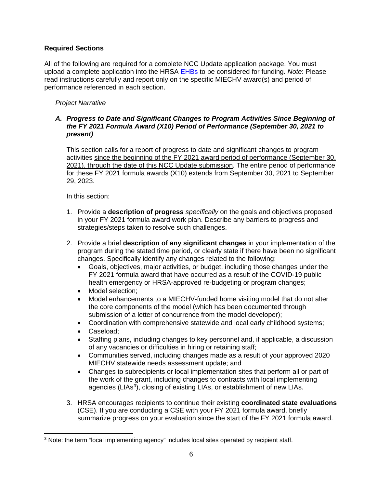# **Required Sections**

All of the following are required for a complete NCC Update application package. You must upload a complete application into the HRSA [EHBs](https://grants.hrsa.gov/2010/WebEPSExternal/Interface/Common/AccessControl/Login.aspx) to be considered for funding. *Note*: Please read instructions carefully and report only on the specific MIECHV award(s) and period of performance referenced in each section.

# *Project Narrative*

### *A. Progress to Date and Significant Changes to Program Activities Since Beginning of the FY 2021 Formula Award (X10) Period of Performance (September 30, 2021 to present)*

This section calls for a report of progress to date and significant changes to program activities since the beginning of the FY 2021 award period of performance (September 30, 2021), through the date of this NCC Update submission. The entire period of performance for these FY 2021 formula awards (X10) extends from September 30, 2021 to September 29, 2023.

In this section:

- 1. Provide a **description of progress** *specifically* on the goals and objectives proposed in your FY 2021 formula award work plan. Describe any barriers to progress and strategies/steps taken to resolve such challenges.
- 2. Provide a brief **description of any significant changes** in your implementation of the program during the stated time period, or clearly state if there have been no significant changes. Specifically identify any changes related to the following:
	- Goals, objectives, major activities, or budget, including those changes under the FY 2021 formula award that have occurred as a result of the COVID-19 public health emergency or HRSA-approved re-budgeting or program changes;
	- Model selection;
	- Model enhancements to a MIECHV-funded home visiting model that do not alter the core components of the model (which has been documented through submission of a letter of concurrence from the model developer);
	- Coordination with comprehensive statewide and local early childhood systems;
	- Caseload;
	- Staffing plans, including changes to key personnel and, if applicable, a discussion of any vacancies or difficulties in hiring or retaining staff;
	- Communities served, including changes made as a result of your approved 2020 MIECHV statewide needs assessment update; and
	- Changes to subrecipients or local implementation sites that perform all or part of the work of the grant, including changes to contracts with local implementing agencies (LIAs<sup>[3](#page-5-0)</sup>), closing of existing LIAs, or establishment of new LIAs.
- 3. HRSA encourages recipients to continue their existing **coordinated state evaluations** (CSE). If you are conducting a CSE with your FY 2021 formula award, briefly summarize progress on your evaluation since the start of the FY 2021 formula award.

<span id="page-5-0"></span> $\overline{a}$ <sup>3</sup> Note: the term "local implementing agency" includes local sites operated by recipient staff.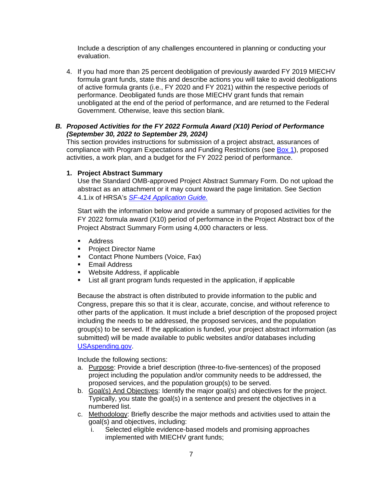Include a description of any challenges encountered in planning or conducting your evaluation.

4. If you had more than 25 percent deobligation of previously awarded FY 2019 MIECHV formula grant funds, state this and describe actions you will take to avoid deobligations of active formula grants (i.e., FY 2020 and FY 2021) within the respective periods of performance. Deobligated funds are those MIECHV grant funds that remain unobligated at the end of the period of performance, and are returned to the Federal Government. Otherwise, leave this section blank.

# *B. Proposed Activities for the FY 2022 Formula Award (X10) Period of Performance (September 30, 2022 to September 29, 2024)*

This section provides instructions for submission of a project abstract, assurances of compliance with Program Expectations and Funding Restrictions (see [Box 1\)](#page-7-0), proposed activities, a work plan, and a budget for the FY 2022 period of performance.

# **1. Project Abstract Summary**

Use the Standard OMB-approved Project Abstract Summary Form. Do not upload the abstract as an attachment or it may count toward the page limitation. See Section 4.1.ix of HRSA's *SF-424 [Application Guide.](http://www.hrsa.gov/grants/apply/applicationguide/sf424guide.pdf)* 

Start with the information below and provide a summary of proposed activities for the FY 2022 formula award (X10) period of performance in the Project Abstract box of the Project Abstract Summary Form using 4,000 characters or less.

- **Address**
- **Project Director Name**
- **Contact Phone Numbers (Voice, Fax)**
- **Email Address**
- **Website Address, if applicable**
- List all grant program funds requested in the application, if applicable

Because the abstract is often distributed to provide information to the public and Congress, prepare this so that it is clear, accurate, concise, and without reference to other parts of the application. It must include a brief description of the proposed project including the needs to be addressed, the proposed services, and the population group(s) to be served. If the application is funded, your project abstract information (as submitted) will be made available to public websites and/or databases including [USAspending.gov.](http://www.usaspending.gov/)

Include the following sections:

- a. Purpose: Provide a brief description (three-to-five-sentences) of the proposed project including the population and/or community needs to be addressed, the proposed services, and the population group(s) to be served.
- b. Goal(s) And Objectives: Identify the major goal(s) and objectives for the project. Typically, you state the goal(s) in a sentence and present the objectives in a numbered list.
- c. Methodology: Briefly describe the major methods and activities used to attain the goal(s) and objectives, including:
	- i. Selected eligible evidence-based models and promising approaches implemented with MIECHV grant funds;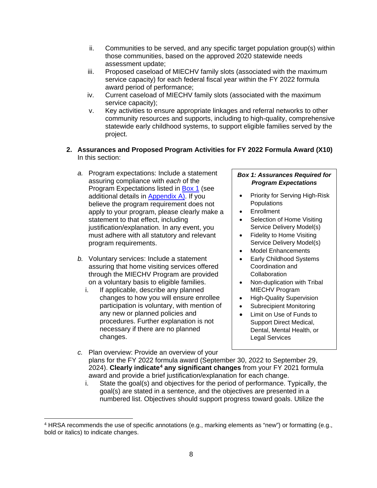- ii. Communities to be served, and any specific target population group(s) within those communities, based on the approved 2020 statewide needs assessment update;
- iii. Proposed caseload of MIECHV family slots (associated with the maximum service capacity) for each federal fiscal year within the FY 2022 formula award period of performance;
- iv. Current caseload of MIECHV family slots (associated with the maximum service capacity);
- v. Key activities to ensure appropriate linkages and referral networks to other community resources and supports, including to high-quality, comprehensive statewide early childhood systems, to support eligible families served by the project.
- **2. Assurances and Proposed Program Activities for FY 2022 Formula Award (X10)** In this section:
	- *a.* Program expectations: Include a statement assuring compliance with *each* of the Program Expectations listed in [Box 1](#page-7-0) (see additional details in [Appendix A\)](#page-25-0). If you believe the program requirement does not apply to your program, please clearly make a statement to that effect, including justification/explanation. In any event, you must adhere with all statutory and relevant program requirements.
	- *b.* Voluntary services: Include a statement assuring that home visiting services offered through the MIECHV Program are provided on a voluntary basis to eligible families.
		- i. If applicable, describe any planned changes to how you will ensure enrollee participation is voluntary, with mention of any new or planned policies and procedures. Further explanation is not necessary if there are no planned changes.

### <span id="page-7-0"></span>*Box 1: Assurances Required for Program Expectations*

- Priority for Serving High-Risk **Populations**
- **Enrollment**
- Selection of Home Visiting Service Delivery Model(s)
- Fidelity to Home Visiting Service Delivery Model(s)
- Model Enhancements
- Early Childhood Systems Coordination and **Collaboration**
- Non-duplication with Tribal MIECHV Program
- High-Quality Supervision
- Subrecipient Monitoring
- Limit on Use of Funds to Support Direct Medical, Dental, Mental Health, or Legal Services
- *c.* Plan overview: Provide an overview of your plans for the FY 2022 formula award (September 30, 2022 to September 29, 2024). **Clearly indicate[4](#page-7-1) any significant changes** from your FY 2021 formula award and provide a brief justification/explanation for each change.
	- i. State the goal(s) and objectives for the period of performance. Typically, the goal(s) are stated in a sentence, and the objectives are presented in a numbered list. Objectives should support progress toward goals. Utilize the

<span id="page-7-1"></span> $\overline{a}$ <sup>4</sup> HRSA recommends the use of specific annotations (e.g., marking elements as "new") or formatting (e.g., bold or italics) to indicate changes.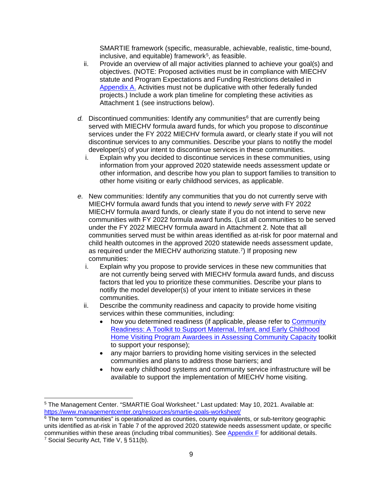SMARTIE framework (specific, measurable, achievable, realistic, time-bound, inclusive, and equitable) framework $5$ , as feasible.

- ii. Provide an overview of all major activities planned to achieve your goal(s) and objectives. (NOTE: Proposed activities must be in compliance with MIECHV statute and Program Expectations and Funding Restrictions detailed in [Appendix A.](#page-25-0) Activities must not be duplicative with other federally funded projects.) Include a work plan timeline for completing these activities as Attachment 1 (see instructions below).
- d. Discontinued communities: Identify any communities<sup>[6](#page-8-1)</sup> that are currently being served with MIECHV formula award funds, for which you propose to *discontinue* services under the FY 2022 MIECHV formula award, or clearly state if you will not discontinue services to any communities. Describe your plans to notifiy the model developer(s) of your intent to discontinue services in these communities.
	- i. Explain why you decided to discontinue services in these communities, using information from your approved 2020 statewide needs assessment update or other information, and describe how you plan to support families to transition to other home visiting or early childhood services, as applicable.
- *e.* New communities: Identify any communities that you do not currently serve with MIECHV formula award funds that you intend to *newly serve* with FY 2022 MIECHV formula award funds, or clearly state if you do not intend to serve new communities with FY 2022 formula award funds. (List all communities to be served under the FY 2022 MIECHV formula award in Attachment 2. Note that all communities served must be within areas identified as at-risk for poor maternal and child health outcomes in the approved 2020 statewide needs assessment update, as required under the MIECHV authorizing statute.<sup>7</sup>) If proposing new communities:
	- i. Explain why you propose to provide services in these new communities that are not currently being served with MIECHV formula award funds, and discuss factors that led you to prioritize these communities. Describe your plans to notifiy the model developer(s) of your intent to initiate services in these communities.
	- ii. Describe the community readiness and capacity to provide home visiting services within these communities, including:
		- how you determined readiness (if applicable, please refer to [Community](https://www.acf.hhs.gov/opre/report/community-readiness-toolkit-support-maternal-infant-and-early-childhood-home-visiting)  [Readiness: A Toolkit to Support Maternal, Infant, and Early Childhood](https://www.acf.hhs.gov/opre/report/community-readiness-toolkit-support-maternal-infant-and-early-childhood-home-visiting)  [Home Visiting Program Awardees in Assessing Community Capacity](https://www.acf.hhs.gov/opre/report/community-readiness-toolkit-support-maternal-infant-and-early-childhood-home-visiting) toolkit to support your response);
		- any major barriers to providing home visiting services in the selected communities and plans to address those barriers; and
		- how early childhood systems and community service infrastructure will be available to support the implementation of MIECHV home visiting.

 $\overline{a}$ 

<span id="page-8-0"></span><sup>&</sup>lt;sup>5</sup> The Management Center. "SMARTIE Goal Worksheet." Last updated: May 10, 2021. Available at:<br>https://www.managementcenter.org/resources/smartie-goals-worksheet/

<span id="page-8-2"></span><span id="page-8-1"></span> $6$  The term "communities" is operationalized as counties, county equivalents, or sub-territory geographic units identified as at-risk in Table 7 of the approved 2020 statewide needs assessment update, or specific communities within these areas (including tribal communities). See Appendix F for additional details. <sup>7</sup> Social Security Act, Title V, § 511(b).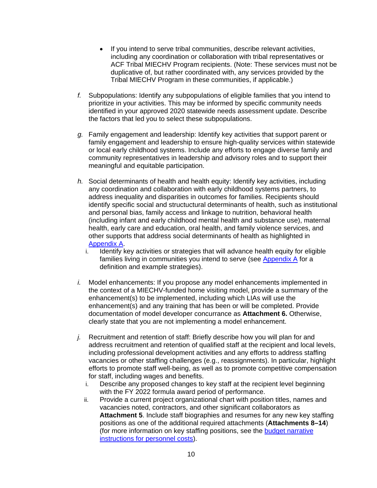- If you intend to serve tribal communities, describe relevant activities, including any coordination or collaboration with tribal representatives or ACF Tribal MIECHV Program recipients. (Note: These services must not be duplicative of, but rather coordinated with, any services provided by the Tribal MIECHV Program in these communities, if applicable.)
- *f.* Subpopulations: Identify any subpopulations of eligible families that you intend to prioritize in your activities. This may be informed by specific community needs identified in your approved 2020 statewide needs assessment update. Describe the factors that led you to select these subpopulations.
- *g.* Family engagement and leadership: Identify key activities that support parent or family engagement and leadership to ensure high-quality services within statewide or local early childhood systems. Include any efforts to engage diverse family and community representatives in leadership and advisory roles and to support their meaningful and equitable participation.
- *h.* Social determinants of health and health equity: Identify key activities, including any coordination and collaboration with early childhood systems partners, to address inequality and disparities in outcomes for families. Recipients should identify specific social and structuctural determinants of health, such as institutional and personal bias, family access and linkage to nutrition, behavioral health (including infant and early childhood mental health and substance use), maternal health, early care and education, oral health, and family violence services, and other supports that address social determinants of health as highlighted in [Appendix A.](#page-25-0)
	- i. Identify key activities or strategies that will advance health equity for eligible families living in communities you intend to serve (see [Appendix A](#page-36-0) for a definition and example strategies).
- *i.* Model enhancements: If you propose any model enhancements implemented in the context of a MIECHV-funded home visiting model, provide a summary of the enhancement(s) to be implemented, including which LIAs will use the enhancement(s) and any training that has been or will be completed. Provide documentation of model developer concurrance as **Attachment 6.** Otherwise, clearly state that you are not implementing a model enhancement.
- *j.* Recruitment and retention of staff: Briefly describe how you will plan for and address recruitment and retention of qualified staff at the recipient and local levels, including professional development activities and any efforts to address staffing vacancies or other staffing challenges (e.g., reassignments). In particular, highlight efforts to promote staff well-being, as well as to promote competitive compensation for staff, including wages and benefits.
	- i. Describe any proposed changes to key staff at the recipient level beginning with the FY 2022 formula award period of performance.
	- ii. Provide a current project organizational chart with position titles, names and vacancies noted, contractors, and other significant collaborators as **Attachment 5**. Include staff biographies and resumes for any new key staffing positions as one of the additional required attachments (**Attachments 8–14**) (for more information on key staffing positions, see the [budget narrative](#page-16-0)  [instructions for personnel costs\)](#page-16-0).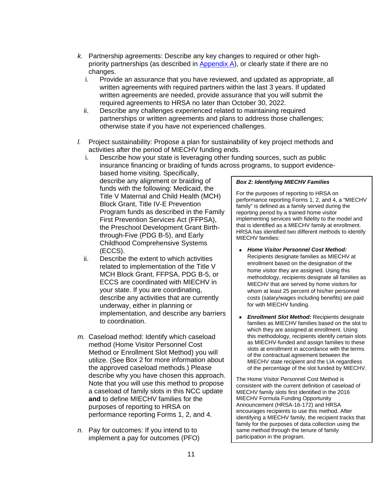- *k.* Partnership agreements: Describe any key changes to required or other highpriority partnerships (as described in  $Appendix A$ ), or clearly state if there are no changes.
	- i. Provide an assurance that you have reviewed, and updated as appropriate, all written agreements with required partners within the last 3 years. If updated written agreements are needed, provide assurance that you will submit the required agreements to HRSA no later than October 30, 2022.
	- ii. Describe any challenges experienced related to maintaining required partnerships or written agreements and plans to address those challenges; otherwise state if you have not experienced challenges.
- *l.* Project sustainability: Propose a plan for sustainability of key project methods and activities after the period of MIECHV funding ends.
	- i. Describe how your state is leveraging other funding sources, such as public insurance financing or braiding of funds across programs, to support evidence-

based home visiting. Specifically, describe any alignment or braiding of funds with the following: Medicaid, the Title V Maternal and Child Health (MCH) Block Grant, Title IV-E Prevention Program funds as described in the Family First Prevention Services Act (FFPSA), the Preschool Development Grant Birththrough-Five (PDG B-5), and Early Childhood Comprehensive Systems (ECCS).

- ii. Describe the extent to which activities related to implementation of the Title V MCH Block Grant, FFPSA, PDG B-5, or ECCS are coordinated with MIECHV in your state. If you are coordinating, describe any activities that are currently underway, either in planning or implementation, and describe any barriers to coordination.
- *m.* Caseload method: Identify which caseload method (Home Visitor Personnel Cost Method or Enrollment Slot Method) you will utilize. (See Box 2 for more information about the approved caseload methods.) Please describe why you have chosen this approach. Note that you will use this method to propose a caseload of family slots in this NCC update **and** to define MIECHV families for the purposes of reporting to HRSA on performance reporting Forms 1, 2, and 4.
- *n.* Pay for outcomes: If you intend to to implement a pay for outcomes (PFO)

### *Box 2: Identifying MIECHV Families*

For the purposes of reporting to HRSA on performance reporting Forms 1, 2, and 4, a "MIECHV family" is defined as a family served during the reporting period by a trained home visitor implementing services with fidelity to the model and that is identified as a MIECHV family at enrollment. HRSA has identified two different methods to identify MIECHV families:

- *Home Visitor Personnel Cost Method:*  Recipients designate families as MIECHV at enrollment based on the designation of the home visitor they are assigned. Using this methodology, recipients designate all families as MIECHV that are served by home visitors for whom at least 25 percent of his/her personnel costs (salary/wages including benefits) are paid for with MIECHV funding.
- *Enrollment Slot Method:* Recipients designate  $\bullet$ families as MIECHV families based on the slot to which they are assigned at enrollment. Using this methodology, recipients identify certain slots as MIECHV-funded and assign families to these slots at enrollment in accordance with the terms of the contractual agreement between the MIECHV state recipient and the LIA regardless of the percentage of the slot funded by MIECHV.

The Home Visitor Personnel Cost Method is consistent with the current definition of caseload of MIECHV family slots first identified in the 2016 MIECHV Formula Funding Opportunity Announcement (HRSA-16-172) and HRSA encourages recipients to use this method. After identifying a MIECHV family, the recipient tracks that family for the purposes of data collection using the same method through the tenure of family participation in the program.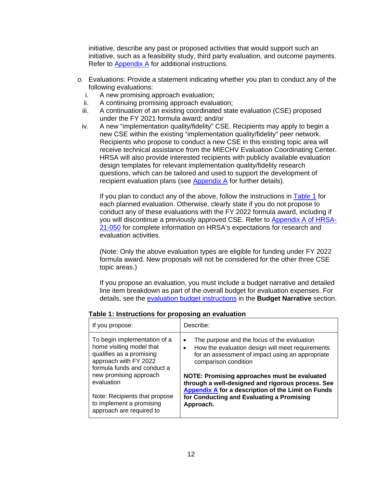initiative, describe any past or proposed activities that would support such an initiative, such as a feasibility study, third party evaluation, and outcome payments. Refer to **Appendix A** for additional instructions.

- *o.* Evaluations: Provide a statement indicating whether you plan to conduct any of the following evaluations:
	- i. A new promising approach evaluation;
	- ii. A continuing promising approach evaluation;
	- iii. A continuation of an existing coordinated state evaluation (CSE) proposed under the FY 2021 formula award; and/or
	- iv. A new "implementation quality/fidelity" CSE. Recipients may apply to begin a new CSE within the existing "implementation quality/fidelity" peer network. Recipients who propose to conduct a new CSE in this existing topic area will receive technical assistance from the MIECHV Evaluation Coordinating Center. HRSA will also provide interested recipients with publicly available evaluation design templates for relevant implementation quality/fidelity research questions, which can be tailored and used to support the development of recipient evaluation plans (see [Appendix A](#page-38-0) for further details).

If you plan to conduct any of the above, follow the instructions in [Table 1](#page-11-0) for each planned evaluation. Otherwise, clearly state if you do not propose to conduct any of these evaluations with the FY 2022 formula award, including if you will discontinue a previously approved CSE. Refer to **Appendix A of HRSA-**[21-050](https://grants.hrsa.gov/2010/web2external/Interface/Common/EHBDisplayAttachment.aspx?dm_rtc=16&dm_attid=e675275b-0d47-4673-b638-0bb1c4f1cb31&dm_attinst=0) for complete information on HRSA's expectations for research and evaluation activities.

(Note: Only the above evaluation types are eligible for funding under FY 2022 formula award. New proposals will not be considered for the other three CSE topic areas.)

If you propose an evaluation, you must include a budget narrative and detailed line item breakdown as part of the overall budget for evaluation expenses. For details, see the [evaluation budget instructions](#page-19-0) in the **Budget Narrative** section.

| If you propose:                                                                                                                              | Describe:                                                                                                                                                                                |
|----------------------------------------------------------------------------------------------------------------------------------------------|------------------------------------------------------------------------------------------------------------------------------------------------------------------------------------------|
| To begin implementation of a<br>home visiting model that<br>qualifies as a promising<br>approach with FY 2022<br>formula funds and conduct a | The purpose and the focus of the evaluation<br>$\bullet$<br>How the evaluation design will meet requirements<br>for an assessment of impact using an appropriate<br>comparison condition |
| new promising approach<br>evaluation                                                                                                         | NOTE: Promising approaches must be evaluated<br>through a well-designed and rigorous process. See<br><b>Appendix A for a description of the Limit on Funds</b>                           |
| Note: Recipients that propose<br>to implement a promising<br>approach are required to                                                        | for Conducting and Evaluating a Promising<br>Approach.                                                                                                                                   |

<span id="page-11-0"></span>**Table 1: Instructions for proposing an evaluation**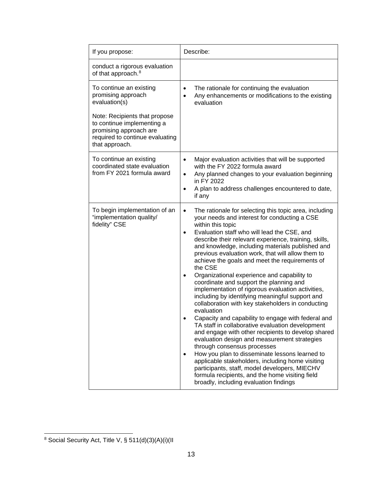| If you propose:                                                                                                                            | Describe:                                                                                                                                                                                                                                                                                                                                                                                                                                                                                                                                                                                                                                                                                                                                                                                                                                                                                                                                                                                                                                                                                                                                                                                                                |
|--------------------------------------------------------------------------------------------------------------------------------------------|--------------------------------------------------------------------------------------------------------------------------------------------------------------------------------------------------------------------------------------------------------------------------------------------------------------------------------------------------------------------------------------------------------------------------------------------------------------------------------------------------------------------------------------------------------------------------------------------------------------------------------------------------------------------------------------------------------------------------------------------------------------------------------------------------------------------------------------------------------------------------------------------------------------------------------------------------------------------------------------------------------------------------------------------------------------------------------------------------------------------------------------------------------------------------------------------------------------------------|
| conduct a rigorous evaluation<br>of that approach. <sup>8</sup>                                                                            |                                                                                                                                                                                                                                                                                                                                                                                                                                                                                                                                                                                                                                                                                                                                                                                                                                                                                                                                                                                                                                                                                                                                                                                                                          |
| To continue an existing<br>promising approach<br>evaluation(s)                                                                             | The rationale for continuing the evaluation<br>$\bullet$<br>Any enhancements or modifications to the existing<br>$\bullet$<br>evaluation                                                                                                                                                                                                                                                                                                                                                                                                                                                                                                                                                                                                                                                                                                                                                                                                                                                                                                                                                                                                                                                                                 |
| Note: Recipients that propose<br>to continue implementing a<br>promising approach are<br>required to continue evaluating<br>that approach. |                                                                                                                                                                                                                                                                                                                                                                                                                                                                                                                                                                                                                                                                                                                                                                                                                                                                                                                                                                                                                                                                                                                                                                                                                          |
| To continue an existing<br>coordinated state evaluation<br>from FY 2021 formula award                                                      | Major evaluation activities that will be supported<br>$\bullet$<br>with the FY 2022 formula award<br>Any planned changes to your evaluation beginning<br>$\bullet$<br>in FY 2022<br>A plan to address challenges encountered to date,<br>$\bullet$<br>if any                                                                                                                                                                                                                                                                                                                                                                                                                                                                                                                                                                                                                                                                                                                                                                                                                                                                                                                                                             |
| To begin implementation of an<br>"implementation quality/<br>fidelity" CSE                                                                 | The rationale for selecting this topic area, including<br>$\bullet$<br>your needs and interest for conducting a CSE<br>within this topic<br>Evaluation staff who will lead the CSE, and<br>$\bullet$<br>describe their relevant experience, training, skills,<br>and knowledge, including materials published and<br>previous evaluation work, that will allow them to<br>achieve the goals and meet the requirements of<br>the CSE<br>Organizational experience and capability to<br>$\bullet$<br>coordinate and support the planning and<br>implementation of rigorous evaluation activities,<br>including by identifying meaningful support and<br>collaboration with key stakeholders in conducting<br>evaluation<br>Capacity and capability to engage with federal and<br>TA staff in collaborative evaluation development<br>and engage with other recipients to develop shared<br>evaluation design and measurement strategies<br>through consensus processes<br>How you plan to disseminate lessons learned to<br>applicable stakeholders, including home visiting<br>participants, staff, model developers, MIECHV<br>formula recipients, and the home visiting field<br>broadly, including evaluation findings |

<span id="page-12-0"></span> $\overline{a}$  $8$  Social Security Act, Title V, § 511(d)(3)(A)(i)(II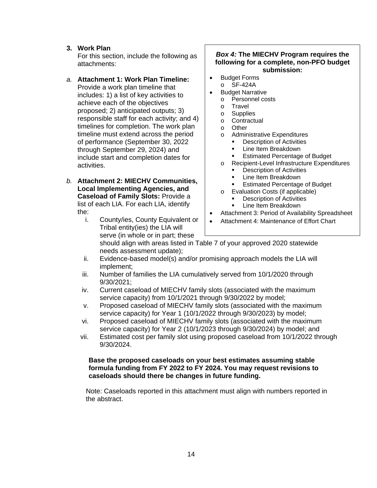# **3. Work Plan**

For this section, include the following as attachments:

# *a.* **Attachment 1: Work Plan Timeline:**

Provide a work plan timeline that includes: 1) a list of key activities to achieve each of the objectives proposed; 2) anticipated outputs; 3) responsible staff for each activity; and 4) timelines for completion. The work plan timeline must extend across the period of performance (September 30, 2022 through September 29, 2024) and include start and completion dates for activities.

#### *b.* **Attachment 2: MIECHV Communities, Local Implementing Agencies, and Caseload of Family Slots:** Provide a list of each LIA. For each LIA, identify the:

i. County/ies, County Equivalent or Tribal entity(ies) the LIA will serve (in whole or in part; these

#### *Box 4:* **The MIECHV Program requires the following for a complete, non-PFO budget submission:**

- Budget Forms
	- o SF-424A
- **Budget Narrative** 
	- o Personnel costs
	- o Travel<br>o Supplie
	- o Supplies<br>o Contractu
	- Contractual
	- o Other
	- o Administrative Expenditures
		- Description of Activities
		- Line Item Breakdown
		- **Estimated Percentage of Budget**
	- o Recipient-Level Infrastructure Expenditures
		- **•** Description of Activities
		- **Line Item Breakdown**
		- **Estimated Percentage of Budget**
	- o Evaluation Costs (if applicable)
		- Description of Activities
			- Line Item Breakdown
- Attachment 3: Period of Availability Spreadsheet
- Attachment 4: Maintenance of Effort Chart

should align with areas listed in Table 7 of your approved 2020 statewide needs assessment update);

- ii. Evidence-based model(s) and/or promising approach models the LIA will implement;
- iii. Number of families the LIA cumulatively served from 10/1/2020 through 9/30/2021;
- iv. Current caseload of MIECHV family slots (associated with the maximum service capacity) from 10/1/2021 through 9/30/2022 by model;
- v. Proposed caseload of MIECHV family slots (associated with the maximum service capacity) for Year 1 (10/1/2022 through 9/30/2023) by model;
- vi. Proposed caseload of MIECHV family slots (associated with the maximum service capacity) for Year 2 (10/1/2023 through 9/30/2024) by model; and
- vii. Estimated cost per family slot using proposed caseload from 10/1/2022 through 9/30/2024.

### **Base the proposed caseloads on your best estimates assuming stable formula funding from FY 2022 to FY 2024. You may request revisions to caseloads should there be changes in future funding.**

Note: Caseloads reported in this attachment must align with numbers reported in the abstract.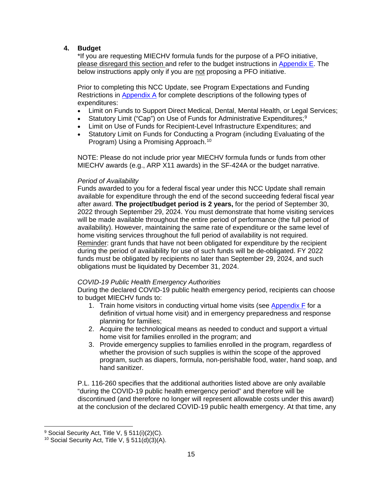# **4. Budget**

\*If you are requesting MIECHV formula funds for the purpose of a PFO initiative, please disregard this section and refer to the budget instructions in Appendix  $E$ . The below instructions apply only if you are not proposing a PFO initiative.

Prior to completing this NCC Update, see Program Expectations and Funding Restrictions in [Appendix A](#page-25-0) for complete descriptions of the following types of expenditures:

- Limit on Funds to Support Direct Medical, Dental, Mental Health, or Legal Services;
- Statutory Limit ("Cap") on Use of Funds for Administrative Expenditures;<sup>[9](#page-14-0)</sup>
- Limit on Use of Funds for Recipient-Level Infrastructure Expenditures; and
- Statutory Limit on Funds for Conducting a Program (including Evaluating of the Program) Using a Promising Approach.<sup>10</sup>

NOTE: Please do not include prior year MIECHV formula funds or funds from other MIECHV awards (e.g., ARP X11 awards) in the SF-424A or the budget narrative.

#### *Period of Availability*

Funds awarded to you for a federal fiscal year under this NCC Update shall remain available for expenditure through the end of the second succeeding federal fiscal year after award. **The project/budget period is 2 years,** for the period of September 30, 2022 through September 29, 2024. You must demonstrate that home visiting services will be made available throughout the entire period of performance (the full period of availability). However, maintaining the same rate of expenditure or the same level of home visiting services throughout the full period of availability is not required. Reminder: grant funds that have not been obligated for expenditure by the recipient during the period of availability for use of such funds will be de-obligated. FY 2022 funds must be obligated by recipients no later than September 29, 2024, and such obligations must be liquidated by December 31, 2024.

#### *COVID-19 Public Health Emergency Authorities*

During the declared COVID-19 public health emergency period, recipients can choose to budget MIECHV funds to:

- 1. Train home visitors in conducting virtual home visits (see [Appendix F](#page-58-0) for a definition of virtual home visit) and in emergency preparedness and response planning for families;
- 2. Acquire the technological means as needed to conduct and support a virtual home visit for families enrolled in the program; and
- 3. Provide emergency supplies to families enrolled in the program, regardless of whether the provision of such supplies is within the scope of the approved program, such as diapers, formula, non-perishable food, water, hand soap, and hand sanitizer.

P.L. 116-260 specifies that the additional authorities listed above are only available "during the COVID-19 public health emergency period" and therefore will be discontinued (and therefore no longer will represent allowable costs under this award) at the conclusion of the declared COVID-19 public health emergency. At that time, any

 $\overline{a}$ 

<span id="page-14-0"></span><sup>&</sup>lt;sup>9</sup> Social Security Act, Title V, § 511(i)(2)(C).

<span id="page-14-1"></span><sup>&</sup>lt;sup>10</sup> Social Security Act, Title V,  $\S$  511(d)(3)(A).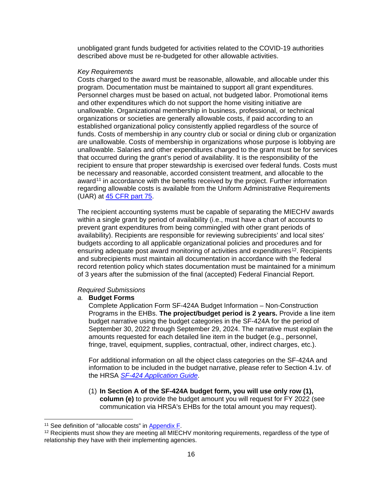unobligated grant funds budgeted for activities related to the COVID-19 authorities described above must be re-budgeted for other allowable activities.

#### *Key Requirements*

Costs charged to the award must be reasonable, allowable, and allocable under this program. Documentation must be maintained to support all grant expenditures. Personnel charges must be based on actual, not budgeted labor. Promotional items and other expenditures which do not support the home visiting initiative are unallowable. Organizational membership in business, professional, or technical organizations or societies are generally allowable costs, if paid according to an established organizational policy consistently applied regardless of the source of funds. Costs of membership in any country club or social or dining club or organization are unallowable. Costs of membership in organizations whose purpose is lobbying are unallowable. Salaries and other expenditures charged to the grant must be for services that occurred during the grant's period of availability. It is the responsibility of the recipient to ensure that proper stewardship is exercised over federal funds. Costs must be necessary and reasonable, accorded consistent treatment, and allocable to the award<sup>[11](#page-15-0)</sup> in accordance with the benefits received by the project. Further information regarding allowable costs is available from the Uniform Administrative Requirements (UAR) at [45 CFR part 75.](https://www.ecfr.gov/cgi-bin/text-idx?node=pt45.1.75)

The recipient accounting systems must be capable of separating the MIECHV awards within a single grant by period of availability (i.e., must have a chart of accounts to prevent grant expenditures from being commingled with other grant periods of availability). Recipients are responsible for reviewing subrecipients' and local sites' budgets according to all applicable organizational policies and procedures and for ensuring adequate post award monitoring of activities and expenditures<sup>12</sup>. Recipients and subrecipients must maintain all documentation in accordance with the federal record retention policy which states documentation must be maintained for a minimum of 3 years after the submission of the final (accepted) Federal Financial Report.

#### *Required Submissions*

#### *a.* **Budget Forms**

Complete Application Form SF-424A Budget Information – Non-Construction Programs in the EHBs. **The project/budget period is 2 years.** Provide a line item budget narrative using the budget categories in the SF-424A for the period of September 30, 2022 through September 29, 2024. The narrative must explain the amounts requested for each detailed line item in the budget (e.g., personnel, fringe, travel, equipment, supplies, contractual, other, indirect charges, etc.).

For additional information on all the object class categories on the SF-424A and information to be included in the budget narrative, please refer to Section 4.1v. of the HRSA *[SF-424 Application Guide](http://www.hrsa.gov/grants/apply/applicationguide/sf424guide.pdf)*.

(1) **In Section A of the SF-424A budget form, you will use only row (1), column (e)** to provide the budget amount you will request for FY 2022 (see communication via HRSA's EHBs for the total amount you may request).

<span id="page-15-0"></span><sup>&</sup>lt;sup>11</sup> See definition of "allocable costs" in Appendix F.

<span id="page-15-1"></span><sup>&</sup>lt;sup>12</sup> Recipients must show they are meeting all MIECHV monitoring requirements, regardless of the type of relationship they have with their implementing agencies.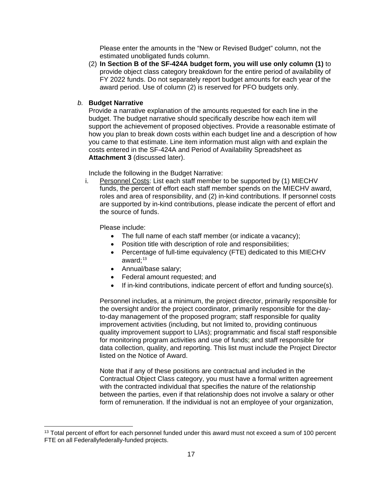Please enter the amounts in the "New or Revised Budget" column, not the estimated unobligated funds column.

- (2) **In Section B of the SF-424A budget form, you will use only column (1)** to provide object class category breakdown for the entire period of availability of FY 2022 funds. Do not separately report budget amounts for each year of the award period. Use of column (2) is reserved for PFO budgets only.
- *b.* **Budget Narrative**

Provide a narrative explanation of the amounts requested for each line in the budget. The budget narrative should specifically describe how each item will support the achievement of proposed objectives. Provide a reasonable estimate of how you plan to break down costs within each budget line and a description of how you came to that estimate. Line item information must align with and explain the costs entered in the SF-424A and Period of Availability Spreadsheet as **Attachment 3** (discussed later).

Include the following in the Budget Narrative:

<span id="page-16-0"></span>i. Personnel Costs: List each staff member to be supported by (1) MIECHV funds, the percent of effort each staff member spends on the MIECHV award, roles and area of responsibility, and (2) in-kind contributions. If personnel costs are supported by in-kind contributions, please indicate the percent of effort and the source of funds.

Please include:

 $\overline{a}$ 

- The full name of each staff member (or indicate a vacancy);
- Position title with description of role and responsibilities;
- Percentage of full-time equivalency (FTE) dedicated to this MIECHV award; [13](#page-16-1)
- Annual/base salary;
- Federal amount requested; and
- If in-kind contributions, indicate percent of effort and funding source(s).

Personnel includes, at a minimum, the project director, primarily responsible for the oversight and/or the project coordinator, primarily responsible for the dayto-day management of the proposed program; staff responsible for quality improvement activities (including, but not limited to, providing continuous quality improvement support to LIAs); programmatic and fiscal staff responsible for monitoring program activities and use of funds; and staff responsible for data collection, quality, and reporting. This list must include the Project Director listed on the Notice of Award.

Note that if any of these positions are contractual and included in the Contractual Object Class category, you must have a formal written agreement with the contracted individual that specifies the nature of the relationship between the parties, even if that relationship does not involve a salary or other form of remuneration. If the individual is not an employee of your organization,

<span id="page-16-1"></span><sup>&</sup>lt;sup>13</sup> Total percent of effort for each personnel funded under this award must not exceed a sum of 100 percent FTE on all Federallyfederally-funded projects.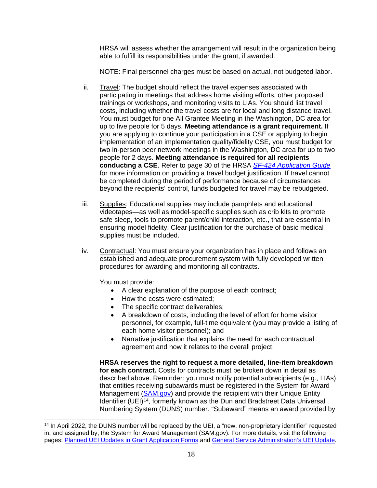HRSA will assess whether the arrangement will result in the organization being able to fulfill its responsibilities under the grant, if awarded.

NOTE: Final personnel charges must be based on actual, not budgeted labor.

- ii. Travel: The budget should reflect the travel expenses associated with participating in meetings that address home visiting efforts, other proposed trainings or workshops, and monitoring visits to LIAs. You should list travel costs, including whether the travel costs are for local and long distance travel. You must budget for one All Grantee Meeting in the Washington, DC area for up to five people for 5 days. **Meeting attendance is a grant requirement.** If you are applying to continue your participation in a CSE or applying to begin implementation of an implementation quality/fidelity CSE, you must budget for two in-person peer network meetings in the Washington, DC area for up to two people for 2 days. **Meeting attendance is required for all recipients conducting a CSE**. Refer to page 30 of the HRSA *[SF-424 Application Guide](http://www.hrsa.gov/grants/apply/applicationguide/sf424guide.pdf)* for more information on providing a travel budget justification. If travel cannot be completed during the period of performance because of circumstances beyond the recipients' control, funds budgeted for travel may be rebudgeted.
- iii. Supplies: Educational supplies may include pamphlets and educational videotapes—as well as model-specific supplies such as crib kits to promote safe sleep, tools to promote parent/child interaction, etc., that are essential in ensuring model fidelity. Clear justification for the purchase of basic medical supplies must be included.
- iv. Contractual: You must ensure your organization has in place and follows an established and adequate procurement system with fully developed written procedures for awarding and monitoring all contracts.

You must provide:

- A clear explanation of the purpose of each contract;
- How the costs were estimated:
- The specific contract deliverables;
- A breakdown of costs, including the level of effort for home visitor personnel, for example, full-time equivalent (you may provide a listing of each home visitor personnel); and
- Narrative justification that explains the need for each contractual agreement and how it relates to the overall project.

**HRSA reserves the right to request a more detailed, line-item breakdown for each contract.** Costs for contracts must be broken down in detail as described above. Reminder: you must notify potential subrecipients (e.g., LIAs) that entities receiving subawards must be registered in the System for Award Management [\(SAM.gov\)](https://sam.gov/content/home) and provide the recipient with their Unique Entity Identifier (UEI)<sup>[14](#page-17-0)</sup>, formerly known as the Dun and Bradstreet Data Universal Numbering System (DUNS) number. "Subaward" means an award provided by

<span id="page-17-0"></span> $\overline{a}$ <sup>14</sup> In April 2022, the DUNS number will be replaced by the UEI, a "new, non-proprietary identifier" requested in, and assigned by, the System for Award Management (SAM.gov). For more details, visit the following pages: [Planned UEI Updates in Grant Application Forms](https://www.grants.gov/web/grants/forms/planned-uei-updates.html) and [General Service Administration's UEI Update.](https://www.gsa.gov/entityid)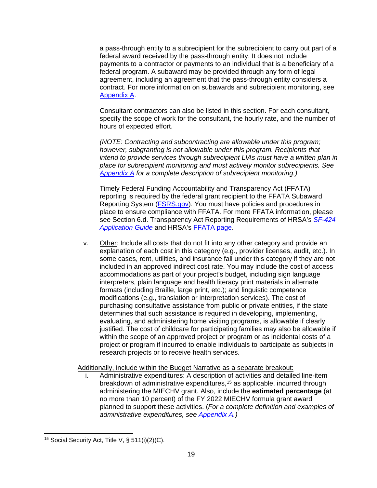a pass-through entity to a subrecipient for the subrecipient to carry out part of a federal award received by the pass-through entity. It does not include payments to a contractor or payments to an individual that is a beneficiary of a federal program. A subaward may be provided through any form of legal agreement, including an agreement that the pass-through entity considers a contract. For more information on subawards and subrecipient monitoring, see [Appendix A.](#page-31-0)

Consultant contractors can also be listed in this section. For each consultant, specify the scope of work for the consultant, the hourly rate, and the number of hours of expected effort.

*(NOTE: Contracting and subcontracting are allowable under this program; however, subgranting is not allowable under this program. Recipients that intend to provide services through subrecipient LIAs must have a written plan in place for subrecipient monitoring and must actively monitor subrecipients. See [Appendix A](#page-31-0) for a complete description of subrecipient monitoring.)* 

Timely Federal Funding Accountability and Transparency Act (FFATA) reporting is required by the federal grant recipient to the FFATA Subaward Reporting System [\(FSRS.gov\)](https://www.fsrs.gov/). You must have policies and procedures in place to ensure compliance with FFATA. For more FFATA information, please see Section 6.d. Transparency Act Reporting Requirements of HRSA's *[SF-424](http://www.hrsa.gov/grants/apply/applicationguide/sf424guide.pdf) [Application Guide](http://www.hrsa.gov/grants/apply/applicationguide/sf424guide.pdf)* and HRSA's [FFATA page.](https://www.hrsa.gov/grants/ffata.html)

v. Other: Include all costs that do not fit into any other category and provide an explanation of each cost in this category (e.g., provider licenses, audit, etc.). In some cases, rent, utilities, and insurance fall under this category if they are not included in an approved indirect cost rate. You may include the cost of access accommodations as part of your project's budget, including sign language interpreters, plain language and health literacy print materials in alternate formats (including Braille, large print, etc.); and linguistic competence modifications (e.g., translation or interpretation services). The cost of purchasing consultative assistance from public or private entities, if the state determines that such assistance is required in developing, implementing, evaluating, and administering home visiting programs, is allowable if clearly justified. The cost of childcare for participating families may also be allowable if within the scope of an approved project or program or as incidental costs of a project or program if incurred to enable individuals to participate as subjects in research projects or to receive health services.

Additionally, include within the Budget Narrative as a separate breakout:

i. Administrative expenditures: A description of activities and detailed line-item breakdown of administrative expenditures,<sup>[15](#page-18-0)</sup> as applicable, incurred through administering the MIECHV grant. Also, include the **estimated percentage** (at no more than 10 percent) of the FY 2022 MIECHV formula grant award planned to support these activities. (*For a complete definition and examples of administrative expenditures, see [Appendix A.](#page-25-0))*

<span id="page-18-0"></span> $\overline{a}$ <sup>15</sup> Social Security Act, Title V,  $\S$  511(i)(2)(C).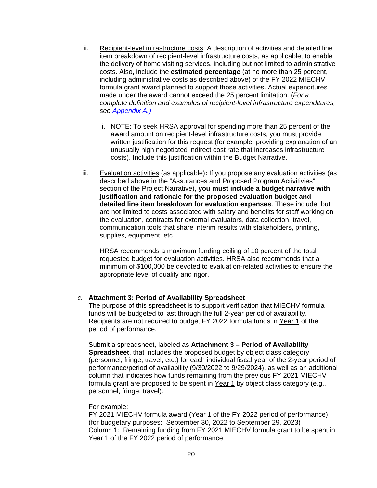- ii. Recipient-level infrastructure costs: A description of activities and detailed line item breakdown of recipient-level infrastructure costs, as applicable, to enable the delivery of home visiting services, including but not limited to administrative costs. Also, include the **estimated percentage** (at no more than 25 percent, including administrative costs as described above) of the FY 2022 MIECHV formula grant award planned to support those activities. Actual expenditures made under the award cannot exceed the 25 percent limitation. (*For a complete definition and examples of recipient-level infrastructure expenditures, see [Appendix A.\)](#page-34-0)*
	- i. NOTE: To seek HRSA approval for spending more than 25 percent of the award amount on recipient-level infrastructure costs, you must provide written justification for this request (for example, providing explanation of an unusually high negotiated indirect cost rate that increases infrastructure costs). Include this justification within the Budget Narrative.
- <span id="page-19-0"></span>iii. Evaluation activities (as applicable)**:** If you propose any evaluation activities (as described above in the "Assurances and Proposed Program Activitivies" section of the Project Narrative), **you must include a budget narrative with justification and rationale for the proposed evaluation budget and detailed line item breakdown for evaluation expenses**. These include, but are not limited to costs associated with salary and benefits for staff working on the evaluation, contracts for external evaluators, data collection, travel, communication tools that share interim results with stakeholders, printing, supplies, equipment, etc.

HRSA recommends a maximum funding ceiling of 10 percent of the total requested budget for evaluation activities. HRSA also recommends that a minimum of \$100,000 be devoted to evaluation-related activities to ensure the appropriate level of quality and rigor.

#### *c.* **Attachment 3: Period of Availability Spreadsheet**

The purpose of this spreadsheet is to support verification that MIECHV formula funds will be budgeted to last through the full 2-year period of availability. Recipients are not required to budget FY 2022 formula funds in Year 1 of the period of performance.

Submit a spreadsheet, labeled as **Attachment 3 – Period of Availability Spreadsheet**, that includes the proposed budget by object class category (personnel, fringe, travel, etc.) for each individual fiscal year of the 2-year period of performance/period of availability (9/30/2022 to 9/29/2024), as well as an additional column that indicates how funds remaining from the previous FY 2021 MIECHV formula grant are proposed to be spent in Year 1 by object class category (e.g., personnel, fringe, travel).

#### For example:

FY 2021 MIECHV formula award (Year 1 of the FY 2022 period of performance) (for budgetary purposes: September 30, 2022 to September 29, 2023) Column 1: Remaining funding from FY 2021 MIECHV formula grant to be spent in Year 1 of the FY 2022 period of performance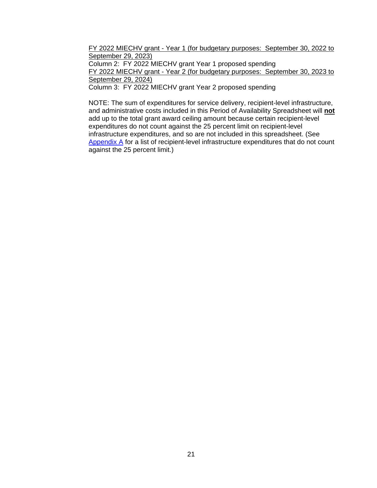FY 2022 MIECHV grant - Year 1 (for budgetary purposes: September 30, 2022 to September 29, 2023)

Column 2: FY 2022 MIECHV grant Year 1 proposed spending

FY 2022 MIECHV grant - Year 2 (for budgetary purposes: September 30, 2023 to September 29, 2024)

Column 3: FY 2022 MIECHV grant Year 2 proposed spending

NOTE: The sum of expenditures for service delivery, recipient-level infrastructure, and administrative costs included in this Period of Availability Spreadsheet will **not** add up to the total grant award ceiling amount because certain recipient-level expenditures do not count against the 25 percent limit on recipient-level infrastructure expenditures, and so are not included in this spreadsheet. (See [Appendix A](#page-34-0) for a list of recipient-level infrastructure expenditures that do not count against the 25 percent limit.)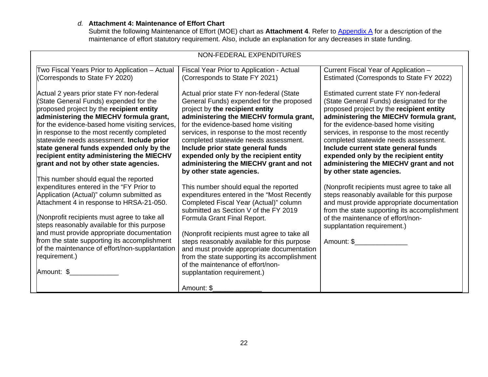# *d.* **Attachment 4: Maintenance of Effort Chart**

Submit the following Maintenance of Effort (MOE) chart as Attachment 4. Refer to **Appendix A** for a description of the maintenance of effort statutory requirement. Also, include an explanation for any decreases in state funding.

| NON-FEDERAL EXPENDITURES                                                                                                                                                                                                                                                                                                                                                                                                                                 |                                                                                                                                                                                                                                                                                                                                                                                                                                                                        |                                                                                                                                                                                                                                                                                   |  |
|----------------------------------------------------------------------------------------------------------------------------------------------------------------------------------------------------------------------------------------------------------------------------------------------------------------------------------------------------------------------------------------------------------------------------------------------------------|------------------------------------------------------------------------------------------------------------------------------------------------------------------------------------------------------------------------------------------------------------------------------------------------------------------------------------------------------------------------------------------------------------------------------------------------------------------------|-----------------------------------------------------------------------------------------------------------------------------------------------------------------------------------------------------------------------------------------------------------------------------------|--|
| Two Fiscal Years Prior to Application - Actual<br>(Corresponds to State FY 2020)<br>Actual 2 years prior state FY non-federal<br>(State General Funds) expended for the<br>proposed project by the recipient entity<br>administering the MIECHV formula grant,                                                                                                                                                                                           | Fiscal Year Prior to Application - Actual<br>(Corresponds to State FY 2021)<br>Actual prior state FY non-federal (State<br>General Funds) expended for the proposed<br>project by the recipient entity<br>administering the MIECHV formula grant,                                                                                                                                                                                                                      | Current Fiscal Year of Application -<br>Estimated (Corresponds to State FY 2022)<br>Estimated current state FY non-federal<br>(State General Funds) designated for the<br>proposed project by the recipient entity<br>administering the MIECHV formula grant,                     |  |
| for the evidence-based home visiting services,<br>in response to the most recently completed<br>statewide needs assessment. Include prior<br>state general funds expended only by the<br>recipient entity administering the MIECHV<br>grant and not by other state agencies.                                                                                                                                                                             | for the evidence-based home visiting<br>services, in response to the most recently<br>completed statewide needs assessment.<br>Include prior state general funds<br>expended only by the recipient entity<br>administering the MIECHV grant and not<br>by other state agencies.                                                                                                                                                                                        | for the evidence-based home visiting<br>services, in response to the most recently<br>completed statewide needs assessment.<br>Include current state general funds<br>expended only by the recipient entity<br>administering the MIECHV grant and not<br>by other state agencies. |  |
| This number should equal the reported<br>expenditures entered in the "FY Prior to<br>Application (Actual)" column submitted as<br>Attachment 4 in response to HRSA-21-050.<br>(Nonprofit recipients must agree to take all<br>steps reasonably available for this purpose<br>and must provide appropriate documentation<br>from the state supporting its accomplishment<br>of the maintenance of effort/non-supplantation<br>requirement.)<br>Amount: \$ | This number should equal the reported<br>expenditures entered in the "Most Recently<br>Completed Fiscal Year (Actual)" column<br>submitted as Section V of the FY 2019<br>Formula Grant Final Report.<br>(Nonprofit recipients must agree to take all<br>steps reasonably available for this purpose<br>and must provide appropriate documentation<br>from the state supporting its accomplishment<br>of the maintenance of effort/non-<br>supplantation requirement.) | (Nonprofit recipients must agree to take all<br>steps reasonably available for this purpose<br>and must provide appropriate documentation<br>from the state supporting its accomplishment<br>of the maintenance of effort/non-<br>supplantation requirement.)<br>Amount: \$       |  |
|                                                                                                                                                                                                                                                                                                                                                                                                                                                          | Amount: \$                                                                                                                                                                                                                                                                                                                                                                                                                                                             |                                                                                                                                                                                                                                                                                   |  |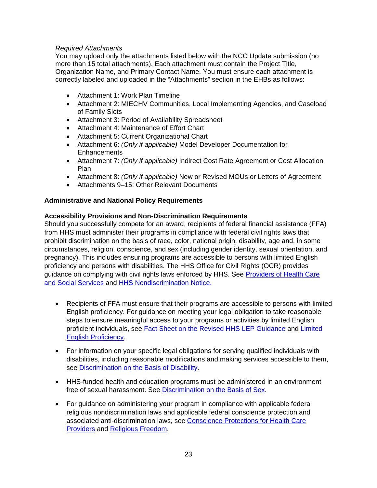# *Required Attachments*

You may upload only the attachments listed below with the NCC Update submission (no more than 15 total attachments). Each attachment must contain the Project Title, Organization Name, and Primary Contact Name. You must ensure each attachment is correctly labeled and uploaded in the "Attachments" section in the EHBs as follows:

- Attachment 1: Work Plan Timeline
- Attachment 2: MIECHV Communities, Local Implementing Agencies, and Caseload of Family Slots
- Attachment 3: Period of Availability Spreadsheet
- Attachment 4: Maintenance of Effort Chart
- Attachment 5: Current Organizational Chart
- Attachment 6: *(Only if applicable)* Model Developer Documentation for **Enhancements**
- Attachment 7: *(Only if applicable)* Indirect Cost Rate Agreement or Cost Allocation Plan
- Attachment 8: *(Only if applicable)* New or Revised MOUs or Letters of Agreement
- Attachments 9–15: Other Relevant Documents

# **Administrative and National Policy Requirements**

# **Accessibility Provisions and Non-Discrimination Requirements**

Should you successfully compete for an award, recipients of federal financial assistance (FFA) from HHS must administer their programs in compliance with federal civil rights laws that prohibit discrimination on the basis of race, color, national origin, disability, age and, in some circumstances, religion, conscience, and sex (including gender identity, sexual orientation, and pregnancy). This includes ensuring programs are accessible to persons with limited English proficiency and persons with disabilities. The HHS Office for Civil Rights (OCR) provides guidance on complying with civil rights laws enforced by HHS. See [Providers of Health Care](https://www.hhs.gov/civil-rights/for-providers/provider-obligations/index.html)  [and Social Services](https://www.hhs.gov/civil-rights/for-providers/provider-obligations/index.html) and [HHS Nondiscrimination Notice.](https://www.hhs.gov/civil-rights/for-individuals/nondiscrimination/index.html)

- Recipients of FFA must ensure that their programs are accessible to persons with limited English proficiency. For guidance on meeting your legal obligation to take reasonable steps to ensure meaningful access to your programs or activities by limited English proficient individuals, see [Fact Sheet on the Revised HHS LEP Guidance](https://www.hhs.gov/civil-rights/for-individuals/special-topics/limited-english-proficiency/fact-sheet-guidance/index.html) and Limited [English Proficiency.](https://www.lep.gov/)
- For information on your specific legal obligations for serving qualified individuals with disabilities, including reasonable modifications and making services accessible to them, see [Discrimination on the Basis of Disability.](http://www.hhs.gov/ocr/civilrights/understanding/disability/index.html)
- HHS-funded health and education programs must be administered in an environment free of sexual harassment. See [Discrimination on the Basis of Sex.](https://www.hhs.gov/civil-rights/for-individuals/sex-discrimination/index.html)
- For guidance on administering your program in compliance with applicable federal religious nondiscrimination laws and applicable federal conscience protection and associated anti-discrimination laws, see [Conscience Protections for Health Care](https://www.hhs.gov/conscience/conscience-protections/index.html)  [Providers](https://www.hhs.gov/conscience/conscience-protections/index.html) and [Religious Freedom.](https://www.hhs.gov/conscience/religious-freedom/index.html)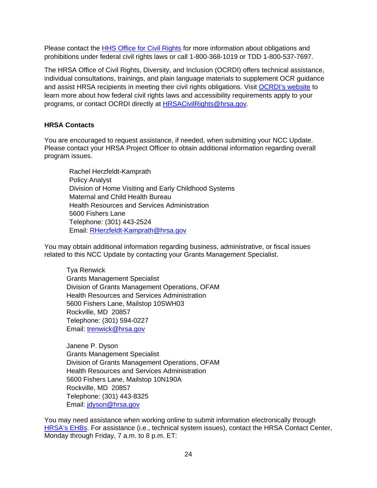Please contact the [HHS Office for Civil Rights](https://www.hhs.gov/ocr/about-us/contact-us/index.html) for more information about obligations and prohibitions under federal civil rights laws or call 1-800-368-1019 or TDD 1-800-537-7697.

The HRSA Office of Civil Rights, Diversity, and Inclusion (OCRDI) offers technical assistance, individual consultations, trainings, and plain language materials to supplement OCR guidance and assist HRSA recipients in meeting their civil rights obligations. Visit [OCRDI's website](https://www.hrsa.gov/about/organization/bureaus/ocrdi#recipients) to learn more about how federal civil rights laws and accessibility requirements apply to your programs, or contact OCRDI directly at [HRSACivilRights@hrsa.gov.](mailto:HRSACivilRights@hrsa.gov)

# <span id="page-23-0"></span>**HRSA Contacts**

You are encouraged to request assistance, if needed, when submitting your NCC Update. Please contact your HRSA Project Officer to obtain additional information regarding overall program issues.

Rachel Herzfeldt-Kamprath Policy Analyst Division of Home Visiting and Early Childhood Systems Maternal and Child Health Bureau Health Resources and Services Administration 5600 Fishers Lane Telephone: (301) 443-2524 Email: [RHerzfeldt-Kamprath@hrsa.gov](mailto:RHerzfeldt-Kamprath@hrsa.gov)

You may obtain additional information regarding business, administrative, or fiscal issues related to this NCC Update by contacting your Grants Management Specialist.

Tya Renwick Grants Management Specialist Division of Grants Management Operations, OFAM Health Resources and Services Administration 5600 Fishers Lane, Mailstop 10SWH03 Rockville, MD 20857 Telephone: (301) 594-0227 Email: [trenwick@hrsa.gov](mailto:trenwick@hrsa.gov) 

Janene P. Dyson Grants Management Specialist Division of Grants Management Operations, OFAM Health Resources and Services Administration 5600 Fishers Lane, Mailstop 10N190A Rockville, MD 20857 Telephone: (301) 443-8325 Email: [jdyson@hrsa.gov](mailto:jdyson@hrsa.gov)

You may need assistance when working online to submit information electronically through [HRSA's EHBs.](https://grants.hrsa.gov/2010/WebEPSExternal/Interface/Common/AccessControl/Login.aspx) For assistance (i.e., technical system issues), contact the HRSA Contact Center, Monday through Friday, 7 a.m. to 8 p.m. ET: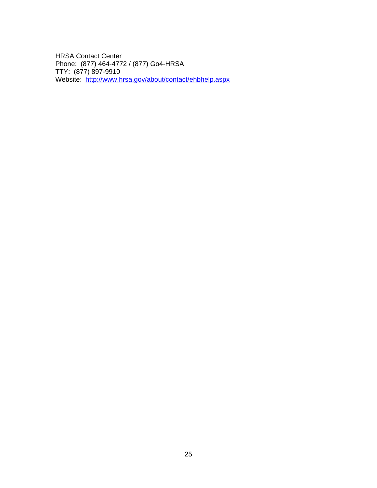HRSA Contact Center Phone: (877) 464-4772 / (877) Go4-HRSA TTY: (877) 897-9910 Website: <u><http://www.hrsa.gov/about/contact/ehbhelp.aspx></u>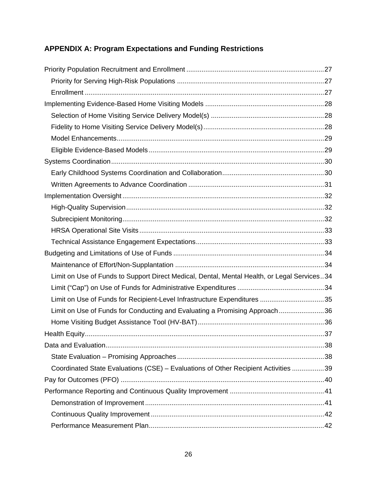# <span id="page-25-0"></span>**APPENDIX A: Program Expectations and Funding Restrictions**

| Limit on Use of Funds to Support Direct Medical, Dental, Mental Health, or Legal Services34 |  |
|---------------------------------------------------------------------------------------------|--|
|                                                                                             |  |
| Limit on Use of Funds for Recipient-Level Infrastructure Expenditures 35                    |  |
| Limit on Use of Funds for Conducting and Evaluating a Promising Approach36                  |  |
|                                                                                             |  |
|                                                                                             |  |
|                                                                                             |  |
|                                                                                             |  |
| Coordinated State Evaluations (CSE) – Evaluations of Other Recipient Activities 39          |  |
|                                                                                             |  |
|                                                                                             |  |
|                                                                                             |  |
|                                                                                             |  |
|                                                                                             |  |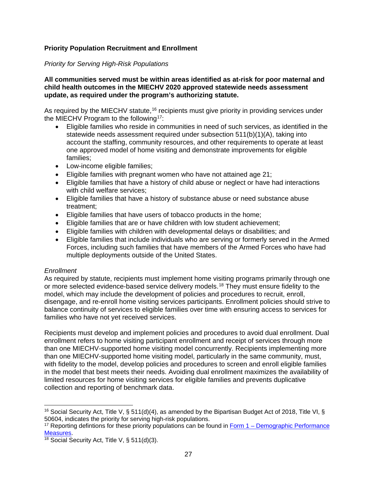# <span id="page-26-0"></span>**Priority Population Recruitment and Enrollment**

### <span id="page-26-1"></span>*Priority for Serving High-Risk Populations*

#### **All communities served must be within areas identified as at-risk for poor maternal and child health outcomes in the MIECHV 2020 approved statewide needs assessment update, as required under the program's authorizing statute.**

As required by the MIECHV statute,<sup>[16](#page-26-3)</sup> recipients must give priority in providing services under the MIECHV Program to the following<sup>[17](#page-26-4)</sup>:

- Eligible families who reside in communities in need of such services, as identified in the statewide needs assessment required under subsection  $511(b)(1)(A)$ , taking into account the staffing, community resources, and other requirements to operate at least one approved model of home visiting and demonstrate improvements for eligible families;
- Low-income eligible families;
- Eligible families with pregnant women who have not attained age 21;
- Eligible families that have a history of child abuse or neglect or have had interactions with child welfare services;
- Eligible families that have a history of substance abuse or need substance abuse treatment;
- Eligible families that have users of tobacco products in the home;
- Eligible families that are or have children with low student achievement;
- Eligible families with children with developmental delays or disabilities; and
- Eligible families that include individuals who are serving or formerly served in the Armed Forces, including such families that have members of the Armed Forces who have had multiple deployments outside of the United States.

# <span id="page-26-2"></span>*Enrollment*

 $\overline{a}$ 

As required by statute, recipients must implement home visiting programs primarily through one or more selected evidence-based service delivery models.<sup>[18](#page-26-5)</sup> They must ensure fidelity to the model, which may include the development of policies and procedures to recruit, enroll, disengage, and re-enroll home visiting services participants. Enrollment policies should strive to balance continuity of services to eligible families over time with ensuring access to services for families who have not yet received services.

Recipients must develop and implement policies and procedures to avoid dual enrollment. Dual enrollment refers to home visiting participant enrollment and receipt of services through more than one MIECHV-supported home visiting model concurrently. Recipients implementing more than one MIECHV-supported home visiting model, particularly in the same community, must, with fidelity to the model, develop policies and procedures to screen and enroll eligible families in the model that best meets their needs. Avoiding dual enrollment maximizes the availability of limited resources for home visiting services for eligible families and prevents duplicative collection and reporting of benchmark data.

<span id="page-26-3"></span><sup>&</sup>lt;sup>16</sup> Social Security Act, Title V, § 511(d)(4), as amended by the Bipartisan Budget Act of 2018, Title VI, § 50604, indicates the priority for serving high-risk populations.

<span id="page-26-4"></span><sup>&</sup>lt;sup>17</sup> Reporting defintions for these priority populations can be found in  $Form 1 – Demographic Performance Measures.$ </u>

<span id="page-26-5"></span><sup>&</sup>lt;sup>18</sup> Social Security Act, Title V, § 511(d)(3).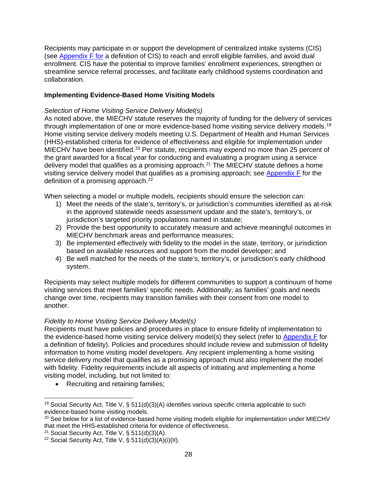Recipients may participate in or support the development of centralized intake systems (CIS) (see [Appendix F](#page-58-0) for a definition of CIS) to reach and enroll eligible families, and avoid dual enrollment. CIS have the potential to improve families' enrollment experiences, strengthen or streamline service referral processes, and facilitate early childhood systems coordination and collaboration.

# <span id="page-27-0"></span>**Implementing Evidence-Based Home Visiting Models**

# <span id="page-27-1"></span>*Selection of Home Visiting Service Delivery Model(s)*

As noted above, the MIECHV statute reserves the majority of funding for the delivery of services through implementation of one or more evidence-based home visiting service delivery models.<sup>[19](#page-27-3)</sup> Home visiting service delivery models meeting U.S. Department of Health and Human Services (HHS)-established criteria for evidence of effectiveness and eligible for implementation under MIECHV have been identified.[20](#page-27-4) Per statute, recipients may expend no more than 25 percent of the grant awarded for a fiscal year for conducting and evaluating a program using a service delivery model that qualifies as a promising approach.<sup>[21](#page-27-5)</sup> The MIECHV statute defines a home visiting service delivery model that qualifies as a promising approach; see [Appendix F](#page-58-0) for the definition of a promising approach.<sup>22</sup>

When selecting a model or multiple models, recipients should ensure the selection can:

- 1) Meet the needs of the state's, territory's, or jurisdiction's communities identified as at-risk in the approved statewide needs assessment update and the state's, territory's, or jurisdiction's targeted priority populations named in statute;
- 2) Provide the best opportunity to accurately measure and achieve meaningful outcomes in MIECHV benchmark areas and performance measures;
- 3) Be implemented effectively with fidelity to the model in the state, territory, or jurisdiction based on available resources and support from the model developer; and
- 4) Be well matched for the needs of the state's, territory's, or jurisdiction's early childhood system.

Recipients may select multiple models for different communities to support a continuum of home visiting services that meet families' specific needs. Additionally, as families' goals and needs change over time, recipients may transition families with their consent from one model to another.

# <span id="page-27-2"></span>*Fidelity to Home Visiting Service Delivery Model(s)*

Recipients must have policies and procedures in place to ensure fidelity of implementation to the evidence-based home visiting service delivery model(s) they select (refer to [Appendix F](#page-58-0) for a definition of fidelity). Policies and procedures should include review and submission of fidelity information to home visiting model developers. Any recipient implementing a home visiting service delivery model that qualifies as a promising approach must also implement the model with fidelity. Fidelity requirements include all aspects of initiating and implementing a home visiting model, including, but not limited to:

• Recruiting and retaining families:

<span id="page-27-3"></span> $\overline{a}$ <sup>19</sup> Social Security Act, Title V, § 511(d)(3)(A) identifies various specific criteria applicable to such evidence-based home visiting models.

<span id="page-27-4"></span><sup>&</sup>lt;sup>20</sup> See below for a list of evidence-based home visiting models eligible for implementation under MIECHV that meet the HHS-established criteria for evidence of effectiveness.

<span id="page-27-5"></span><sup>21</sup> Social Security Act, Title V, § 511(d)(3)(A).

<span id="page-27-6"></span><sup>&</sup>lt;sup>22</sup> Social Security Act, Title V, § 511(d)(3)(A)(i)(II).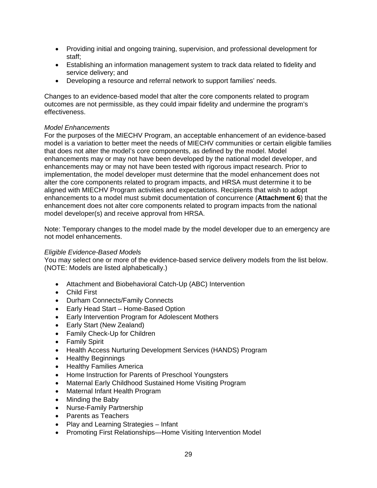- Providing initial and ongoing training, supervision, and professional development for staff;
- Establishing an information management system to track data related to fidelity and service delivery; and
- Developing a resource and referral network to support families' needs.

Changes to an evidence-based model that alter the core components related to program outcomes are not permissible, as they could impair fidelity and undermine the program's effectiveness.

#### <span id="page-28-0"></span>*Model Enhancements*

For the purposes of the MIECHV Program, an acceptable enhancement of an evidence-based model is a variation to better meet the needs of MIECHV communities or certain eligible families that does not alter the model's core components, as defined by the model. Model enhancements may or may not have been developed by the national model developer, and enhancements may or may not have been tested with rigorous impact research. Prior to implementation, the model developer must determine that the model enhancement does not alter the core components related to program impacts, and HRSA must determine it to be aligned with MIECHV Program activities and expectations. Recipients that wish to adopt enhancements to a model must submit documentation of concurrence (**Attachment 6**) that the enhancement does not alter core components related to program impacts from the national model developer(s) and receive approval from HRSA.

Note: Temporary changes to the model made by the model developer due to an emergency are not model enhancements.

#### <span id="page-28-1"></span>*Eligible Evidence-Based Models*

You may select one or more of the evidence-based service delivery models from the list below. (NOTE: Models are listed alphabetically.)

- Attachment and Biobehavioral Catch-Up (ABC) Intervention
- Child First
- Durham Connects/Family Connects
- Early Head Start Home-Based Option
- Early Intervention Program for Adolescent Mothers
- Early Start (New Zealand)
- Family Check-Up for Children
- Family Spirit
- Health Access Nurturing Development Services (HANDS) Program
- Healthy Beginnings
- Healthy Families America
- Home Instruction for Parents of Preschool Youngsters
- Maternal Early Childhood Sustained Home Visiting Program
- Maternal Infant Health Program
- Minding the Baby
- Nurse-Family Partnership
- Parents as Teachers
- Play and Learning Strategies Infant
- Promoting First Relationships—Home Visiting Intervention Model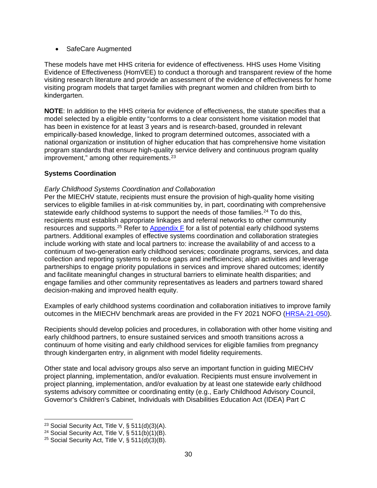### • SafeCare Augmented

These models have met HHS criteria for evidence of effectiveness. HHS uses Home Visiting Evidence of Effectiveness (HomVEE) to conduct a thorough and transparent review of the home visiting research literature and provide an assessment of the evidence of effectiveness for home visiting program models that target families with pregnant women and children from birth to kindergarten.

**NOTE**: In addition to the HHS criteria for evidence of effectiveness, the statute specifies that a model selected by a eligible entity "conforms to a clear consistent home visitation model that has been in existence for at least 3 years and is research-based, grounded in relevant empirically-based knowledge, linked to program determined outcomes, associated with a national organization or institution of higher education that has comprehensive home visitation program standards that ensure high-quality service delivery and continuous program quality improvement," among other requirements. $23$ 

# <span id="page-29-0"></span>**Systems Coordination**

### <span id="page-29-1"></span>*Early Childhood Systems Coordination and Collaboration*

Per the MIECHV statute, recipients must ensure the provision of high-quality home visiting services to eligible families in at-risk communities by, in part, coordinating with comprehensive statewide early childhood systems to support the needs of those families.<sup>[24](#page-29-3)</sup> To do this, recipients must establish appropriate linkages and referral networks to other community resources and supports.<sup>25</sup> Refer to Appendix  $F$  for a list of potential early childhood systems partners. Additional examples of effective systems coordination and collaboration strategies include working with state and local partners to: increase the availability of and access to a continuum of two-generation early childhood services; coordinate programs, services, and data collection and reporting systems to reduce gaps and inefficiencies; align activities and leverage partnerships to engage priority populations in services and improve shared outcomes; identify and facilitate meaningful changes in structural barriers to eliminate health disparities; and engage families and other community representatives as leaders and partners toward shared decision-making and improved health equity.

Examples of early childhood systems coordination and collaboration initiatives to improve family outcomes in the MIECHV benchmark areas are provided in the FY 2021 NOFO [\(HRSA-21-050\)](https://grants.hrsa.gov/2010/web2external/Interface/Common/EHBDisplayAttachment.aspx?dm_rtc=16&dm_attid=e675275b-0d47-4673-b638-0bb1c4f1cb31&dm_attinst=0).

Recipients should develop policies and procedures, in collaboration with other home visiting and early childhood partners, to ensure sustained services and smooth transitions across a continuum of home visiting and early childhood services for eligible families from pregnancy through kindergarten entry, in alignment with model fidelity requirements.

Other state and local advisory groups also serve an important function in guiding MIECHV project planning, implementation, and/or evaluation. Recipients must ensure involvement in project planning, implementation, and/or evaluation by at least one statewide early childhood systems advisory committee or coordinating entity (e.g., Early Childhood Advisory Council, Governor's Children's Cabinet, Individuals with Disabilities Education Act (IDEA) Part C

<span id="page-29-2"></span> $\overline{a}$ <sup>23</sup> Social Security Act, Title V, § 511(d)(3)(A).

<span id="page-29-3"></span><sup>&</sup>lt;sup>24</sup> Social Security Act, Title V,  $\S$  511(b)(1)(B).

<span id="page-29-4"></span><sup>&</sup>lt;sup>25</sup> Social Security Act, Title V,  $\S$  511(d)(3)(B).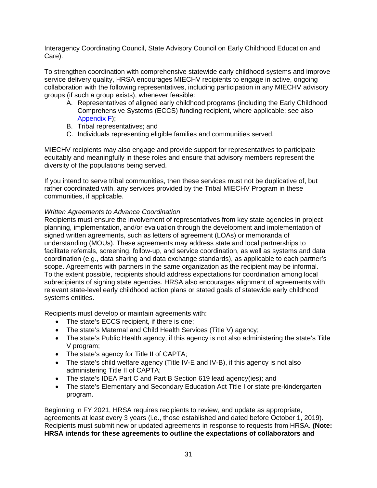Interagency Coordinating Council, State Advisory Council on Early Childhood Education and Care).

To strengthen coordination with comprehensive statewide early childhood systems and improve service delivery quality, HRSA encourages MIECHV recipients to engage in active, ongoing collaboration with the following representatives, including participation in any MIECHV advisory groups (if such a group exists), whenever feasible:

- A. Representatives of aligned early childhood programs (including the Early Childhood Comprehensive Systems (ECCS) funding recipient, where applicable; see also [Appendix F\)](#page-58-0);
- B. Tribal representatives; and
- C. Individuals representing eligible families and communities served.

MIECHV recipients may also engage and provide support for representatives to participate equitably and meaningfully in these roles and ensure that advisory members represent the diversity of the populations being served.

If you intend to serve tribal communities, then these services must not be duplicative of, but rather coordinated with, any services provided by the Tribal MIECHV Program in these communities, if applicable.

# <span id="page-30-0"></span>*Written Agreements to Advance Coordination*

Recipients must ensure the involvement of representatives from key state agencies in project planning, implementation, and/or evaluation through the development and implementation of signed written agreements, such as letters of agreement (LOAs) or memoranda of understanding (MOUs). These agreements may address state and local partnerships to facilitate referrals, screening, follow-up, and service coordination, as well as systems and data coordination (e.g., data sharing and data exchange standards), as applicable to each partner's scope. Agreements with partners in the same organization as the recipient may be informal. To the extent possible, recipients should address expectations for coordination among local subrecipients of signing state agencies. HRSA also encourages alignment of agreements with relevant state-level early childhood action plans or stated goals of statewide early childhood systems entities.

Recipients must develop or maintain agreements with:

- The state's ECCS recipient, if there is one;
- The state's Maternal and Child Health Services (Title V) agency;
- The state's Public Health agency, if this agency is not also administering the state's Title V program;
- The state's agency for Title II of CAPTA;
- The state's child welfare agency (Title IV-E and IV-B), if this agency is not also administering Title II of CAPTA;
- The state's IDEA Part C and Part B Section 619 lead agency(ies); and
- The state's Elementary and Secondary Education Act Title I or state pre-kindergarten program.

Beginning in FY 2021, HRSA requires recipients to review, and update as appropriate, agreements at least every 3 years (i.e., those established and dated before October 1, 2019). Recipients must submit new or updated agreements in response to requests from HRSA. **(Note: HRSA intends for these agreements to outline the expectations of collaborators and**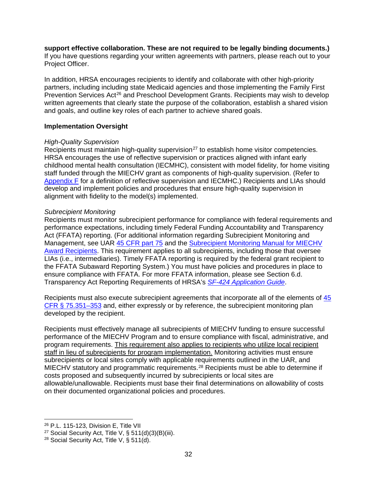#### **support effective collaboration. These are not required to be legally binding documents.)**

If you have questions regarding your written agreements with partners, please reach out to your Project Officer.

In addition, HRSA encourages recipients to identify and collaborate with other high-priority partners, including including state Medicaid agencies and those implementing the Family First Prevention Services Act<sup>[26](#page-31-3)</sup> and Preschool Development Grants. Recipients may wish to develop written agreements that clearly state the purpose of the collaboration, establish a shared vision and goals, and outline key roles of each partner to achieve shared goals.

#### <span id="page-31-1"></span>**Implementation Oversight**

#### <span id="page-31-2"></span>*High-Quality Supervision*

Recipients must maintain high-quality supervision<sup>[27](#page-31-4)</sup> to establish home visitor competencies. HRSA encourages the use of reflective supervision or practices aligned with infant early childhood mental health consultation (IECMHC), consistent with model fidelity, for home visiting staff funded through the MIECHV grant as components of high-quality supervision. (Refer to [Appendix F](#page-58-0) for a definition of reflective supervision and IECMHC.) Recipients and LIAs should develop and implement policies and procedures that ensure high-quality supervision in alignment with fidelity to the model(s) implemented.

#### <span id="page-31-0"></span>*Subrecipient Monitoring*

Recipients must monitor subrecipient performance for compliance with federal requirements and performance expectations, including timely Federal Funding Accountability and Transparency Act (FFATA) reporting. (For additional information regarding Subrecipient Monitoring and Management, see UAR [45 CFR part 75](https://www.ecfr.gov/cgi-bin/text-idx?node=pt45.1.75) and the Subrecipient Monitoring Manual for MIECHV [Award Recipients.](https://mchb.hrsa.gov/sites/default/files/mchb/MaternalChildHealthInitiatives/HomeVisiting/srm-manual-august-2018.pdf) This requirement applies to all subrecipients, including those that oversee LIAs (i.e., intermediaries). Timely FFATA reporting is required by the federal grant recipient to the FFATA Subaward Reporting System.) You must have policies and procedures in place to ensure compliance with FFATA. For more FFATA information, please see Section 6.d. Transparency Act Reporting Requirements of HRSA's *[SF-424 Application Guide](http://www.hrsa.gov/grants/apply/applicationguide/sf424guide.pdf)*.

Recipients must also execute subrecipient agreements that incorporate all of the elements of [45](https://www.ecfr.gov/cgi-bin/text-idx?node=pt45.1.75#sg45.1.75_1344_675_1350.sg4)  [CFR § 75.351–353](https://www.ecfr.gov/cgi-bin/text-idx?node=pt45.1.75#sg45.1.75_1344_675_1350.sg4) and, either expressly or by reference, the subrecipient monitoring plan developed by the recipient.

Recipients must effectively manage all subrecipients of MIECHV funding to ensure successful performance of the MIECHV Program and to ensure compliance with fiscal, administrative, and program requirements. This requirement also applies to recipients who utilize local recipient staff in lieu of subrecipients for program implementation. Monitoring activities must ensure subrecipients or local sites comply with applicable requirements outlined in the UAR, and MIECHV statutory and programmatic requirements.[28](#page-31-5) Recipients must be able to determine if costs proposed and subsequently incurred by subrecipients or local sites are allowable/unallowable. Recipients must base their final determinations on allowability of costs on their documented organizational policies and procedures.

<span id="page-31-3"></span> $\overline{a}$ <sup>26</sup> P.L. 115-123, Division E, Title VII

<span id="page-31-4"></span><sup>&</sup>lt;sup>27</sup> Social Security Act, Title V, § 511(d)(3)(B)(iii).

<span id="page-31-5"></span><sup>&</sup>lt;sup>28</sup> Social Security Act, Title V, § 511(d).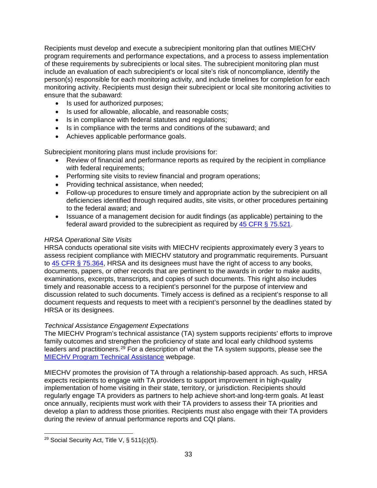Recipients must develop and execute a subrecipient monitoring plan that outlines MIECHV program requirements and performance expectations, and a process to assess implementation of these requirements by subrecipients or local sites. The subrecipient monitoring plan must include an evaluation of each subrecipient's or local site's risk of noncompliance, identify the person(s) responsible for each monitoring activity, and include timelines for completion for each monitoring activity. Recipients must design their subrecipient or local site monitoring activities to ensure that the subaward:

- Is used for authorized purposes;
- Is used for allowable, allocable, and reasonable costs;
- Is in compliance with federal statutes and regulations;
- Is in compliance with the terms and conditions of the subaward; and
- Achieves applicable performance goals.

Subrecipient monitoring plans must include provisions for:

- Review of financial and performance reports as required by the recipient in compliance with federal requirements;
- Performing site visits to review financial and program operations;
- Providing technical assistance, when needed;
- Follow-up procedures to ensure timely and appropriate action by the subrecipient on all deficiencies identified through required audits, site visits, or other procedures pertaining to the federal award; and
- Issuance of a management decision for audit findings (as applicable) pertaining to the federal award provided to the subrecipient as required by [45 CFR § 75.521.](https://www.ecfr.gov/cgi-bin/text-idx?node=pt45.1.75#se45.1.75_1521)

# <span id="page-32-0"></span>*HRSA Operational Site Visits*

HRSA conducts operational site visits with MIECHV recipients approximately every 3 years to assess recipient compliance with MIECHV statutory and programmatic requirements. Pursuant to [45 CFR § 75.364,](https://www.ecfr.gov/cgi-bin/text-idx?node=pt45.1.75#se45.1.75_1364) HRSA and its designees must have the right of access to any books, documents, papers, or other records that are pertinent to the awards in order to make audits, examinations, excerpts, transcripts, and copies of such documents. This right also includes timely and reasonable access to a recipient's personnel for the purpose of interview and discussion related to such documents. Timely access is defined as a recipient's response to all document requests and requests to meet with a recipient's personnel by the deadlines stated by HRSA or its designees.

# <span id="page-32-1"></span>*Technical Assistance Engagement Expectations*

The MIECHV Program's technical assistance (TA) system supports recipients' efforts to improve family outcomes and strengthen the proficiency of state and local early childhood systems leaders and practitioners.[29](#page-32-2) For a description of what the TA system supports, please see the [MIECHV Program Technical Assistance](https://mchb.hrsa.gov/maternal-child-health-initiatives/home-visiting/miechv-program-ta) webpage.

MIECHV promotes the provision of TA through a relationship-based approach. As such, HRSA expects recipients to engage with TA providers to support improvement in high-quality implementation of home visiting in their state, territory, or jurisdiction. Recipients should regularly engage TA providers as partners to help achieve short-and long-term goals. At least once annually, recipients must work with their TA providers to assess their TA priorities and develop a plan to address those priorities. Recipients must also engage with their TA providers during the review of annual performance reports and CQI plans.

<span id="page-32-2"></span> $\overline{a}$ <sup>29</sup> Social Security Act, Title V, § 511(c)(5).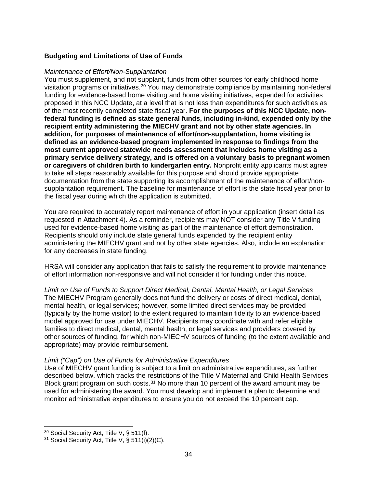# <span id="page-33-1"></span><span id="page-33-0"></span>**Budgeting and Limitations of Use of Funds**

#### <span id="page-33-2"></span>*Maintenance of Effort/Non-Supplantation*

You must supplement, and not supplant, funds from other sources for early childhood home visitation programs or initiatives.<sup>[30](#page-33-5)</sup> You may demonstrate compliance by maintaining non-federal funding for evidence-based home visiting and home visiting initiatives, expended for activities proposed in this NCC Update, at a level that is not less than expenditures for such activities as of the most recently completed state fiscal year. **For the purposes of this NCC Update, nonfederal funding is defined as state general funds, including in-kind, expended only by the recipient entity administering the MIECHV grant and not by other state agencies. In addition, for purposes of maintenance of effort/non-supplantation, home visiting is defined as an evidence-based program implemented in response to findings from the most current approved statewide needs assessment that includes home visiting as a primary service delivery strategy, and is offered on a voluntary basis to pregnant women or caregivers of children birth to kindergarten entry.** Nonprofit entity applicants must agree to take all steps reasonably available for this purpose and should provide appropriate documentation from the state supporting its accomplishment of the maintenance of effort/nonsupplantation requirement. The baseline for maintenance of effort is the state fiscal year prior to the fiscal year during which the application is submitted.

You are required to accurately report maintenance of effort in your application (insert detail as requested in Attachment 4). As a reminder, recipients may NOT consider any Title V funding used for evidence-based home visiting as part of the maintenance of effort demonstration. Recipients should only include state general funds expended by the recipient entity administering the MIECHV grant and not by other state agencies. Also, include an explanation for any decreases in state funding.

HRSA will consider any application that fails to satisfy the requirement to provide maintenance of effort information non-responsive and will not consider it for funding under this notice.

<span id="page-33-3"></span>*Limit on Use of Funds to Support Direct Medical, Dental, Mental Health, or Legal Services* The MIECHV Program generally does not fund the delivery or costs of direct medical, dental, mental health, or legal services; however, some limited direct services may be provided (typically by the home visitor) to the extent required to maintain fidelity to an evidence-based model approved for use under MIECHV. Recipients may coordinate with and refer eligible families to direct medical, dental, mental health, or legal services and providers covered by other sources of funding, for which non-MIECHV sources of funding (to the extent available and appropriate) may provide reimbursement.

#### <span id="page-33-4"></span>*Limit ("Cap") on Use of Funds for Administrative Expenditures*

Use of MIECHV grant funding is subject to a limit on administrative expenditures, as further described below, which tracks the restrictions of the Title V Maternal and Child Health Services Block grant program on such costs. $31$  No more than 10 percent of the award amount may be used for administering the award. You must develop and implement a plan to determine and monitor administrative expenditures to ensure you do not exceed the 10 percent cap.

 $\overline{a}$  $30$  Social Security Act, Title V, § 511(f).

<span id="page-33-6"></span><span id="page-33-5"></span> $31$  Social Security Act, Title V, § 511(i)(2)(C).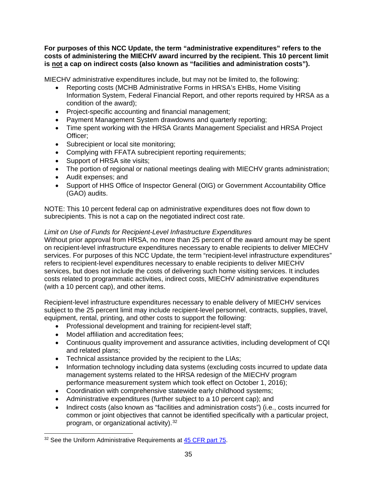**For purposes of this NCC Update, the term "administrative expenditures" refers to the costs of administering the MIECHV award incurred by the recipient. This 10 percent limit is not a cap on indirect costs (also known as "facilities and administration costs").** 

MIECHV administrative expenditures include, but may not be limited to, the following:

- Reporting costs (MCHB Administrative Forms in HRSA's EHBs, Home Visiting Information System, Federal Financial Report, and other reports required by HRSA as a condition of the award);
- Project-specific accounting and financial management;
- Payment Management System drawdowns and quarterly reporting;
- Time spent working with the HRSA Grants Management Specialist and HRSA Project Officer;
- Subrecipient or local site monitoring;
- Complying with FFATA subrecipient reporting requirements;
- Support of HRSA site visits:
- The portion of regional or national meetings dealing with MIECHV grants administration;
- Audit expenses; and
- Support of HHS Office of Inspector General (OIG) or Government Accountability Office (GAO) audits.

NOTE: This 10 percent federal cap on administrative expenditures does not flow down to subrecipients. This is not a cap on the negotiated indirect cost rate.

# <span id="page-34-0"></span>*Limit on Use of Funds for Recipient-Level Infrastructure Expenditures*

Without prior approval from HRSA, no more than 25 percent of the award amount may be spent on recipient-level infrastructure expenditures necessary to enable recipients to deliver MIECHV services. For purposes of this NCC Update, the term "recipient-level infrastructure expenditures" refers to recipient-level expenditures necessary to enable recipients to deliver MIECHV services, but does not include the costs of delivering such home visiting services. It includes costs related to programmatic activities, indirect costs, MIECHV administrative expenditures (with a 10 percent cap), and other items.

Recipient-level infrastructure expenditures necessary to enable delivery of MIECHV services subject to the 25 percent limit may include recipient-level personnel, contracts, supplies, travel, equipment, rental, printing, and other costs to support the following:

- Professional development and training for recipient-level staff;
- Model affiliation and accreditation fees;
- Continuous quality improvement and assurance activities, including development of CQI and related plans;
- Technical assistance provided by the recipient to the LIAs;
- Information technology including data systems (excluding costs incurred to update data management systems related to the HRSA redesign of the MIECHV program performance measurement system which took effect on October 1, 2016);
- Coordination with comprehensive statewide early childhood systems;
- Administrative expenditures (further subject to a 10 percent cap); and
- Indirect costs (also known as "facilities and administration costs") (i.e., costs incurred for common or joint objectives that cannot be identified specifically with a particular project, program, or organizational activity).[32](#page-34-1)

<span id="page-34-1"></span> $\overline{a}$ <sup>32</sup> See the Uniform Administrative Requirements at [45 CFR part 75.](https://www.ecfr.gov/current/title-45/subtitle-A/subchapter-A/part-75)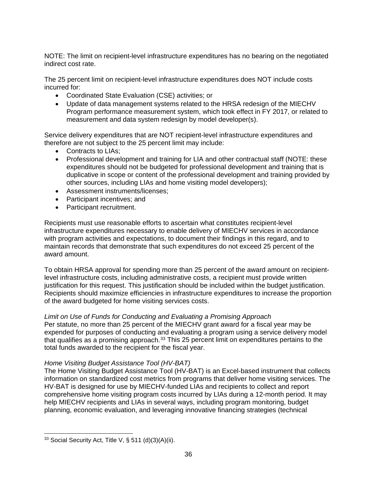NOTE: The limit on recipient-level infrastructure expenditures has no bearing on the negotiated indirect cost rate.

The 25 percent limit on recipient-level infrastructure expenditures does NOT include costs incurred for:

- Coordinated State Evaluation (CSE) activities; or
- Update of data management systems related to the HRSA redesign of the MIECHV Program performance measurement system, which took effect in FY 2017, or related to measurement and data system redesign by model developer(s).

Service delivery expenditures that are NOT recipient-level infrastructure expenditures and therefore are not subject to the 25 percent limit may include:

- Contracts to LIAs;
- Professional development and training for LIA and other contractual staff (NOTE: these expenditures should not be budgeted for professional development and training that is duplicative in scope or content of the professional development and training provided by other sources, including LIAs and home visiting model developers);
- Assessment instruments/licenses;
- Participant incentives; and
- Participant recruitment.

Recipients must use reasonable efforts to ascertain what constitutes recipient-level infrastructure expenditures necessary to enable delivery of MIECHV services in accordance with program activities and expectations, to document their findings in this regard, and to maintain records that demonstrate that such expenditures do not exceed 25 percent of the award amount.

To obtain HRSA approval for spending more than 25 percent of the award amount on recipientlevel infrastructure costs, including administrative costs, a recipient must provide written justification for this request. This justification should be included within the budget justification. Recipients should maximize efficiencies in infrastructure expenditures to increase the proportion of the award budgeted for home visiting services costs.

# <span id="page-35-0"></span>*Limit on Use of Funds for Conducting and Evaluating a Promising Approach*

Per statute, no more than 25 percent of the MIECHV grant award for a fiscal year may be expended for purposes of conducting and evaluating a program using a service delivery model that qualifies as a promising approach.<sup>[33](#page-35-2)</sup> This 25 percent limit on expenditures pertains to the total funds awarded to the recipient for the fiscal year.

#### <span id="page-35-1"></span>*Home Visiting Budget Assistance Tool (HV-BAT)*

The Home Visiting Budget Assistance Tool (HV-BAT) is an Excel-based instrument that collects information on standardized cost metrics from programs that deliver home visiting services. The HV-BAT is designed for use by MIECHV-funded LIAs and recipients to collect and report comprehensive home visiting program costs incurred by LIAs during a 12-month period. It may help MIECHV recipients and LIAs in several ways, including program monitoring, budget planning, economic evaluation, and leveraging innovative financing strategies (technical

<span id="page-35-2"></span> $\overline{a}$  $33$  Social Security Act, Title V, § 511 (d)(3)(A)(ii).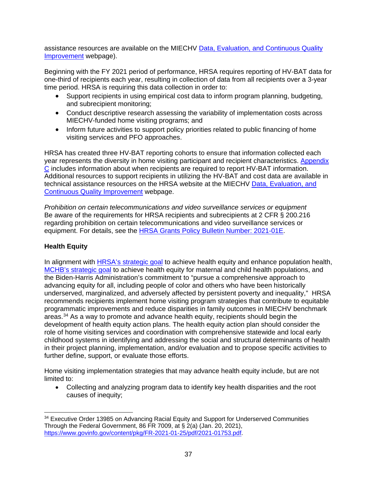assistance resources are available on the MIECHV [Data, Evaluation, and Continuous Quality](https://mchb.hrsa.gov/maternal-child-health-initiatives/home-visiting/home-visiting-program-technical-assistance/performance-reporting-and-evaluation-resources)  [Improvement](https://mchb.hrsa.gov/maternal-child-health-initiatives/home-visiting/home-visiting-program-technical-assistance/performance-reporting-and-evaluation-resources) webpage).

Beginning with the FY 2021 period of performance, HRSA requires reporting of HV-BAT data for one-third of recipients each year, resulting in collection of data from all recipients over a 3-year time period. HRSA is requiring this data collection in order to:

- Support recipients in using empirical cost data to inform program planning, budgeting, and subrecipient monitoring;
- Conduct descriptive research assessing the variability of implementation costs across MIECHV-funded home visiting programs; and
- Inform future activities to support policy priorities related to public financing of home visiting services and PFO approaches.

HRSA has created three HV-BAT reporting cohorts to ensure that information collected each year represents the diversity in home visiting participant and recipient characteristics. [Appendix](#page-45-0)  [C](#page-45-0) includes information about when recipients are required to report HV-BAT information. Additional resources to support recipients in utilizing the HV-BAT and cost data are available in technical assistance resources on the HRSA website at the MIECHV [Data, Evaluation, and](https://mchb.hrsa.gov/maternal-child-health-initiatives/home-visiting/home-visiting-program-technical-assistance/performance-reporting-and-evaluation-resources)  [Continuous Quality Improvement](https://mchb.hrsa.gov/maternal-child-health-initiatives/home-visiting/home-visiting-program-technical-assistance/performance-reporting-and-evaluation-resources) webpage.

*Prohibition on certain telecommunications and video surveillance services or equipment* Be aware of the requirements for HRSA recipients and subrecipients at 2 CFR § 200.216 regarding prohibition on certain telecommunications and video surveillance services or equipment. For details, see the [HRSA Grants Policy Bulletin Number: 2021-01E.](https://www.hrsa.gov/sites/default/files/hrsa/grants/manage/grants-policy-bulletin-2021.pdf)

# <span id="page-36-0"></span>**Health Equity**

In alignment with [HRSA's strategic goal](https://www.hrsa.gov/about/strategic-plan/index.html) to achieve health equity and enhance population health, [MCHB's strategic goal](https://mchb.hrsa.gov/sites/default/files/mchb/AboutMCHB/mchb-strategic-plan.pdf) to achieve health equity for maternal and child health populations, and the Biden-Harris Administration's commitment to "pursue a comprehensive approach to advancing equity for all, including people of color and others who have been historically underserved, marginalized, and adversely affected by persistent poverty and inequality," HRSA recommends recipients implement home visiting program strategies that contribute to equitable programmatic improvements and reduce disparities in family outcomes in MIECHV benchmark areas.[34](#page-36-1) As a way to promote and advance health equity, recipients should begin the development of health equity action plans. The health equity action plan should consider the role of home visiting services and coordination with comprehensive statewide and local early childhood systems in identifying and addressing the social and structural determinants of health in their project planning, implementation, and/or evaluation and to propose specific activities to further define, support, or evaluate those efforts.

Home visiting implementation strategies that may advance health equity include, but are not limited to:

• Collecting and analyzing program data to identify key health disparities and the root causes of inequity;

<span id="page-36-1"></span> $\overline{a}$ <sup>34</sup> Executive Order 13985 on Advancing Racial Equity and Support for Underserved Communities Through the Federal Government, 86 FR 7009, at § 2(a) (Jan. 20, 2021), [https://www.govinfo.gov/content/pkg/FR-2021-01-25/pdf/2021-01753.pdf.](https://www.govinfo.gov/content/pkg/FR-2021-01-25/pdf/2021-01753.pdf)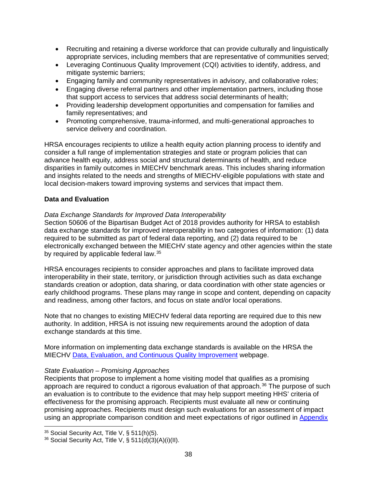- Recruiting and retaining a diverse workforce that can provide culturally and linguistically appropriate services, including members that are representative of communities served;
- Leveraging Continuous Quality Improvement (CQI) activities to identify, address, and mitigate systemic barriers;
- Engaging family and community representatives in advisory, and collaborative roles;
- Engaging diverse referral partners and other implementation partners, including those that support access to services that address social determinants of health;
- Providing leadership development opportunities and compensation for families and family representatives; and
- Promoting comprehensive, trauma-informed, and multi-generational approaches to service delivery and coordination.

HRSA encourages recipients to utilize a health equity action planning process to identify and consider a full range of implementation strategies and state or program policies that can advance health equity, address social and structural determinants of health, and reduce disparities in family outcomes in MIECHV benchmark areas. This includes sharing information and insights related to the needs and strengths of MIECHV-eligible populations with state and local decision-makers toward improving systems and services that impact them.

### <span id="page-37-1"></span>**Data and Evaluation**

### *Data Exchange Standards for Improved Data Interoperability*

Section 50606 of the Bipartisan Budget Act of 2018 provides authority for HRSA to establish data exchange standards for improved interoperability in two categories of information: (1) data required to be submitted as part of federal data reporting, and (2) data required to be electronically exchanged between the MIECHV state agency and other agencies within the state by required by applicable federal law.<sup>35</sup>

HRSA encourages recipients to consider approaches and plans to facilitate improved data interoperability in their state, territory, or jurisdiction through activities such as data exchange standards creation or adoption, data sharing, or data coordination with other state agencies or early childhood programs. These plans may range in scope and content, depending on capacity and readiness, among other factors, and focus on state and/or local operations.

Note that no changes to existing MIECHV federal data reporting are required due to this new authority. In addition, HRSA is not issuing new requirements around the adoption of data exchange standards at this time.

More information on implementing data exchange standards is available on the HRSA the MIECHV [Data, Evaluation, and Continuous Quality Improvement](https://mchb.hrsa.gov/maternal-child-health-initiatives/home-visiting/home-visiting-program-technical-assistance/performance-reporting-and-evaluation-resources) webpage.

# <span id="page-37-0"></span>*State Evaluation – Promising Approaches*

Recipients that propose to implement a home visiting model that qualifies as a promising approach are required to conduct a rigorous evaluation of that approach. $36$  The purpose of such an evaluation is to contribute to the evidence that may help support meeting HHS' criteria of effectiveness for the promising approach. Recipients must evaluate all new or continuing promising approaches. Recipients must design such evaluations for an assessment of impact using an appropriate comparison condition and meet expectations of rigor outlined in [Appendix](https://grants.hrsa.gov/2010/web2external/Interface/Common/EHBDisplayAttachment.aspx?dm_rtc=16&dm_attid=e675275b-0d47-4673-b638-0bb1c4f1cb31&dm_attinst=0) 

 $\overline{a}$ 

<span id="page-37-2"></span><sup>35</sup> Social Security Act, Title V, § 511(h)(5).

<span id="page-37-3"></span> $36$  Social Security Act, Title V, § 511(d)(3)(A)(i)(II).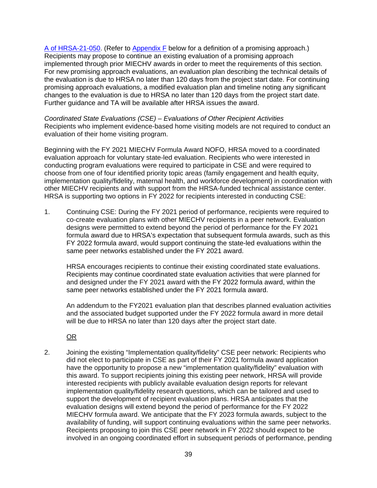[A of HRSA-21-050.](https://grants.hrsa.gov/2010/web2external/Interface/Common/EHBDisplayAttachment.aspx?dm_rtc=16&dm_attid=e675275b-0d47-4673-b638-0bb1c4f1cb31&dm_attinst=0) (Refer to [Appendix F](#page-58-0) below for a definition of a promising approach.) Recipients may propose to continue an existing evaluation of a promising approach implemented through prior MIECHV awards in order to meet the requirements of this section. For new promising approach evaluations, an evaluation plan describing the technical details of the evaluation is due to HRSA no later than 120 days from the project start date. For continuing promising approach evaluations, a modified evaluation plan and timeline noting any significant changes to the evaluation is due to HRSA no later than 120 days from the project start date. Further guidance and TA will be available after HRSA issues the award.

<span id="page-38-0"></span>*Coordinated State Evaluations (CSE) – Evaluations of Other Recipient Activities* Recipients who implement evidence-based home visiting models are not required to conduct an evaluation of their home visiting program.

Beginning with the FY 2021 MIECHV Formula Award NOFO, HRSA moved to a coordinated evaluation approach for voluntary state-led evaluation. Recipients who were interested in conducting program evaluations were required to participate in CSE and were required to choose from one of four identified priority topic areas (family engagement and health equity, implementation quality/fidelity, maternal health, and workforce development) in coordination with other MIECHV recipients and with support from the HRSA-funded technical assistance center. HRSA is supporting two options in FY 2022 for recipients interested in conducting CSE:

1. Continuing CSE: During the FY 2021 period of performance, recipients were required to co-create evaluation plans with other MIECHV recipients in a peer network. Evaluation designs were permitted to extend beyond the period of performance for the FY 2021 formula award due to HRSA's expectation that subsequent formula awards, such as this FY 2022 formula award, would support continuing the state-led evaluations within the same peer networks established under the FY 2021 award.

HRSA encourages recipients to continue their existing coordinated state evaluations. Recipients may continue coordinated state evaluation activities that were planned for and designed under the FY 2021 award with the FY 2022 formula award, within the same peer networks established under the FY 2021 formula award.

An addendum to the FY2021 evaluation plan that describes planned evaluation activities and the associated budget supported under the FY 2022 formula award in more detail will be due to HRSA no later than 120 days after the project start date.

OR

2. Joining the existing "Implementation quality/fidelity" CSE peer network: Recipients who did not elect to participate in CSE as part of their FY 2021 formula award application have the opportunity to propose a new "implementation quality/fidelity" evaluation with this award. To support recipients joining this existing peer network, HRSA will provide interested recipients with publicly available evaluation design reports for relevant implementation quality/fidelity research questions, which can be tailored and used to support the development of recipient evaluation plans. HRSA anticipates that the evaluation designs will extend beyond the period of performance for the FY 2022 MIECHV formula award. We anticipate that the FY 2023 formula awards, subject to the availability of funding, will support continuing evaluations within the same peer networks. Recipients proposing to join this CSE peer network in FY 2022 should expect to be involved in an ongoing coordinated effort in subsequent periods of performance, pending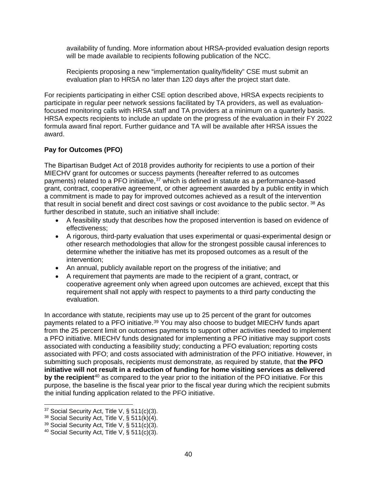availability of funding. More information about HRSA-provided evaluation design reports will be made available to recipients following publication of the NCC.

Recipients proposing a new "implementation quality/fidelity" CSE must submit an evaluation plan to HRSA no later than 120 days after the project start date.

For recipients participating in either CSE option described above, HRSA expects recipients to participate in regular peer network sessions facilitated by TA providers, as well as evaluationfocused monitoring calls with HRSA staff and TA providers at a minimum on a quarterly basis. HRSA expects recipients to include an update on the progress of the evaluation in their FY 2022 formula award final report. Further guidance and TA will be available after HRSA issues the award.

# <span id="page-39-0"></span>**Pay for Outcomes (PFO)**

The Bipartisan Budget Act of 2018 provides authority for recipients to use a portion of their MIECHV grant for outcomes or success payments (hereafter referred to as outcomes payments) related to a PFO initiative, $37$  which is defined in statute as a performance-based grant, contract, cooperative agreement, or other agreement awarded by a public entity in which a commitment is made to pay for improved outcomes achieved as a result of the intervention that result in social benefit and direct cost savings or cost avoidance to the public sector. [38](#page-39-2) As further described in statute, such an initiative shall include:

- A feasibility study that describes how the proposed intervention is based on evidence of effectiveness;
- A rigorous, third-party evaluation that uses experimental or quasi-experimental design or other research methodologies that allow for the strongest possible causal inferences to determine whether the initiative has met its proposed outcomes as a result of the intervention;
- An annual, publicly available report on the progress of the initiative; and
- A requirement that payments are made to the recipient of a grant, contract, or cooperative agreement only when agreed upon outcomes are achieved, except that this requirement shall not apply with respect to payments to a third party conducting the evaluation.

In accordance with statute, recipients may use up to 25 percent of the grant for outcomes payments related to a PFO initiative.<sup>[39](#page-39-3)</sup> You may also choose to budget MIECHV funds apart from the 25 percent limit on outcomes payments to support other activities needed to implement a PFO initiative. MIECHV funds designated for implementing a PFO initiative may support costs associated with conducting a feasibility study; conducting a PFO evaluation; reporting costs associated with PFO; and costs associated with administration of the PFO initiative. However, in submitting such proposals, recipients must demonstrate, as required by statute, that **the PFO initiative will not result in a reduction of funding for home visiting services as delivered by the recipient**[40](#page-39-4) as compared to the year prior to the initiation of the PFO initiative. For this purpose, the baseline is the fiscal year prior to the fiscal year during which the recipient submits the initial funding application related to the PFO initiative.

 $\overline{a}$ 

<span id="page-39-1"></span><sup>37</sup> Social Security Act, Title V, § 511(c)(3).

<span id="page-39-2"></span> $38$  Social Security Act, Title V, § 511(k)(4).

<span id="page-39-3"></span> $39$  Social Security Act, Title V, § 511(c)(3).

<span id="page-39-4"></span><sup>&</sup>lt;sup>40</sup> Social Security Act, Title V,  $\S$  511(c)(3).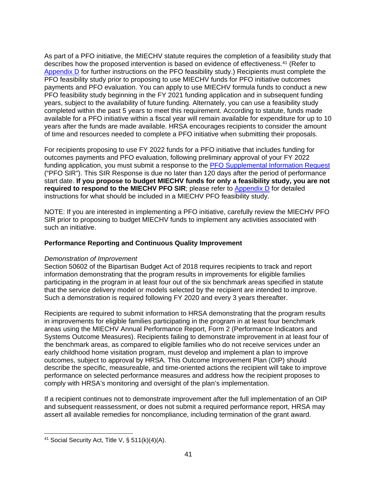As part of a PFO initiative, the MIECHV statute requires the completion of a feasibility study that describes how the proposed intervention is based on evidence of effectiveness.[41](#page-40-2) (Refer to [Appendix D](#page-46-0) for further instructions on the PFO feasibility study.) Recipients must complete the PFO feasibility study prior to proposing to use MIECHV funds for PFO initiative outcomes payments and PFO evaluation. You can apply to use MIECHV formula funds to conduct a new PFO feasibility study beginning in the FY 2021 funding application and in subsequent funding years, subject to the availability of future funding. Alternately, you can use a feasibility study completed within the past 5 years to meet this requirement. According to statute, funds made available for a PFO initiative within a fiscal year will remain available for expenditure for up to 10 years after the funds are made available. HRSA encourages recipients to consider the amount of time and resources needed to complete a PFO initiative when submitting their proposals.

For recipients proposing to use FY 2022 funds for a PFO initiative that includes funding for outcomes payments and PFO evaluation, following preliminary approval of your FY 2022 funding application, you must submit a response to the [PFO Supplemental Information Request](https://mchb.hrsa.gov/sites/default/files/mchb/programs-impact/home-visiting/miechv-pfo-supplemental-information-request.pdf) ("PFO SIR"). This SIR Response is due no later than 120 days after the period of performance start date. **If you propose to budget MIECHV funds for only a feasibility study, you are not required to respond to the MIECHV PFO SIR**; please refer to **Appendix D** for detailed instructions for what should be included in a MIECHV PFO feasibility study.

NOTE: If you are interested in implementing a PFO initiative, carefully review the MIECHV PFO SIR prior to proposing to budget MIECHV funds to implement any activities associated with such an initiative.

# <span id="page-40-0"></span>**Performance Reporting and Continuous Quality Improvement**

#### <span id="page-40-1"></span>*Demonstration of Improvement*

Section 50602 of the Bipartisan Budget Act of 2018 requires recipients to track and report information demonstrating that the program results in improvements for eligible families participating in the program in at least four out of the six benchmark areas specified in statute that the service delivery model or models selected by the recipient are intended to improve. Such a demonstration is required following FY 2020 and every 3 years thereafter.

Recipients are required to submit information to HRSA demonstrating that the program results in improvements for eligible families participating in the program in at least four benchmark areas using the MIECHV Annual Performance Report, Form 2 (Performance Indicators and Systems Outcome Measures). Recipients failing to demonstrate improvement in at least four of the benchmark areas, as compared to eligible families who do not receive services under an early childhood home visitation program, must develop and implement a plan to improve outcomes, subject to approval by HRSA. This Outcome Improvement Plan (OIP) should describe the specific, measureable, and time-oriented actions the recipient will take to improve performance on selected performance measures and address how the recipient proposes to comply with HRSA's monitoring and oversight of the plan's implementation.

If a recipient continues not to demonstrate improvement after the full implementation of an OIP and subsequent reassessment, or does not submit a required performance report, HRSA may assert all available remedies for noncompliance, including termination of the grant award.

<span id="page-40-2"></span> $\overline{a}$ <sup>41</sup> Social Security Act, Title V, § 511(k)(4)(A).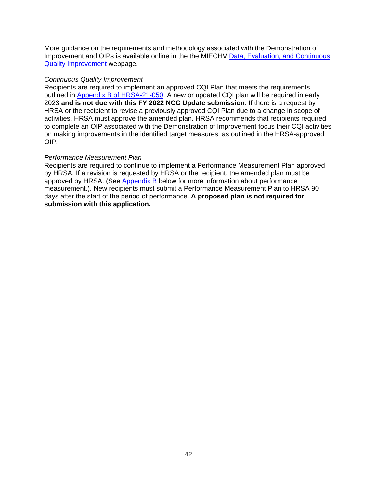More guidance on the requirements and methodology associated with the Demonstration of Improvement and OIPs is available online in the the MIECHV [Data, Evaluation, and Continuous](https://mchb.hrsa.gov/maternal-child-health-initiatives/home-visiting/home-visiting-program-technical-assistance/performance-reporting-and-evaluation-resources)  [Quality Improvement](https://mchb.hrsa.gov/maternal-child-health-initiatives/home-visiting/home-visiting-program-technical-assistance/performance-reporting-and-evaluation-resources) webpage.

#### <span id="page-41-0"></span>*Continuous Quality Improvement*

Recipients are required to implement an approved CQI Plan that meets the requirements outlined in Appendix B [of HRSA-21-050.](https://grants.hrsa.gov/2010/web2external/Interface/Common/EHBDisplayAttachment.aspx?dm_rtc=16&dm_attid=e675275b-0d47-4673-b638-0bb1c4f1cb31&dm_attinst=0) A new or updated CQI plan will be required in early 2023 **and is not due with this FY 2022 NCC Update submission**. If there is a request by HRSA or the recipient to revise a previously approved CQI Plan due to a change in scope of activities, HRSA must approve the amended plan. HRSA recommends that recipients required to complete an OIP associated with the Demonstration of Improvement focus their CQI activities on making improvements in the identified target measures, as outlined in the HRSA-approved OIP.

### <span id="page-41-1"></span>*Performance Measurement Plan*

Recipients are required to continue to implement a Performance Measurement Plan approved by HRSA. If a revision is requested by HRSA or the recipient, the amended plan must be approved by HRSA. (See [Appendix B](#page-42-0) below for more information about performance measurement.). New recipients must submit a Performance Measurement Plan to HRSA 90 days after the start of the period of performance. **A proposed plan is not required for submission with this application.**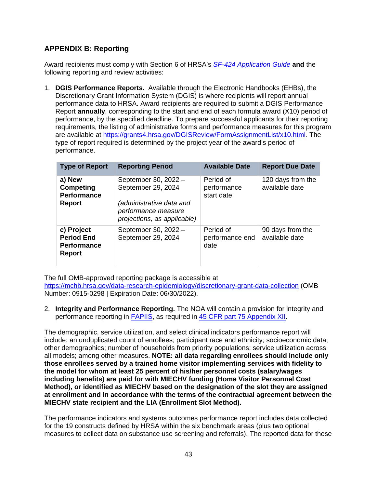# <span id="page-42-0"></span>**APPENDIX B: Reporting**

Award recipients must comply with Section 6 of HRSA's *SF-424 [Application Guide](http://www.hrsa.gov/grants/apply/applicationguide/sf424guide.pdf)* **and** the following reporting and review activities:

1. **DGIS Performance Reports.** Available through the Electronic Handbooks (EHBs), the Discretionary Grant Information System (DGIS) is where recipients will report annual performance data to HRSA. Award recipients are required to submit a DGIS Performance Report **annually**, corresponding to the start and end of each formula award (X10) period of performance, by the specified deadline. To prepare successful applicants for their reporting requirements, the listing of administrative forms and performance measures for this program are available at<https://grants4.hrsa.gov/DGISReview/FormAssignmentList/x10.html>*.* The type of report required is determined by the project year of the award's period of performance.

| <b>Type of Report</b>                                                  | <b>Reporting Period</b>                                                                                                      | <b>Available Date</b>                  | <b>Report Due Date</b>              |
|------------------------------------------------------------------------|------------------------------------------------------------------------------------------------------------------------------|----------------------------------------|-------------------------------------|
| a) New<br>Competing<br><b>Performance</b><br><b>Report</b>             | September 30, 2022 -<br>September 29, 2024<br>(administrative data and<br>performance measure<br>projections, as applicable) | Period of<br>performance<br>start date | 120 days from the<br>available date |
| c) Project<br><b>Period End</b><br><b>Performance</b><br><b>Report</b> | September 30, 2022 -<br>September 29, 2024                                                                                   | Period of<br>performance end<br>date   | 90 days from the<br>available date  |

The full OMB-approved reporting package is accessible at

<https://mchb.hrsa.gov/data-research-epidemiology/discretionary-grant-data-collection>(OMB Number: 0915-0298 | Expiration Date: 06/30/2022).

2. **Integrity and Performance Reporting.** The NOA will contain a provision for integrity and performance reporting in [FAPIIS,](https://www.fapiis.gov/) as required in [45 CFR part 75 Appendix XII.](https://www.ecfr.gov/cgi-bin/retrieveECFR?gp=1&SID=4d52364ec83fab994c665943dadf9cf7&ty=HTML&h=L&r=PART&n=pt45.1.75)

The demographic, service utilization, and select clinical indicators performance report will include: an unduplicated count of enrollees; participant race and ethnicity; socioeconomic data; other demographics; number of households from priority populations; service utilization across all models; among other measures. **NOTE: all data regarding enrollees should include only those enrollees served by a trained home visitor implementing services with fidelity to the model for whom at least 25 percent of his/her personnel costs (salary/wages including benefits) are paid for with MIECHV funding (Home Visitor Personnel Cost Method), or identified as MIECHV based on the designation of the slot they are assigned at enrollment and in accordance with the terms of the contractual agreement between the MIECHV state recipient and the LIA (Enrollment Slot Method).** 

The performance indicators and systems outcomes performance report includes data collected for the 19 constructs defined by HRSA within the six benchmark areas (plus two optional measures to collect data on substance use screening and referrals). The reported data for these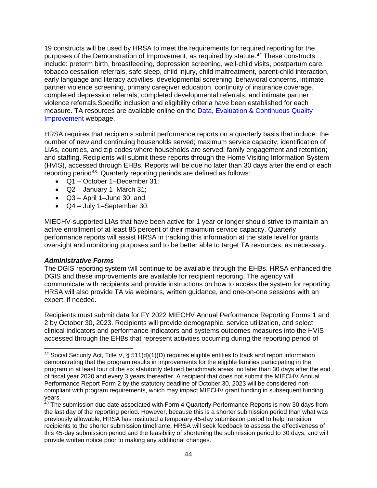19 constructs will be used by HRSA to meet the requirements for required reporting for the purposes of the Demonstration of Improvement, as required by statute.<sup>[42](#page-43-0)</sup> These constructs include: preterm birth, breastfeeding, depression screening, well-child visits, postpartum care, tobacco cessation referrals, safe sleep, child injury, child maltreatment, parent-child interaction, early language and literacy activities, developmental screening, behavioral concerns, intimate partner violence screening, primary caregiver education, continuity of insurance coverage, completed depression referrals, completed developmental referrals, and intimate partner violence referrals.Specific inclusion and eligibility criteria have been established for each measure. TA resources are available online on the [Data, Evaluation & Continuous Quality](https://mchb.hrsa.gov/maternal-child-health-initiatives/home-visiting/home-visiting-program-technical-assistance/performance-reporting-and-evaluation-resources)  [Improvement](https://mchb.hrsa.gov/maternal-child-health-initiatives/home-visiting/home-visiting-program-technical-assistance/performance-reporting-and-evaluation-resources) webpage.

HRSA requires that recipients submit performance reports on a quarterly basis that include: the number of new and continuing households served; maximum service capacity; identification of LIAs, counties, and zip codes where households are served; family engagement and retention; and staffing. Recipients will submit these reports through the Home Visiting Information System (HVIS), accessed through EHBs. Reports will be due no later than 30 days after the end of each reporting period[43](#page-43-1): Quarterly reporting periods are defined as follows:

- Q1 October 1–December 31;
- Q2 January 1–March 31;
- Q3 April 1–June 30; and
- Q4 July 1–September 30.

MIECHV-supported LIAs that have been active for 1 year or longer should strive to maintain an active enrollment of at least 85 percent of their maximum service capacity. Quarterly performance reports will assist HRSA in tracking this information at the state level for grants oversight and monitoring purposes and to be better able to target TA resources, as necessary.

#### *Administrative Forms*

 $\overline{a}$ 

The DGIS reporting system will continue to be available through the EHBs. HRSA enhanced the DGIS and these improvements are available for recipient reporting. The agency will communicate with recipients and provide instructions on how to access the system for reporting. HRSA will also provide TA via webinars, written guidance, and one-on-one sessions with an expert, if needed.

Recipients must submit data for FY 2022 MIECHV Annual Performance Reporting Forms 1 and 2 by October 30, 2023. Recipients will provide demographic, service utilization, and select clinical indicators and performance indicators and systems outcomes measures into the HVIS accessed through the EHBs that represent activities occurring during the reporting period of

<span id="page-43-1"></span> $43$  The submission due date associated with Form 4 Quarterly Performance Reports is now 30 days from the last day of the reporting period. However, because this is a shorter submission period than what was previously allowable, HRSA has instituted a temporary 45-day submission period to help transition recipients to the shorter submission timeframe. HRSA will seek feedback to assess the effectiveness of this 45-day submission period and the feasibility of shortening the submission period to 30 days, and will provide written notice prior to making any additional changes.

<span id="page-43-0"></span><sup>&</sup>lt;sup>42</sup> Social Security Act, Title V, § 511(d)(1)(D) requires eligible entities to track and report information demonstrating that the program results in improvements for the eligible families participating in the program in at least four of the six statutorily defined benchmark areas, no later than 30 days after the end of fiscal year 2020 and every 3 years thereafter. A recipient that does not submit the MIECHV Annual Performance Report Form 2 by the statutory deadline of October 30, 2023 will be considered noncompliant with program requirements, which may impact MIECHV grant funding in subsequent funding years.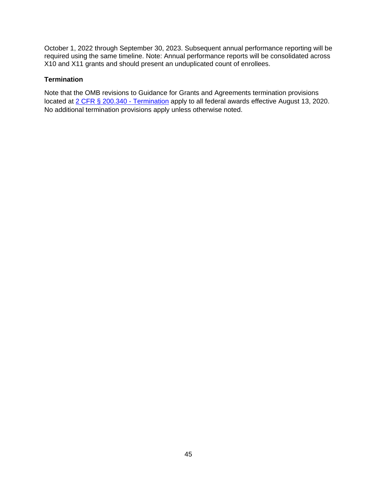October 1, 2022 through September 30, 2023. Subsequent annual performance reporting will be required using the same timeline. Note: Annual performance reports will be consolidated across X10 and X11 grants and should present an unduplicated count of enrollees.

### **Termination**

Note that the OMB revisions to Guidance for Grants and Agreements termination provisions located at [2 CFR § 200.340 - Termination](https://www.ecfr.gov/cgi-bin/text-idx?SID=da67ef9e79256f1b11e99d2ecb083228&mc=true&node=se2.1.200_1340&rgn=div8) apply to all federal awards effective August 13, 2020. No additional termination provisions apply unless otherwise noted.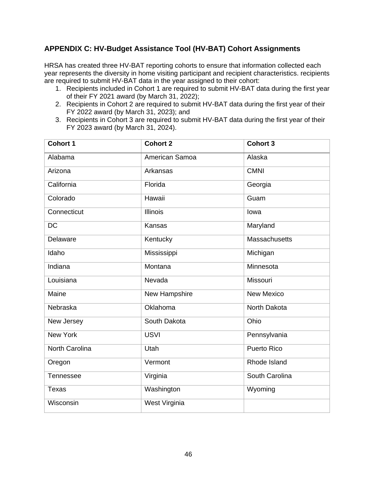# <span id="page-45-0"></span>**APPENDIX C: HV-Budget Assistance Tool (HV-BAT) Cohort Assignments**

HRSA has created three HV-BAT reporting cohorts to ensure that information collected each year represents the diversity in home visiting participant and recipient characteristics. recipients are required to submit HV-BAT data in the year assigned to their cohort:

- 1. Recipients included in Cohort 1 are required to submit HV-BAT data during the first year of their FY 2021 award (by March 31, 2022);
- 2. Recipients in Cohort 2 are required to submit HV-BAT data during the first year of their FY 2022 award (by March 31, 2023); and
- 3. Recipients in Cohort 3 are required to submit HV-BAT data during the first year of their FY 2023 award (by March 31, 2024).

| <b>Cohort 1</b>       | <b>Cohort 2</b> | <b>Cohort 3</b>      |
|-----------------------|-----------------|----------------------|
| Alabama               | American Samoa  | Alaska               |
| Arizona               | Arkansas        | <b>CMNI</b>          |
| California            | Florida         | Georgia              |
| Colorado              | Hawaii          | Guam                 |
| Connecticut           | <b>Illinois</b> | lowa                 |
| <b>DC</b>             | <b>Kansas</b>   | Maryland             |
| Delaware              | Kentucky        | <b>Massachusetts</b> |
| Idaho                 | Mississippi     | Michigan             |
| Indiana               | Montana         | Minnesota            |
| Louisiana             | Nevada          | Missouri             |
| Maine                 | New Hampshire   | <b>New Mexico</b>    |
| Nebraska              | Oklahoma        | North Dakota         |
| New Jersey            | South Dakota    | Ohio                 |
| <b>New York</b>       | <b>USVI</b>     | Pennsylvania         |
| <b>North Carolina</b> | Utah            | <b>Puerto Rico</b>   |
| Oregon                | Vermont         | Rhode Island         |
| Tennessee             | Virginia        | South Carolina       |
| <b>Texas</b>          | Washington      | Wyoming              |
| Wisconsin             | West Virginia   |                      |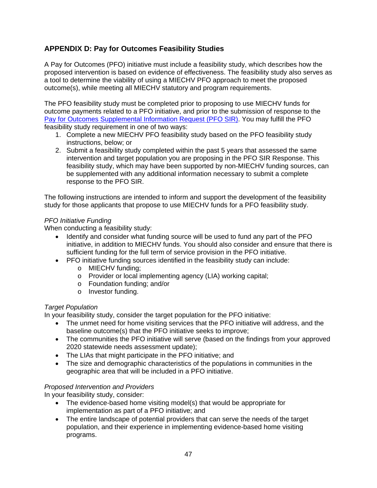# <span id="page-46-0"></span>**APPENDIX D: Pay for Outcomes Feasibility Studies**

A Pay for Outcomes (PFO) initiative must include a feasibility study, which describes how the proposed intervention is based on evidence of effectiveness. The feasibility study also serves as a tool to determine the viability of using a MIECHV PFO approach to meet the proposed outcome(s), while meeting all MIECHV statutory and program requirements.

The PFO feasibility study must be completed prior to proposing to use MIECHV funds for outcome payments related to a PFO initiative, and prior to the submission of response to the [Pay for Outcomes Supplemental Information Request \(PFO SIR\).](https://mchb.hrsa.gov/sites/default/files/mchb/programs-impact/home-visiting/miechv-pfo-supplemental-information-request.pdf) You may fulfill the PFO feasibility study requirement in one of two ways:

- 1. Complete a new MIECHV PFO feasibility study based on the PFO feasibility study instructions, below; or
- 2. Submit a feasibility study completed within the past 5 years that assessed the same intervention and target population you are proposing in the PFO SIR Response. This feasibility study, which may have been supported by non-MIECHV funding sources, can be supplemented with any additional information necessary to submit a complete response to the PFO SIR.

The following instructions are intended to inform and support the development of the feasibility study for those applicants that propose to use MIECHV funds for a PFO feasibility study.

# *PFO Initiative Funding*

When conducting a feasibility study:

- Identify and consider what funding source will be used to fund any part of the PFO initiative, in addition to MIECHV funds. You should also consider and ensure that there is sufficient funding for the full term of service provision in the PFO initiative.
- PFO initiative funding sources identified in the feasibility study can include:
	- o MIECHV funding;
	- o Provider or local implementing agency (LIA) working capital;
	- o Foundation funding; and/or
	- o Investor funding.

# *Target Population*

In your feasibility study, consider the target population for the PFO initiative:

- The unmet need for home visiting services that the PFO initiative will address, and the baseline outcome(s) that the PFO initiative seeks to improve;
- The communities the PFO initiative will serve (based on the findings from your approved 2020 statewide needs assessment update);
- The LIAs that might participate in the PFO initiative; and
- The size and demographic characteristics of the populations in communities in the geographic area that will be included in a PFO initiative.

# *Proposed Intervention and Providers*

In your feasibility study, consider:

- The evidence-based home visiting model(s) that would be appropriate for implementation as part of a PFO initiative; and
- The entire landscape of potential providers that can serve the needs of the target population, and their experience in implementing evidence-based home visiting programs.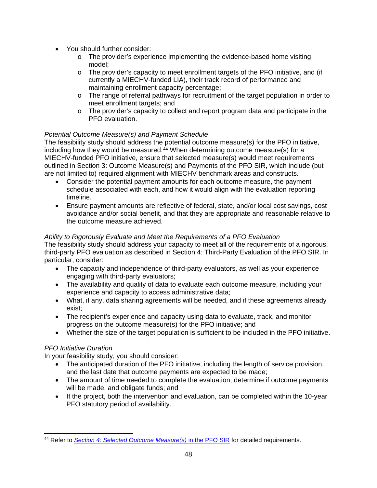- You should further consider:
	- $\circ$  The provider's experience implementing the evidence-based home visiting model;
	- o The provider's capacity to meet enrollment targets of the PFO initiative, and (if currently a MIECHV-funded LIA), their track record of performance and maintaining enrollment capacity percentage;
	- o The range of referral pathways for recruitment of the target population in order to meet enrollment targets; and
	- o The provider's capacity to collect and report program data and participate in the PFO evaluation.

# *Potential Outcome Measure(s) and Payment Schedule*

The feasibility study should address the potential outcome measure(s) for the PFO initiative, including how they would be measured.<sup>[44](#page-47-0)</sup> When determining outcome measure(s) for a MIECHV-funded PFO initiative, ensure that selected measure(s) would meet requirements outlined in Section 3: Outcome Measure(s) and Payments of the PFO SIR, which include (but are not limited to) required alignment with MIECHV benchmark areas and constructs.

- Consider the potential payment amounts for each outcome measure, the payment schedule associated with each, and how it would align with the evaluation reporting timeline.
- Ensure payment amounts are reflective of federal, state, and/or local cost savings, cost avoidance and/or social benefit, and that they are appropriate and reasonable relative to the outcome measure achieved.

# *Ability to Rigorously Evaluate and Meet the Requirements of a PFO Evaluation*

The feasibility study should address your capacity to meet all of the requirements of a rigorous, third-party PFO evaluation as described in Section 4: Third-Party Evaluation of the PFO SIR. In particular, consider:

- The capacity and independence of third-party evaluators, as well as your experience engaging with third-party evaluators;
- The availability and quality of data to evaluate each outcome measure, including your experience and capacity to access administrative data;
- What, if any, data sharing agreements will be needed, and if these agreements already exist;
- The recipient's experience and capacity using data to evaluate, track, and monitor progress on the outcome measure(s) for the PFO initiative; and
- Whether the size of the target population is sufficient to be included in the PFO initiative.

# *PFO Initiative Duration*

In your feasibility study, you should consider:

- The anticipated duration of the PFO initiative, including the length of service provision, and the last date that outcome payments are expected to be made;
- The amount of time needed to complete the evaluation, determine if outcome payments will be made, and obligate funds; and
- If the project, both the intervention and evaluation, can be completed within the 10-year PFO statutory period of availability.

<span id="page-47-0"></span> $\overline{a}$ <sup>44</sup> Refer to *[Section 4: Selected Outcome Measure\(s\)](https://mchb.hrsa.gov/sites/default/files/mchb/programs-impact/home-visiting/miechv-pfo-supplemental-information-request.pdf)* in the PFO SIR for detailed requirements.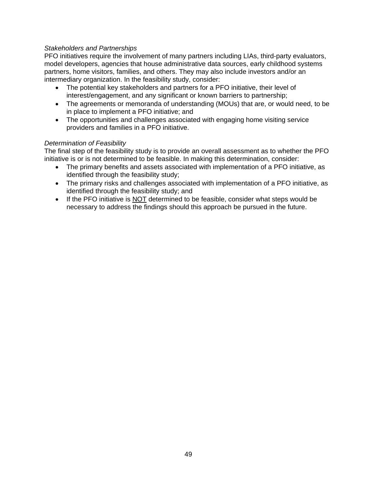# *Stakeholders and Partnerships*

PFO initiatives require the involvement of many partners including LIAs, third-party evaluators, model developers, agencies that house administrative data sources, early childhood systems partners, home visitors, families, and others. They may also include investors and/or an intermediary organization. In the feasibility study, consider:

- The potential key stakeholders and partners for a PFO initiative, their level of interest/engagement, and any significant or known barriers to partnership;
- The agreements or memoranda of understanding (MOUs) that are, or would need, to be in place to implement a PFO initiative; and
- The opportunities and challenges associated with engaging home visiting service providers and families in a PFO initiative.

### *Determination of Feasibility*

The final step of the feasibility study is to provide an overall assessment as to whether the PFO initiative is or is not determined to be feasible. In making this determination, consider:

- The primary benefits and assets associated with implementation of a PFO initiative, as identified through the feasibility study;
- The primary risks and challenges associated with implementation of a PFO initiative, as identified through the feasibility study; and
- If the PFO initiative is NOT determined to be feasible, consider what steps would be necessary to address the findings should this approach be pursued in the future.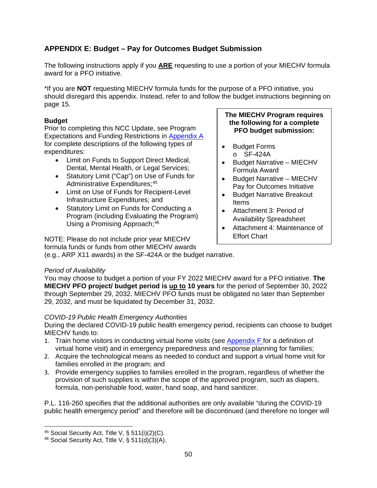# <span id="page-49-0"></span>**APPENDIX E: Budget – Pay for Outcomes Budget Submission**

The following instructions apply if you **ARE** requesting to use a portion of your MIECHV formula award for a PFO initiative.

\*If you are **NOT** requesting MIECHV formula funds for the purpose of a PFO initiative, you should disregard this appendix. Instead, refer to and follow the budget instructions beginning on page 15.

# **Budget**

Prior to completing this NCC Update, see Program Expectations and Funding Restrictions in [Appendix A](#page-25-0) for complete descriptions of the following types of expenditures:

- Limit on Funds to Support Direct Medical, Dental, Mental Health, or Legal Services;
- Statutory Limit ("Cap") on Use of Funds for Administrative Expenditures;<sup>[45](#page-49-1)</sup>
- Limit on Use of Funds for Recipient-Level Infrastructure Expenditures; and
- Statutory Limit on Funds for Conducting a Program (including Evaluating the Program) Using a Promising Approach;<sup>[46](#page-49-2)</sup>

NOTE: Please do not include prior year MIECHV formula funds or funds from other MIECHV awards

### **The MIECHV Program requires the following for a complete PFO budget submission:**

- Budget Forms o SF-424A
- Budget Narrative MIECHV Formula Award
- Budget Narrative MIECHV Pay for Outcomes Initiative
- Budget Narrative Breakout Items
- Attachment 3: Period of Availability Spreadsheet
- Attachment 4: Maintenance of Effort Chart

(e.g., ARP X11 awards) in the SF-424A or the budget narrative.

# *Period of Availability*

You may choose to budget a portion of your FY 2022 MIECHV award for a PFO initiative. **The MIECHV PFO project/ budget period is up to 10 years** for the period of September 30, 2022 through September 29, 2032. MIECHV PFO funds must be obligated no later than September 29, 2032, and must be liquidated by December 31, 2032.

# *COVID-19 Public Health Emergency Authorities*

During the declared COVID-19 public health emergency period, recipients can choose to budget MIECHV funds to:

- 1. Train home visitors in conducting virtual home visits (see [Appendix F](#page-58-0) for a definition of virtual home visit) and in emergency preparedness and response planning for families;
- 2. Acquire the technological means as needed to conduct and support a virtual home visit for families enrolled in the program; and
- 3. Provide emergency supplies to families enrolled in the program, regardless of whether the provision of such supplies is within the scope of the approved program, such as diapers, formula, non-perishable food, water, hand soap, and hand sanitizer.

P.L. 116-260 specifies that the additional authorities are only available "during the COVID-19 public health emergency period" and therefore will be discontinued (and therefore no longer will

 $\overline{a}$ 

<span id="page-49-1"></span> $45$  Social Security Act, Title V, § 511(i)(2)(C).

<span id="page-49-2"></span> $46$  Social Security Act, Title V, § 511(d)(3)(A).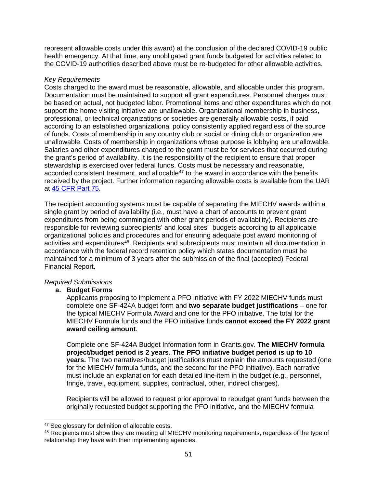represent allowable costs under this award) at the conclusion of the declared COVID-19 public health emergency. At that time, any unobligated grant funds budgeted for activities related to the COVID-19 authorities described above must be re-budgeted for other allowable activities.

### *Key Requirements*

Costs charged to the award must be reasonable, allowable, and allocable under this program. Documentation must be maintained to support all grant expenditures. Personnel charges must be based on actual, not budgeted labor. Promotional items and other expenditures which do not support the home visiting initiative are unallowable. Organizational membership in business, professional, or technical organizations or societies are generally allowable costs, if paid according to an established organizational policy consistently applied regardless of the source of funds. Costs of membership in any country club or social or dining club or organization are unallowable. Costs of membership in organizations whose purpose is lobbying are unallowable. Salaries and other expenditures charged to the grant must be for services that occurred during the grant's period of availability. It is the responsibility of the recipient to ensure that proper stewardship is exercised over federal funds. Costs must be necessary and reasonable, accorded consistent treatment, and allocable<sup>[47](#page-50-0)</sup> to the award in accordance with the benefits received by the project. Further information regarding allowable costs is available from the UAR at [45 CFR Part 75.](https://www.ecfr.gov/cgi-bin/text-idx?node=pt45.1.75)

The recipient accounting systems must be capable of separating the MIECHV awards within a single grant by period of availability (i.e., must have a chart of accounts to prevent grant expenditures from being commingled with other grant periods of availability). Recipients are responsible for reviewing subrecipients' and local sites' budgets according to all applicable organizational policies and procedures and for ensuring adequate post award monitoring of activities and expenditures<sup>48</sup>. Recipients and subrecipients must maintain all documentation in accordance with the federal record retention policy which states documentation must be maintained for a minimum of 3 years after the submission of the final (accepted) Federal Financial Report.

# *Required Submissions*

# **a. Budget Forms**

Applicants proposing to implement a PFO initiative with FY 2022 MIECHV funds must complete one SF-424A budget form and **two separate budget justifications** – one for the typical MIECHV Formula Award and one for the PFO initiative. The total for the MIECHV Formula funds and the PFO initiative funds **cannot exceed the FY 2022 grant award ceiling amount**.

Complete one SF-424A Budget Information form in Grants.gov. **The MIECHV formula project/budget period is 2 years. The PFO initiative budget period is up to 10 years.** The two narratives/budget justifications must explain the amounts requested (one for the MIECHV formula funds, and the second for the PFO initiative). Each narrative must include an explanation for each detailed line-item in the budget (e.g., personnel, fringe, travel, equipment, supplies, contractual, other, indirect charges).

Recipients will be allowed to request prior approval to rebudget grant funds between the originally requested budget supporting the PFO initiative, and the MIECHV formula

<span id="page-50-0"></span> $\overline{a}$ <sup>47</sup> See glossary for definition of allocable costs.

<span id="page-50-1"></span><sup>48</sup> Recipients must show they are meeting all MIECHV monitoring requirements, regardless of the type of relationship they have with their implementing agencies.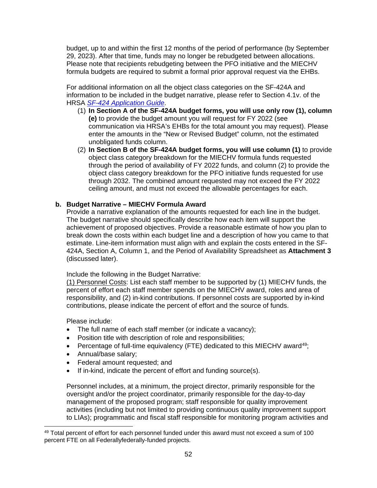budget, up to and within the first 12 months of the period of performance (by September 29, 2023). After that time, funds may no longer be rebudgeted between allocations. Please note that recipients rebudgeting between the PFO initiative and the MIECHV formula budgets are required to submit a formal prior approval request via the EHBs.

For additional information on all the object class categories on the SF-424A and information to be included in the budget narrative, please refer to Section 4.1v. of the HRSA *[SF-424 Application Guide](https://www.hrsa.gov/sites/default/files/hrsa/grants/apply/applicationguide/sf-424-app-guide.pdf)*.

- (1) **In Section A of the SF-424A budget forms, you will use only row (1), column (e)** to provide the budget amount you will request for FY 2022 (see communication via HRSA's EHBs for the total amount you may request). Please enter the amounts in the "New or Revised Budget" column, not the estimated unobligated funds column.
- (2) **In Section B of the SF-424A budget forms, you will use column (1)** to provide object class category breakdown for the MIECHV formula funds requested through the period of availability of FY 2022 funds, and column (2) to provide the object class category breakdown for the PFO initiative funds requested for use through 2032. The combined amount requested may not exceed the FY 2022 ceiling amount, and must not exceed the allowable percentages for each.

# **b. Budget Narrative – MIECHV Formula Award**

Provide a narrative explanation of the amounts requested for each line in the budget. The budget narrative should specifically describe how each item will support the achievement of proposed objectives. Provide a reasonable estimate of how you plan to break down the costs within each budget line and a description of how you came to that estimate. Line-item information must align with and explain the costs entered in the SF-424A, Section A, Column 1, and the Period of Availability Spreadsheet as **Attachment 3** (discussed later).

Include the following in the Budget Narrative:

(1) Personnel Costs: List each staff member to be supported by (1) MIECHV funds, the percent of effort each staff member spends on the MIECHV award, roles and area of responsibility, and (2) in-kind contributions. If personnel costs are supported by in-kind contributions, please indicate the percent of effort and the source of funds.

Please include:

 $\overline{a}$ 

- The full name of each staff member (or indicate a vacancy);
- Position title with description of role and responsibilities;
- Percentage of full-time equivalency (FTE) dedicated to this MIECHV award<sup>49</sup>;
- Annual/base salary;
- Federal amount requested; and
- If in-kind, indicate the percent of effort and funding source(s).

Personnel includes, at a minimum, the project director, primarily responsible for the oversight and/or the project coordinator, primarily responsible for the day-to-day management of the proposed program; staff responsible for quality improvement activities (including but not limited to providing continuous quality improvement support to LIAs); programmatic and fiscal staff responsible for monitoring program activities and

<span id="page-51-0"></span><sup>&</sup>lt;sup>49</sup> Total percent of effort for each personnel funded under this award must not exceed a sum of 100 percent FTE on all Federallyfederally-funded projects.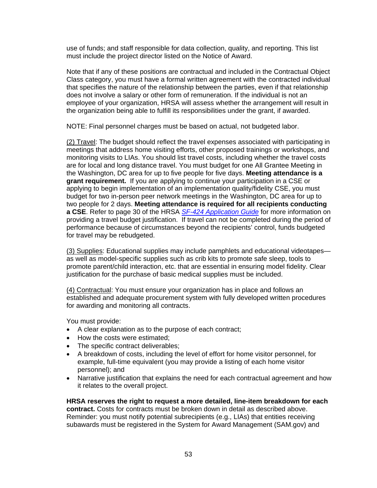use of funds; and staff responsible for data collection, quality, and reporting. This list must include the project director listed on the Notice of Award.

Note that if any of these positions are contractual and included in the Contractual Object Class category, you must have a formal written agreement with the contracted individual that specifies the nature of the relationship between the parties, even if that relationship does not involve a salary or other form of remuneration. If the individual is not an employee of your organization, HRSA will assess whether the arrangement will result in the organization being able to fulfill its responsibilities under the grant, if awarded.

NOTE: Final personnel charges must be based on actual, not budgeted labor.

(2) Travel: The budget should reflect the travel expenses associated with participating in meetings that address home visiting efforts, other proposed trainings or workshops, and monitoring visits to LIAs. You should list travel costs, including whether the travel costs are for local and long distance travel. You must budget for one All Grantee Meeting in the Washington, DC area for up to five people for five days. **Meeting attendance is a grant requirement.** If you are applying to continue your participation in a CSE or applying to begin implementation of an implementation quality/fidelity CSE, you must budget for two in-person peer network meetings in the Washington, DC area for up to two people for 2 days. **Meeting attendance is required for all recipients conducting a CSE**. Refer to page 30 of the HRSA *[SF-424 Application Guide](https://www.hrsa.gov/sites/default/files/hrsa/grants/apply/applicationguide/sf-424-app-guide.pdf)* for more information on providing a travel budget justification. If travel can not be completed during the period of performance because of circumstances beyond the recipients' control, funds budgeted for travel may be rebudgeted.

(3) Supplies: Educational supplies may include pamphlets and educational videotapes as well as model-specific supplies such as crib kits to promote safe sleep, tools to promote parent/child interaction, etc. that are essential in ensuring model fidelity. Clear justification for the purchase of basic medical supplies must be included.

(4) Contractual: You must ensure your organization has in place and follows an established and adequate procurement system with fully developed written procedures for awarding and monitoring all contracts.

You must provide:

- A clear explanation as to the purpose of each contract;
- How the costs were estimated;
- The specific contract deliverables;
- A breakdown of costs, including the level of effort for home visitor personnel, for example, full-time equivalent (you may provide a listing of each home visitor personnel); and
- Narrative justification that explains the need for each contractual agreement and how it relates to the overall project.

**HRSA reserves the right to request a more detailed, line-item breakdown for each contract.** Costs for contracts must be broken down in detail as described above. Reminder: you must notify potential subrecipients (e.g., LIAs) that entities receiving subawards must be registered in the System for Award Management (SAM.gov) and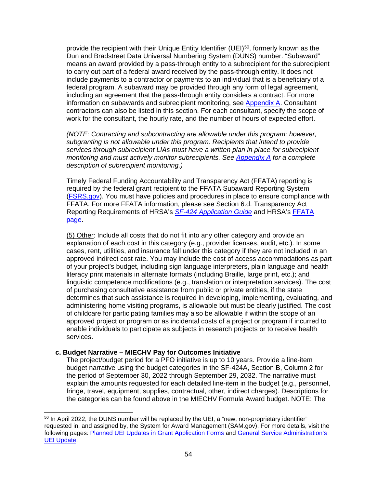provide the recipient with their Unique Entity Identifier (UEI)[50,](#page-53-0) formerly known as the Dun and Bradstreet Data Universal Numbering System (DUNS) number. "Subaward" means an award provided by a pass-through entity to a subrecipient for the subrecipient to carry out part of a federal award received by the pass-through entity. It does not include payments to a contractor or payments to an individual that is a beneficiary of a federal program. A subaward may be provided through any form of legal agreement, including an agreement that the pass-through entity considers a contract. For more information on subawards and subrecipient monitoring, see [Appendix A.](#page-31-0) Consultant contractors can also be listed in this section. For each consultant, specify the scope of work for the consultant, the hourly rate, and the number of hours of expected effort.

*(NOTE: Contracting and subcontracting are allowable under this program; however, subgranting is not allowable under this program. Recipients that intend to provide services through subrecipient LIAs must have a written plan in place for subrecipient monitoring and must actively monitor subrecipients. See [Appendix A](#page-31-0) for a complete description of subrecipient monitoring.)*

Timely Federal Funding Accountability and Transparency Act (FFATA) reporting is required by the federal grant recipient to the FFATA Subaward Reporting System [\(FSRS.gov\)](https://www.fsrs.gov/). You must have policies and procedures in place to ensure compliance with FFATA. For more FFATA information, please see Section 6.d. Transparency Act Reporting Requirements of HRSA's *SF-424 [Application Guide](http://www.hrsa.gov/grants/apply/applicationguide/sf424guide.pdf)* and HRSA's [FFATA](https://www.hrsa.gov/grants/ffata.html)  [page.](https://www.hrsa.gov/grants/ffata.html)

(5) Other: Include all costs that do not fit into any other category and provide an explanation of each cost in this category (e.g., provider licenses, audit, etc.). In some cases, rent, utilities, and insurance fall under this category if they are not included in an approved indirect cost rate. You may include the cost of access accommodations as part of your project's budget, including sign language interpreters, plain language and health literacy print materials in alternate formats (including Braille, large print, etc.); and linguistic competence modifications (e.g., translation or interpretation services). The cost of purchasing consultative assistance from public or private entities, if the state determines that such assistance is required in developing, implementing, evaluating, and administering home visiting programs, is allowable but must be clearly justified. The cost of childcare for participating families may also be allowable if within the scope of an approved project or program or as incidental costs of a project or program if incurred to enable individuals to participate as subjects in research projects or to receive health services.

#### **c. Budget Narrative – MIECHV Pay for Outcomes Initiative**

The project/budget period for a PFO initiative is up to 10 years. Provide a line-item budget narrative using the budget categories in the SF-424A, Section B, Column 2 for the period of September 30, 2022 through September 29, 2032. The narrative must explain the amounts requested for each detailed line-item in the budget (e.g., personnel, fringe, travel, equipment, supplies, contractual, other, indirect charges). Descriptions for the categories can be found above in the MIECHV Formula Award budget. NOTE: The

<span id="page-53-0"></span> $\overline{a}$ <sup>50</sup> In April 2022, the DUNS number will be replaced by the UEI, a "new, non-proprietary identifier" requested in, and assigned by, the System for Award Management (SAM.gov). For more details, visit the following pages: [Planned UEI Updates in Grant Application Forms](https://www.grants.gov/web/grants/forms/planned-uei-updates.html) and [General Service Administration's](https://www.gsa.gov/entityid)  [UEI Update.](https://www.gsa.gov/entityid)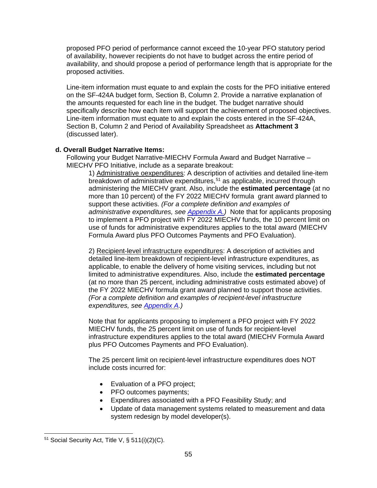proposed PFO period of performance cannot exceed the 10-year PFO statutory period of availability, however recipients do not have to budget across the entire period of availability, and should propose a period of performance length that is appropriate for the proposed activities.

Line-item information must equate to and explain the costs for the PFO initiative entered on the SF-424A budget form, Section B, Column 2. Provide a narrative explanation of the amounts requested for each line in the budget. The budget narrative should specifically describe how each item will support the achievement of proposed objectives. Line-item information must equate to and explain the costs entered in the SF-424A, Section B, Column 2 and Period of Availability Spreadsheet as **Attachment 3** (discussed later).

# **d. Overall Budget Narrative Items:**

Following your Budget Narrative-MIECHV Formula Award and Budget Narrative – MIECHV PFO Initiative, include as a separate breakout:

1) Administrative oexpenditures: A description of activities and detailed line-item breakdown of administrative expenditures,<sup>[51](#page-54-0)</sup> as applicable, incurred through administering the MIECHV grant. Also, include the **estimated percentage** (at no more than 10 percent) of the FY 2022 MIECHV formula grant award planned to support these activities. *(For a complete definition and examples of administrative expenditures, see Appendix A.)* Note that for applicants proposing to implement a PFO project with FY 2022 MIECHV funds, the 10 percent limit on use of funds for administrative expenditures applies to the total award (MIECHV Formula Award plus PFO Outcomes Payments and PFO Evaluation).

2) Recipient-level infrastructure expenditures: A description of activities and detailed line-item breakdown of recipient-level infrastructure expenditures, as applicable, to enable the delivery of home visiting services, including but not limited to administrative expenditures. Also, include the **estimated percentage** (at no more than 25 percent, including administrative costs estimated above) of the FY 2022 MIECHV formula grant award planned to support those activities. *(For a complete definition and examples of recipient-level infrastructure expenditures, see [Appendix A.](#page-34-0))*

Note that for applicants proposing to implement a PFO project with FY 2022 MIECHV funds, the 25 percent limit on use of funds for recipient-level infrastructure expenditures applies to the total award (MIECHV Formula Award plus PFO Outcomes Payments and PFO Evaluation).

The 25 percent limit on recipient-level infrastructure expenditures does NOT include costs incurred for:

- Evaluation of a PFO project;
- PFO outcomes payments;
- Expenditures associated with a PFO Feasibility Study; and
- Update of data management systems related to measurement and data system redesign by model developer(s).

<span id="page-54-0"></span> $\overline{a}$  $51$  Social Security Act, Title V, § 511(i)(2)(C).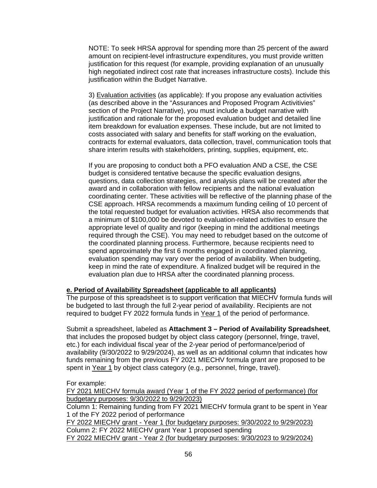NOTE: To seek HRSA approval for spending more than 25 percent of the award amount on recipient-level infrastructure expenditures, you must provide written justification for this request (for example, providing explanation of an unusually high negotiated indirect cost rate that increases infrastructure costs). Include this justification within the Budget Narrative.

3) Evaluation activities (as applicable): If you propose any evaluation activities (as described above in the "Assurances and Proposed Program Activitivies" section of the Project Narrative), you must include a budget narrative with justification and rationale for the proposed evaluation budget and detailed line item breakdown for evaluation expenses. These include, but are not limited to costs associated with salary and benefits for staff working on the evaluation, contracts for external evaluators, data collection, travel, communication tools that share interim results with stakeholders, printing, supplies, equipment, etc.

If you are proposing to conduct both a PFO evaluation AND a CSE, the CSE budget is considered tentative because the specific evaluation designs, questions, data collection strategies, and analysis plans will be created after the award and in collaboration with fellow recipients and the national evaluation coordinating center. These activities will be reflective of the planning phase of the CSE approach. HRSA recommends a maximum funding ceiling of 10 percent of the total requested budget for evaluation activities. HRSA also recommends that a minimum of \$100,000 be devoted to evaluation-related activities to ensure the appropriate level of quality and rigor (keeping in mind the additional meetings required through the CSE). You may need to rebudget based on the outcome of the coordinated planning process. Furthermore, because recipients need to spend approximately the first 6 months engaged in coordinated planning, evaluation spending may vary over the period of availability. When budgeting, keep in mind the rate of expenditure. A finalized budget will be required in the evaluation plan due to HRSA after the coordinated planning process.

#### **e. Period of Availability Spreadsheet (applicable to all applicants)**

The purpose of this spreadsheet is to support verification that MIECHV formula funds will be budgeted to last through the full 2-year period of availability. Recipients are not required to budget FY 2022 formula funds in Year 1 of the period of performance.

Submit a spreadsheet, labeled as **Attachment 3 – Period of Availability Spreadsheet**, that includes the proposed budget by object class category (personnel, fringe, travel, etc.) for each individual fiscal year of the 2-year period of performance/period of availability (9/30/2022 to 9/29/2024), as well as an additional column that indicates how funds remaining from the previous FY 2021 MIECHV formula grant are proposed to be spent in Year 1 by object class category (e.g., personnel, fringe, travel).

For example:

FY 2021 MIECHV formula award (Year 1 of the FY 2022 period of performance) (for budgetary purposes: 9/30/2022 to 9/29/2023)

Column 1: Remaining funding from FY 2021 MIECHV formula grant to be spent in Year 1 of the FY 2022 period of performance

FY 2022 MIECHV grant - Year 1 (for budgetary purposes: 9/30/2022 to 9/29/2023) Column 2: FY 2022 MIECHV grant Year 1 proposed spending FY 2022 MIECHV grant - Year 2 (for budgetary purposes: 9/30/2023 to 9/29/2024)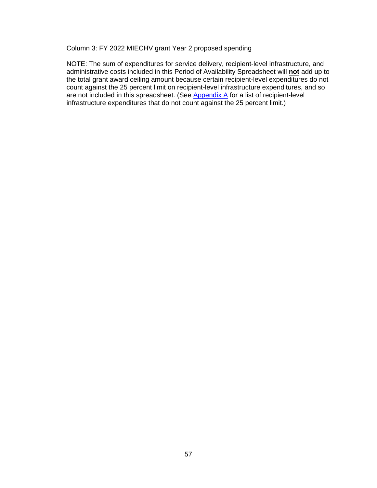Column 3: FY 2022 MIECHV grant Year 2 proposed spending

NOTE: The sum of expenditures for service delivery, recipient-level infrastructure, and administrative costs included in this Period of Availability Spreadsheet will **not** add up to the total grant award ceiling amount because certain recipient-level expenditures do not count against the 25 percent limit on recipient-level infrastructure expenditures, and so are not included in this spreadsheet. (See [Appendix A](#page-34-0) for a list of recipient-level infrastructure expenditures that do not count against the 25 percent limit.)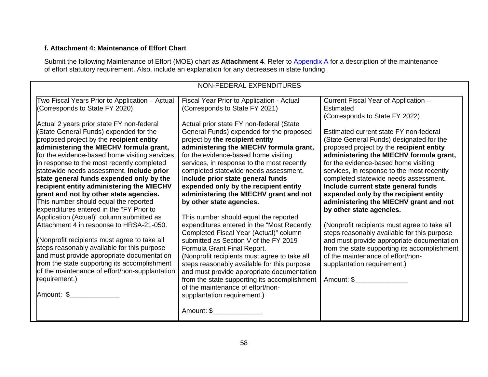# **f. Attachment 4: Maintenance of Effort Chart**

Submit the following Maintenance of Effort (MOE) chart as Attachment 4. Refer to **Appendix A** for a description of the maintenance of effort statutory requirement. Also, include an explanation for any decreases in state funding.

| NON-FEDERAL EXPENDITURES<br>Two Fiscal Years Prior to Application - Actual<br>Fiscal Year Prior to Application - Actual<br>Current Fiscal Year of Application -<br>(Corresponds to State FY 2020)<br>(Corresponds to State FY 2021)<br>Estimated<br>(Corresponds to State FY 2022)<br>Actual 2 years prior state FY non-federal<br>Actual prior state FY non-federal (State<br>(State General Funds) expended for the<br>General Funds) expended for the proposed<br>Estimated current state FY non-federal<br>proposed project by the recipient entity<br>project by the recipient entity<br>(State General Funds) designated for the<br>administering the MIECHV formula grant,<br>administering the MIECHV formula grant,<br>proposed project by the recipient entity<br>for the evidence-based home visiting services,<br>for the evidence-based home visiting<br>administering the MIECHV formula grant,<br>for the evidence-based home visiting<br>in response to the most recently completed<br>services, in response to the most recently<br>statewide needs assessment. Include prior<br>completed statewide needs assessment.<br>services, in response to the most recently<br>completed statewide needs assessment.<br>state general funds expended only by the<br>Include prior state general funds<br>recipient entity administering the MIECHV<br>expended only by the recipient entity<br>Include current state general funds<br>administering the MIECHV grant and not<br>grant and not by other state agencies.<br>expended only by the recipient entity<br>This number should equal the reported<br>administering the MIECHV grant and not<br>by other state agencies.<br>expenditures entered in the "FY Prior to<br>by other state agencies.<br>Application (Actual)" column submitted as<br>This number should equal the reported<br>expenditures entered in the "Most Recently<br>Attachment 4 in response to HRSA-21-050.<br>(Nonprofit recipients must agree to take all |  |
|--------------------------------------------------------------------------------------------------------------------------------------------------------------------------------------------------------------------------------------------------------------------------------------------------------------------------------------------------------------------------------------------------------------------------------------------------------------------------------------------------------------------------------------------------------------------------------------------------------------------------------------------------------------------------------------------------------------------------------------------------------------------------------------------------------------------------------------------------------------------------------------------------------------------------------------------------------------------------------------------------------------------------------------------------------------------------------------------------------------------------------------------------------------------------------------------------------------------------------------------------------------------------------------------------------------------------------------------------------------------------------------------------------------------------------------------------------------------------------------------------------------------------------------------------------------------------------------------------------------------------------------------------------------------------------------------------------------------------------------------------------------------------------------------------------------------------------------------------------------------------------------------------------------------------------------------------------------------------------------------------|--|
|                                                                                                                                                                                                                                                                                                                                                                                                                                                                                                                                                                                                                                                                                                                                                                                                                                                                                                                                                                                                                                                                                                                                                                                                                                                                                                                                                                                                                                                                                                                                                                                                                                                                                                                                                                                                                                                                                                                                                                                                  |  |
|                                                                                                                                                                                                                                                                                                                                                                                                                                                                                                                                                                                                                                                                                                                                                                                                                                                                                                                                                                                                                                                                                                                                                                                                                                                                                                                                                                                                                                                                                                                                                                                                                                                                                                                                                                                                                                                                                                                                                                                                  |  |
|                                                                                                                                                                                                                                                                                                                                                                                                                                                                                                                                                                                                                                                                                                                                                                                                                                                                                                                                                                                                                                                                                                                                                                                                                                                                                                                                                                                                                                                                                                                                                                                                                                                                                                                                                                                                                                                                                                                                                                                                  |  |
|                                                                                                                                                                                                                                                                                                                                                                                                                                                                                                                                                                                                                                                                                                                                                                                                                                                                                                                                                                                                                                                                                                                                                                                                                                                                                                                                                                                                                                                                                                                                                                                                                                                                                                                                                                                                                                                                                                                                                                                                  |  |
|                                                                                                                                                                                                                                                                                                                                                                                                                                                                                                                                                                                                                                                                                                                                                                                                                                                                                                                                                                                                                                                                                                                                                                                                                                                                                                                                                                                                                                                                                                                                                                                                                                                                                                                                                                                                                                                                                                                                                                                                  |  |
|                                                                                                                                                                                                                                                                                                                                                                                                                                                                                                                                                                                                                                                                                                                                                                                                                                                                                                                                                                                                                                                                                                                                                                                                                                                                                                                                                                                                                                                                                                                                                                                                                                                                                                                                                                                                                                                                                                                                                                                                  |  |
|                                                                                                                                                                                                                                                                                                                                                                                                                                                                                                                                                                                                                                                                                                                                                                                                                                                                                                                                                                                                                                                                                                                                                                                                                                                                                                                                                                                                                                                                                                                                                                                                                                                                                                                                                                                                                                                                                                                                                                                                  |  |
|                                                                                                                                                                                                                                                                                                                                                                                                                                                                                                                                                                                                                                                                                                                                                                                                                                                                                                                                                                                                                                                                                                                                                                                                                                                                                                                                                                                                                                                                                                                                                                                                                                                                                                                                                                                                                                                                                                                                                                                                  |  |
|                                                                                                                                                                                                                                                                                                                                                                                                                                                                                                                                                                                                                                                                                                                                                                                                                                                                                                                                                                                                                                                                                                                                                                                                                                                                                                                                                                                                                                                                                                                                                                                                                                                                                                                                                                                                                                                                                                                                                                                                  |  |
|                                                                                                                                                                                                                                                                                                                                                                                                                                                                                                                                                                                                                                                                                                                                                                                                                                                                                                                                                                                                                                                                                                                                                                                                                                                                                                                                                                                                                                                                                                                                                                                                                                                                                                                                                                                                                                                                                                                                                                                                  |  |
|                                                                                                                                                                                                                                                                                                                                                                                                                                                                                                                                                                                                                                                                                                                                                                                                                                                                                                                                                                                                                                                                                                                                                                                                                                                                                                                                                                                                                                                                                                                                                                                                                                                                                                                                                                                                                                                                                                                                                                                                  |  |
|                                                                                                                                                                                                                                                                                                                                                                                                                                                                                                                                                                                                                                                                                                                                                                                                                                                                                                                                                                                                                                                                                                                                                                                                                                                                                                                                                                                                                                                                                                                                                                                                                                                                                                                                                                                                                                                                                                                                                                                                  |  |
|                                                                                                                                                                                                                                                                                                                                                                                                                                                                                                                                                                                                                                                                                                                                                                                                                                                                                                                                                                                                                                                                                                                                                                                                                                                                                                                                                                                                                                                                                                                                                                                                                                                                                                                                                                                                                                                                                                                                                                                                  |  |
|                                                                                                                                                                                                                                                                                                                                                                                                                                                                                                                                                                                                                                                                                                                                                                                                                                                                                                                                                                                                                                                                                                                                                                                                                                                                                                                                                                                                                                                                                                                                                                                                                                                                                                                                                                                                                                                                                                                                                                                                  |  |
|                                                                                                                                                                                                                                                                                                                                                                                                                                                                                                                                                                                                                                                                                                                                                                                                                                                                                                                                                                                                                                                                                                                                                                                                                                                                                                                                                                                                                                                                                                                                                                                                                                                                                                                                                                                                                                                                                                                                                                                                  |  |
|                                                                                                                                                                                                                                                                                                                                                                                                                                                                                                                                                                                                                                                                                                                                                                                                                                                                                                                                                                                                                                                                                                                                                                                                                                                                                                                                                                                                                                                                                                                                                                                                                                                                                                                                                                                                                                                                                                                                                                                                  |  |
|                                                                                                                                                                                                                                                                                                                                                                                                                                                                                                                                                                                                                                                                                                                                                                                                                                                                                                                                                                                                                                                                                                                                                                                                                                                                                                                                                                                                                                                                                                                                                                                                                                                                                                                                                                                                                                                                                                                                                                                                  |  |
| Completed Fiscal Year (Actual)" column<br>steps reasonably available for this purpose                                                                                                                                                                                                                                                                                                                                                                                                                                                                                                                                                                                                                                                                                                                                                                                                                                                                                                                                                                                                                                                                                                                                                                                                                                                                                                                                                                                                                                                                                                                                                                                                                                                                                                                                                                                                                                                                                                            |  |
| (Nonprofit recipients must agree to take all<br>and must provide appropriate documentation<br>submitted as Section V of the FY 2019                                                                                                                                                                                                                                                                                                                                                                                                                                                                                                                                                                                                                                                                                                                                                                                                                                                                                                                                                                                                                                                                                                                                                                                                                                                                                                                                                                                                                                                                                                                                                                                                                                                                                                                                                                                                                                                              |  |
| steps reasonably available for this purpose<br>from the state supporting its accomplishment<br>Formula Grant Final Report.                                                                                                                                                                                                                                                                                                                                                                                                                                                                                                                                                                                                                                                                                                                                                                                                                                                                                                                                                                                                                                                                                                                                                                                                                                                                                                                                                                                                                                                                                                                                                                                                                                                                                                                                                                                                                                                                       |  |
| and must provide appropriate documentation<br>(Nonprofit recipients must agree to take all<br>of the maintenance of effort/non-                                                                                                                                                                                                                                                                                                                                                                                                                                                                                                                                                                                                                                                                                                                                                                                                                                                                                                                                                                                                                                                                                                                                                                                                                                                                                                                                                                                                                                                                                                                                                                                                                                                                                                                                                                                                                                                                  |  |
| from the state supporting its accomplishment<br>steps reasonably available for this purpose<br>supplantation requirement.)                                                                                                                                                                                                                                                                                                                                                                                                                                                                                                                                                                                                                                                                                                                                                                                                                                                                                                                                                                                                                                                                                                                                                                                                                                                                                                                                                                                                                                                                                                                                                                                                                                                                                                                                                                                                                                                                       |  |
| of the maintenance of effort/non-supplantation<br>and must provide appropriate documentation                                                                                                                                                                                                                                                                                                                                                                                                                                                                                                                                                                                                                                                                                                                                                                                                                                                                                                                                                                                                                                                                                                                                                                                                                                                                                                                                                                                                                                                                                                                                                                                                                                                                                                                                                                                                                                                                                                     |  |
| requirement.)<br>Amount: \$<br>from the state supporting its accomplishment                                                                                                                                                                                                                                                                                                                                                                                                                                                                                                                                                                                                                                                                                                                                                                                                                                                                                                                                                                                                                                                                                                                                                                                                                                                                                                                                                                                                                                                                                                                                                                                                                                                                                                                                                                                                                                                                                                                      |  |
| of the maintenance of effort/non-                                                                                                                                                                                                                                                                                                                                                                                                                                                                                                                                                                                                                                                                                                                                                                                                                                                                                                                                                                                                                                                                                                                                                                                                                                                                                                                                                                                                                                                                                                                                                                                                                                                                                                                                                                                                                                                                                                                                                                |  |
| Amount: \$<br>supplantation requirement.)                                                                                                                                                                                                                                                                                                                                                                                                                                                                                                                                                                                                                                                                                                                                                                                                                                                                                                                                                                                                                                                                                                                                                                                                                                                                                                                                                                                                                                                                                                                                                                                                                                                                                                                                                                                                                                                                                                                                                        |  |
|                                                                                                                                                                                                                                                                                                                                                                                                                                                                                                                                                                                                                                                                                                                                                                                                                                                                                                                                                                                                                                                                                                                                                                                                                                                                                                                                                                                                                                                                                                                                                                                                                                                                                                                                                                                                                                                                                                                                                                                                  |  |
| Amount: \$                                                                                                                                                                                                                                                                                                                                                                                                                                                                                                                                                                                                                                                                                                                                                                                                                                                                                                                                                                                                                                                                                                                                                                                                                                                                                                                                                                                                                                                                                                                                                                                                                                                                                                                                                                                                                                                                                                                                                                                       |  |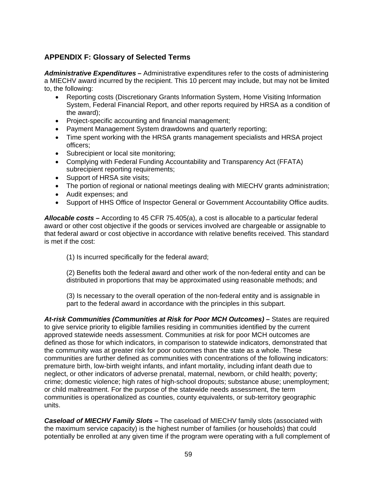# <span id="page-58-0"></span>**APPENDIX F: Glossary of Selected Terms**

*Administrative Expenditures* **–** Administrative expenditures refer to the costs of administering a MIECHV award incurred by the recipient. This 10 percent may include, but may not be limited to, the following:

- Reporting costs (Discretionary Grants Information System, Home Visiting Information System, Federal Financial Report, and other reports required by HRSA as a condition of the award);
- Project-specific accounting and financial management;
- Payment Management System drawdowns and quarterly reporting;
- Time spent working with the HRSA grants management specialists and HRSA project officers;
- Subrecipient or local site monitoring;
- Complying with Federal Funding Accountability and Transparency Act (FFATA) subrecipient reporting requirements;
- Support of HRSA site visits;
- The portion of regional or national meetings dealing with MIECHV grants administration;
- Audit expenses; and
- Support of HHS Office of Inspector General or Government Accountability Office audits.

*Allocable costs –* According to 45 CFR 75.405(a), a cost is allocable to a particular federal award or other cost objective if the goods or services involved are chargeable or assignable to that federal award or cost objective in accordance with relative benefits received. This standard is met if the cost:

(1) Is incurred specifically for the federal award;

(2) Benefits both the federal award and other work of the non-federal entity and can be distributed in proportions that may be approximated using reasonable methods; and

(3) Is necessary to the overall operation of the non-federal entity and is assignable in part to the federal award in accordance with the principles in this subpart.

*At-risk Communities (Communities at Risk for Poor MCH Outcomes)* **–** States are required to give service priority to eligible families residing in communities identified by the current approved statewide needs assessment. Communities at risk for poor MCH outcomes are defined as those for which indicators, in comparison to statewide indicators, demonstrated that the community was at greater risk for poor outcomes than the state as a whole. These communities are further defined as communities with concentrations of the following indicators: premature birth, low-birth weight infants, and infant mortality, including infant death due to neglect, or other indicators of adverse prenatal, maternal, newborn, or child health; poverty; crime; domestic violence; high rates of high-school dropouts; substance abuse; unemployment; or child maltreatment. For the purpose of the statewide needs assessment, the term communities is operationalized as counties, county equivalents, or sub-territory geographic units.

*Caseload of MIECHV Family Slots* **–** The caseload of MIECHV family slots (associated with the maximum service capacity) is the highest number of families (or households) that could potentially be enrolled at any given time if the program were operating with a full complement of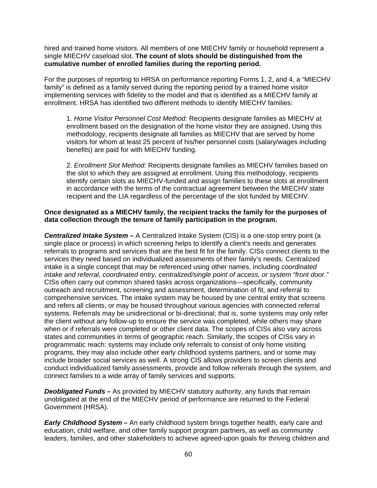hired and trained home visitors. All members of one MIECHV family or household represent a single MIECHV caseload slot. **The count of slots should be distinguished from the cumulative number of enrolled families during the reporting period.**

For the purposes of reporting to HRSA on performance reporting Forms 1, 2, and 4, a "MIECHV family" is defined as a family served during the reporting period by a trained home visitor implementing services with fidelity to the model and that is identified as a MIECHV family at enrollment. HRSA has identified two different methods to identify MIECHV families:

1. *Home Visitor Personnel Cost Method:* Recipients designate families as MIECHV at enrollment based on the designation of the home visitor they are assigned. Using this methodology, recipients designate all families as MIECHV that are served by home visitors for whom at least 25 percent of his/her personnel costs (salary/wages including benefits) are paid for with MIECHV funding.

2. *Enrollment Slot Method:* Recipients designate families as MIECHV families based on the slot to which they are assigned at enrollment. Using this methodology, recipients identify certain slots as MIECHV-funded and assign families to these slots at enrollment in accordance with the terms of the contractual agreement between the MIECHV state recipient and the LIA regardless of the percentage of the slot funded by MIECHV.

# **Once designated as a MIECHV family, the recipient tracks the family for the purposes of data collection through the tenure of family participation in the program.**

*Centralized Intake System* **–** A Centralized Intake System (CIS) is a one‐stop entry point (a single place or process) in which screening helps to identify a client's needs and generates referrals to programs and services that are the best fit for the family. CISs connect clients to the services they need based on individualized assessments of their family's needs. Centralized intake is a single concept that may be referenced using other names, including *coordinated intake and referral, coordinated entry, centralized/single point of access, or system "front door."*  CISs often carry out common shared tasks across organizations—specifically, community outreach and recruitment, screening and assessment, determination of fit, and referral to comprehensive services. The intake system may be housed by one central entity that screens and refers all clients, or may be housed throughout various agencies with connected referral systems. Referrals may be unidirectional or bi-directional; that is, some systems may only refer the client without any follow-up to ensure the service was completed, while others may share when or if referrals were completed or other client data. The scopes of CISs also vary across states and communities in terms of geographic reach. Similarly, the scopes of CISs vary in programmatic reach: systems may include only referrals to consist of only home visiting programs, they may also include other early childhood systems partners, and or some may include broader social services as well. A strong CIS allows providers to screen clients and conduct individualized family assessments, provide and follow referrals through the system, and connect families to a wide array of family services and supports.

*Deobligated Funds* – As provided by MIECHV statutory authority, any funds that remain unobligated at the end of the MIECHV period of performance are returned to the Federal Government (HRSA).

*Early Childhood System* **–** An early childhood system brings together health, early care and education, child welfare, and other family support program partners, as well as community leaders, families, and other stakeholders to achieve agreed-upon goals for thriving children and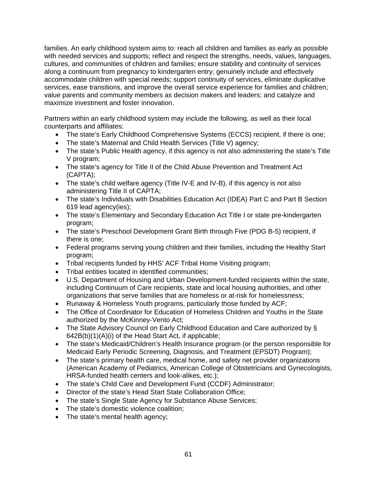families. An early childhood system aims to: reach all children and families as early as possible with needed services and supports; reflect and respect the strengths, needs, values, languages, cultures, and communities of children and families; ensure stability and continuity of services along a continuum from pregnancy to kindergarten entry; genuinely include and effectively accommodate children with special needs; support continuity of services, eliminate duplicative services, ease transitions, and improve the overall service experience for families and children; value parents and community members as decision makers and leaders; and catalyze and maximize investment and foster innovation.

Partners within an early childhood system may include the following, as well as their local counterparts and affiliates:

- The state's Early Childhood Comprehensive Systems (ECCS) recipient, if there is one;
- The state's Maternal and Child Health Services (Title V) agency;
- The state's Public Health agency, if this agency is not also administering the state's Title V program;
- The state's agency for Title II of the Child Abuse Prevention and Treatment Act (CAPTA);
- The state's child welfare agency (Title IV-E and IV-B), if this agency is not also administering Title II of CAPTA;
- The state's Individuals with Disabilities Education Act (IDEA) Part C and Part B Section 619 lead agency(ies);
- The state's Elementary and Secondary Education Act Title I or state pre-kindergarten program;
- The state's Preschool Development Grant Birth through Five (PDG B-5) recipient, if there is one;
- Federal programs serving young children and their families, including the Healthy Start program;
- Tribal recipients funded by HHS' ACF Tribal Home Visiting program;
- Tribal entities located in identified communities;
- U.S. Department of Housing and Urban Development-funded recipients within the state, including Continuum of Care recipients, state and local housing authorities, and other organizations that serve families that are homeless or at-risk for homelessness;
- Runaway & Homeless Youth programs, particularly those funded by ACF;
- The Office of Coordinator for Education of Homeless Children and Youths in the State authorized by the McKinney-Vento Act;
- The State Advisory Council on Early Childhood Education and Care authorized by § 642B(b)(1)(A)(i) of the Head Start Act, if applicable;
- The state's Medicaid/Children's Health Insurance program (or the person responsible for Medicaid Early Periodic Screening, Diagnosis, and Treatment (EPSDT) Program);
- The state's primary health care, medical home, and safety net provider organizations (American Academy of Pediatrics, American College of Obstetricians and Gynecologists, HRSA-funded health centers and look-alikes, etc.);
- The state's Child Care and Development Fund (CCDF) Administrator;
- Director of the state's Head Start State Collaboration Office;
- The state's Single State Agency for Substance Abuse Services;
- The state's domestic violence coalition;
- The state's mental health agency;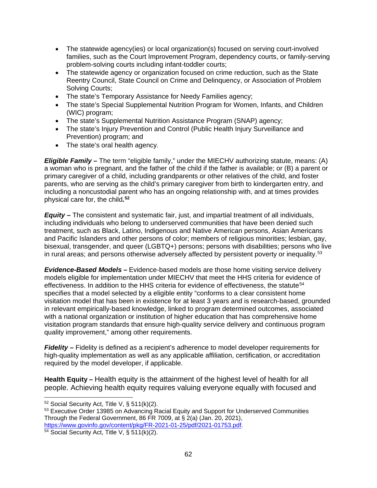- The statewide agency(ies) or local organization(s) focused on serving court-involved families, such as the Court Improvement Program, dependency courts, or family-serving problem-solving courts including infant-toddler courts;
- The statewide agency or organization focused on crime reduction, such as the State Reentry Council, State Council on Crime and Delinquency, or Association of Problem Solving Courts;
- The state's Temporary Assistance for Needy Families agency;
- The state's Special Supplemental Nutrition Program for Women, Infants, and Children (WIC) program;
- The state's Supplemental Nutrition Assistance Program (SNAP) agency;
- The state's Injury Prevention and Control (Public Health Injury Surveillance and Prevention) program; and
- The state's oral health agency.

**Eligible Family** - The term "eligible family," under the MIECHV authorizing statute, means: (A) a woman who is pregnant, and the father of the child if the father is available; or (B) a parent or primary caregiver of a child, including grandparents or other relatives of the child, and foster parents, who are serving as the child's primary caregiver from birth to kindergarten entry, and including a noncustodial parent who has an ongoing relationship with, and at times provides physical care for, the child**. [52](#page-61-0)**

*Equity –* The consistent and systematic fair, just, and impartial treatment of all individuals, including individuals who belong to underserved communities that have been denied such treatment, such as Black, Latino, Indigenous and Native American persons, Asian Americans and Pacific Islanders and other persons of color; members of religious minorities; lesbian, gay, bisexual, transgender, and queer (LGBTQ+) persons; persons with disabilities; persons who live in rural areas; and persons otherwise adversely affected by persistent poverty or inequality.<sup>[53](#page-61-1)</sup>

*Evidence-Based Models –* Evidence-based models are those home visiting service delivery models eligible for implementation under MIECHV that meet the HHS criteria for evidence of effectiveness. In addition to the HHS criteria for evidence of effectiveness, the statute<sup>[54](#page-61-2)</sup> specifies that a model selected by a eligible entity "conforms to a clear consistent home visitation model that has been in existence for at least 3 years and is research-based, grounded in relevant empirically-based knowledge, linked to program determined outcomes, associated with a national organization or institution of higher education that has comprehensive home visitation program standards that ensure high-quality service delivery and continuous program quality improvement," among other requirements.

*Fidelity* – Fidelity is defined as a recipient's adherence to model developer requirements for high-quality implementation as well as any applicable affiliation, certification, or accreditation required by the model developer, if applicable.

**Health Equity** *–* Health equity is the attainment of the highest level of health for all people. Achieving health equity requires valuing everyone equally with focused and

 $\overline{a}$  $52$  Social Security Act, Title V, § 511(k)(2).

<span id="page-61-1"></span><span id="page-61-0"></span><sup>53</sup> Executive Order 13985 on Advancing Racial Equity and Support for Underserved Communities Through the Federal Government, 86 FR 7009, at § 2(a) (Jan. 20, 2021), [https://www.govinfo.gov/content/pkg/FR-2021-01-25/pdf/2021-01753.pdf.](https://www.govinfo.gov/content/pkg/FR-2021-01-25/pdf/2021-01753.pdf)

<span id="page-61-2"></span><sup>54</sup> Social Security Act, Title V, § 511(k)(2).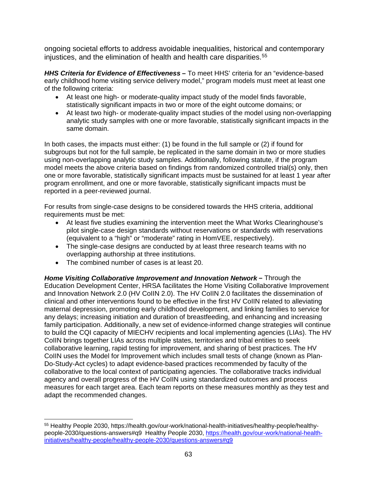ongoing societal efforts to address avoidable inequalities, historical and contemporary injustices, and the elimination of health and health care disparities.<sup>[55](#page-62-0)</sup>

*HHS Criteria for Evidence of Effectiveness* **–** To meet HHS' criteria for an "evidence-based early childhood home visiting service delivery model," program models must meet at least one of the following criteria:

- At least one high- or moderate-quality impact study of the model finds favorable, statistically significant impacts in two or more of the eight outcome domains; or
- At least two high- or moderate-quality impact studies of the model using non-overlapping analytic study samples with one or more favorable, statistically significant impacts in the same domain.

In both cases, the impacts must either: (1) be found in the full sample or (2) if found for subgroups but not for the full sample, be replicated in the same domain in two or more studies using non-overlapping analytic study samples. Additionally, following statute, if the program model meets the above criteria based on findings from randomized controlled trial(s) only, then one or more favorable, statistically significant impacts must be sustained for at least 1 year after program enrollment, and one or more favorable, statistically significant impacts must be reported in a peer-reviewed journal.

For results from single-case designs to be considered towards the HHS criteria, additional requirements must be met:

- At least five studies examining the intervention meet the What Works Clearinghouse's pilot single-case design standards without reservations or standards with reservations (equivalent to a "high" or "moderate" rating in HomVEE, respectively).
- The single-case designs are conducted by at least three research teams with no overlapping authorship at three institutions.
- The combined number of cases is at least 20.

**Home Visiting Collaborative Improvement and Innovation Network – Through the** Education Development Center, HRSA facilitates the Home Visiting Collaborative Improvement and Innovation Network 2.0 (HV CoIIN 2.0). The HV CoIIN 2.0 facilitates the dissemination of clinical and other interventions found to be effective in the first HV CoIIN related to alleviating maternal depression, promoting early childhood development, and linking families to service for any delays; increasing initiation and duration of breastfeeding, and enhancing and increasing family participation. Additionally, a new set of evidence-informed change strategies will continue to build the CQI capacity of MIECHV recipients and local implementing agencies (LIAs). The HV CoIIN brings together LIAs across multiple states, territories and tribal entities to seek collaborative learning, rapid testing for improvement, and sharing of best practices. The HV CoIIN uses the Model for Improvement which includes small tests of change (known as Plan-Do-Study-Act cycles) to adapt evidence-based practices recommended by faculty of the collaborative to the local context of participating agencies. The collaborative tracks individual agency and overall progress of the HV CoIIN using standardized outcomes and process measures for each target area. Each team reports on these measures monthly as they test and adapt the recommended changes.

<span id="page-62-0"></span> $\overline{a}$ <sup>55</sup> Healthy People 2030, https://health.gov/our-work/national-health-initiatives/healthy-people/healthypeople-2030/questions-answers#q9 Healthy People 2030, [https://health.gov/our-work/national-health](https://health.gov/our-work/national-health-initiatives/healthy-people/healthy-people-2030/questions-answers#q9)[initiatives/healthy-people/healthy-people-2030/questions-answers#q9](https://health.gov/our-work/national-health-initiatives/healthy-people/healthy-people-2030/questions-answers#q9)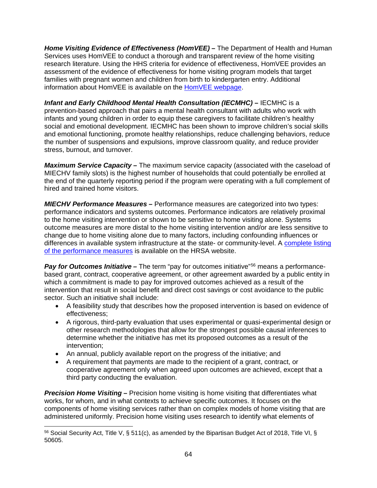*Home Visiting Evidence of Effectiveness (HomVEE)* **–** The Department of Health and Human Services uses HomVEE to conduct a thorough and transparent review of the home visiting research literature. Using the HHS criteria for evidence of effectiveness, HomVEE provides an assessment of the evidence of effectiveness for home visiting program models that target families with pregnant women and children from birth to kindergarten entry. Additional information about HomVEE is available on the [HomVEE webpage.](https://homvee.acf.hhs.gov/)

*Infant and Early Childhood Mental Health Consultation (IECMHC) – IECMHC is a* prevention-based approach that pairs a mental health consultant with adults who work with infants and young children in order to equip these caregivers to facilitate children's healthy social and emotional development. IECMHC has been shown to improve children's social skills and emotional functioning, promote healthy relationships, reduce challenging behaviors, reduce the number of suspensions and expulsions, improve classroom quality, and reduce provider stress, burnout, and turnover.

*Maximum Service Capacity* **–** The maximum service capacity (associated with the caseload of MIECHV family slots) is the highest number of households that could potentially be enrolled at the end of the quarterly reporting period if the program were operating with a full complement of hired and trained home visitors.

*MIECHV Performance Measures* **–** Performance measures are categorized into two types: performance indicators and systems outcomes. Performance indicators are relatively proximal to the home visiting intervention or shown to be sensitive to home visiting alone. Systems outcome measures are more distal to the home visiting intervention and/or are less sensitive to change due to home visiting alone due to many factors, including confounding influences or differences in available system infrastructure at the state- or community-level. A [complete listing](https://mchb.hrsa.gov/maternal-child-health-initiatives/home-visiting/performance-reporting-and-evaluation-resources)  [of the performance measures](https://mchb.hrsa.gov/maternal-child-health-initiatives/home-visiting/performance-reporting-and-evaluation-resources) is available on the HRSA website.

*Pay for Outcomes Initiative* – The term "pay for outcomes initiative"<sup>[56](#page-63-0)</sup> means a performancebased grant, contract, cooperative agreement, or other agreement awarded by a public entity in which a commitment is made to pay for improved outcomes achieved as a result of the intervention that result in social benefit and direct cost savings or cost avoidance to the public sector. Such an initiative shall include:

- A feasibility study that describes how the proposed intervention is based on evidence of effectiveness;
- A rigorous, third-party evaluation that uses experimental or quasi-experimental design or other research methodologies that allow for the strongest possible causal inferences to determine whether the initiative has met its proposed outcomes as a result of the intervention;
- An annual, publicly available report on the progress of the initiative; and
- A requirement that payments are made to the recipient of a grant, contract, or cooperative agreement only when agreed upon outcomes are achieved, except that a third party conducting the evaluation.

**Precision Home Visiting** – Precision home visiting is home visiting that differentiates what works, for whom, and in what contexts to achieve specific outcomes. It focuses on the components of home visiting services rather than on complex models of home visiting that are administered uniformly. Precision home visiting uses research to identify what elements of

<span id="page-63-0"></span> $\overline{a}$ <sup>56</sup> Social Security Act, Title V, § 511(c), as amended by the Bipartisan Budget Act of 2018, Title VI, § 50605.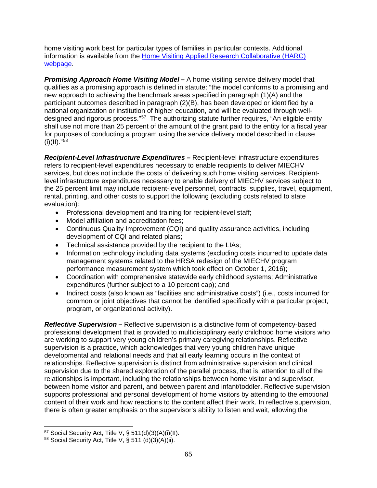home visiting work best for particular types of families in particular contexts. Additional information is available from the [Home Visiting Applied Research Collaborative \(HARC\)](https://www.hvresearch.org/precision-home-visiting/)  [webpage.](https://www.hvresearch.org/precision-home-visiting/)

**Promising Approach Home Visiting Model –** A home visiting service delivery model that qualifies as a promising approach is defined in statute: "the model conforms to a promising and new approach to achieving the benchmark areas specified in paragraph (1)(A) and the participant outcomes described in paragraph (2)(B), has been developed or identified by a national organization or institution of higher education, and will be evaluated through well-designed and rigorous process."<sup>[57](#page-64-0)</sup> The authorizing statute further requires, "An eligible entity shall use not more than 25 percent of the amount of the grant paid to the entity for a fiscal year for purposes of conducting a program using the service delivery model described in clause  $(ii)(II).$ "[58](#page-64-1)

*Recipient-Level Infrastructure Expenditures* **–** Recipient-level infrastructure expenditures refers to recipient-level expenditures necessary to enable recipients to deliver MIECHV services, but does not include the costs of delivering such home visiting services. Recipientlevel infrastructure expenditures necessary to enable delivery of MIECHV services subject to the 25 percent limit may include recipient-level personnel, contracts, supplies, travel, equipment, rental, printing, and other costs to support the following (excluding costs related to state evaluation):

- Professional development and training for recipient-level staff;
- Model affiliation and accreditation fees;
- Continuous Quality Improvement (CQI) and quality assurance activities, including development of CQI and related plans;
- Technical assistance provided by the recipient to the LIAs;
- Information technology including data systems (excluding costs incurred to update data management systems related to the HRSA redesign of the MIECHV program performance measurement system which took effect on October 1, 2016);
- Coordination with comprehensive statewide early childhood systems; Administrative expenditures (further subject to a 10 percent cap); and
- Indirect costs (also known as "facilities and administrative costs") (i.e., costs incurred for common or joint objectives that cannot be identified specifically with a particular project, program, or organizational activity).

*Reflective Supervision* **–** Reflective supervision is a distinctive form of competency-based professional development that is provided to multidisciplinary early childhood home visitors who are working to support very young children's primary caregiving relationships. Reflective supervision is a practice, which acknowledges that very young children have unique developmental and relational needs and that all early learning occurs in the context of relationships. Reflective supervision is distinct from administrative supervision and clinical supervision due to the shared exploration of the parallel process, that is, attention to all of the relationships is important, including the relationships between home visitor and supervisor, between home visitor and parent, and between parent and infant/toddler. Reflective supervision supports professional and personal development of home visitors by attending to the emotional content of their work and how reactions to the content affect their work. In reflective supervision, there is often greater emphasis on the supervisor's ability to listen and wait, allowing the

 $\overline{a}$ 

<span id="page-64-0"></span> $57$  Social Security Act, Title V, § 511(d)(3)(A)(i)(II).

<span id="page-64-1"></span> $58$  Social Security Act, Title V, § 511 (d)(3)(A)(ii).